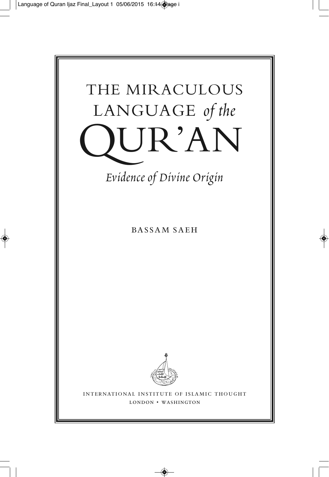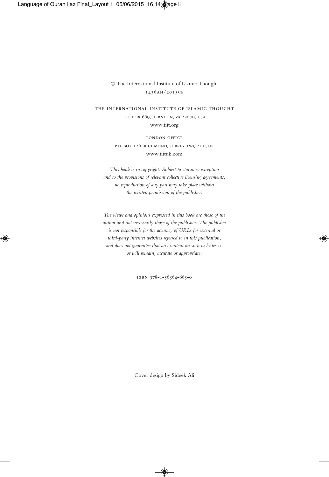### © The International Institute of Islamic Thought 1436AH/2015CE

THE INTERNATIONAL INSTITUTE OF ISLAMIC THOUGHT P.O. BOX 669, HERNDON, VA 22070, USA www.iiit.org

> LONDON OFFICE P.O. BOX 126, RICHMOND, SURREY TW9 2UD, UK www.iiituk.com

*This book is in copyright. Subject to statutory exception and to the provisions of relevant collective licensing agreements, no reproduction of any part may take place without the written permission of the publisher.*

*The views and opinions expressed in this book are those of the author and not necessarily those of the publisher. The publisher is not responsible for the accuracy of URLs for external or third-party internet websites referred to in this publication, and does not guarantee that any content on such websites is, or will remain, accurate or appropriate.*

ISBN 978-1-56564-665-0

Cover design by Sideek Ali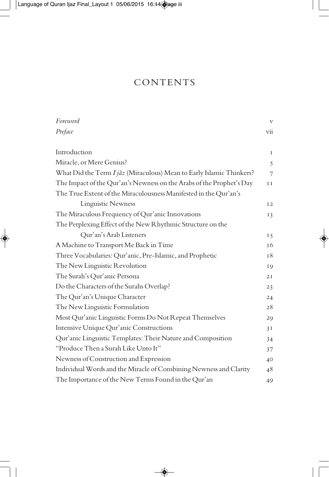# CONTENTS

| $\rm{V}$       |
|----------------|
| vii            |
| Ι              |
| 5              |
| 7              |
| ΙI             |
|                |
| 12             |
| <sup>13</sup>  |
|                |
| 15             |
| 16             |
| 18             |
| 19             |
| 2I             |
| 23             |
| 24             |
| 28             |
| 29             |
| 3 <sub>1</sub> |
| 34             |
| 37             |
| 40             |
| 48             |
| 49             |
|                |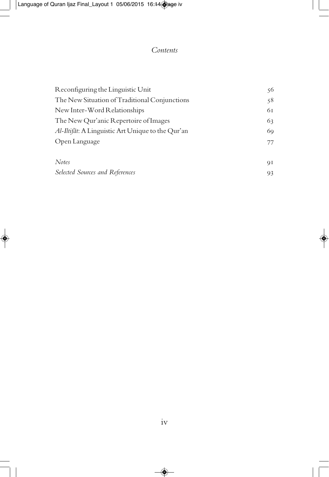# *Contents*

| Reconfiguring the Linguistic Unit                 | 56 |
|---------------------------------------------------|----|
| The New Situation of Traditional Conjunctions     | 58 |
| New Inter-Word Relationships                      | 61 |
| The New Qur'anic Repertoire of Images             | 63 |
| Al-Iltifāt: A Linguistic Art Unique to the Qur'an | 69 |
| Open Language                                     | 77 |
| <b>Notes</b>                                      | QI |
| Selected Sources and References                   | 93 |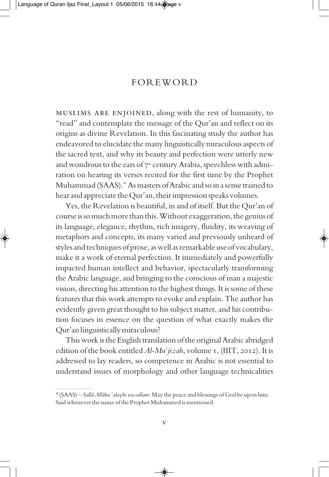# FOREWORD

MUSLIMS ARE ENJOINED, along with the rest of humanity, to "read" and contemplate the message of the Qur'an and reflect on its origins as divine Revelation. In this fascinating study the author has endeavored to elucidate the many linguistically miraculous aspects of the sacred text, and why its beauty and perfection were utterly new and wondrous to the ears of  $7<sup>th</sup>$  century Arabia, speechless with admiration on hearing its verses recited for the first time by the Prophet Muhammad (ßAAS).\*Asmasters ofArabic and so in asense trained to hear and appreciate the Qur'an, their impression speaks volumes.

Yes, the Revelation is beautiful, in and of itself. But the Qur'an of course is so much more than this. Without exaggeration, the genius of its language, elegance, rhythm, rich imagery, fluidity, its weaving of metaphors and concepts, its many varied and previously unheard of styles and techniques of prose, as well as remarkable use of vocabulary, make it a work of eternal perfection. It immediately and powerfully impacted human intellect and behavior, spectacularly transforming the Arabic language, and bringing to the conscious of man a majestic vision, directing his attention to the highest things. It is some of these features that this work attempts to evoke and explain. The author has evidently given great thought to his subject matter, and his contribution focuses in essence on the question of what exactly makes the Qur'an linguisticallymiraculous?

This work is the English translation of the original Arabic abridged edition of the book entitled *Al-Mu<sup>c</sup>jizah*, volume 1, (IIIT, 2012). It is addressed to lay readers, so competence in Arabic is not essential to understand issues of morphology and other language technicalities

<sup>\*</sup>(ßAAS) – *ßall¥ All¥hu ¢alayhi wa sallam*: May the peace and blessings of God be upon him. Said whenever the name of the Prophet Muhammed is mentioned.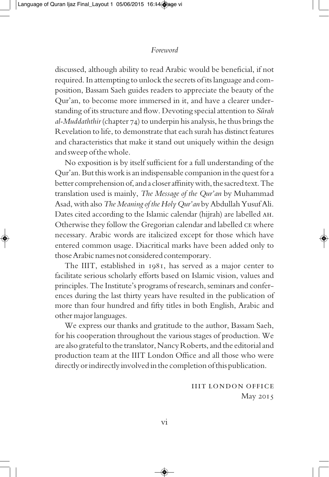## *Foreword*

discussed, although ability to read Arabic would be beneficial, if not required.In attempting to unlock the secrets of its language and composition, Bassam Saeh guides readers to appreciate the beauty of the Qur'an, to become more immersed in it, and have a clearer understanding of its structure and flow. Devoting special attention to *Sūrah al-Muddaththir* (chapter 74) to underpin his analysis, he thus brings the Revelation to life, to demonstrate that each surah has distinct features and characteristics that make it stand out uniquely within the design and sweep ofthewhole.

No exposition is by itself sufficient for a full understanding of the Qur'an. But this work is an indispensable companion in the quest for a better comprehension of, and a closer affinity with, the sacred text. The translation used is mainly, *The Message of the Qur'an* by Muhammad Asad, with also*The Meaningof the Holy Qur'an* byAbdullah YusufAli. Dates cited according to the Islamic calendar (hijrah) are labelled AH. Otherwise they follow the Gregorian calendar and labelled CE where necessary. Arabic words are italicized except for those which have entered common usage. Diacritical marks have been added only to those Arabic names not considered contemporary.

The IIIT, established in 1981, has served as a major center to facilitate serious scholarly efforts based on Islamic vision, values and principles. The Institute's programs of research, seminars and conferences during the last thirty years have resulted in the publication of more than four hundred and fifty titles in both English, Arabic and other major languages.

We express our thanks and gratitude to the author, Bassam Saeh, for his cooperation throughout the various stages of production. We are also grateful to the translator, Nancy Roberts, and the editorial and production team at the IIIT London Office and all those who were directly or indirectly involved in the completion of this publication.

> **IIIT LONDON OFFICE** May 2015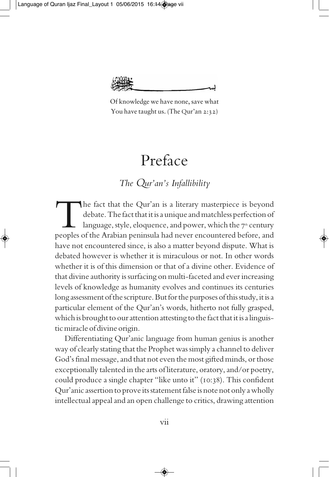

Of knowledge we have none, save what You have taught us. (The Qur'an 2:32)

# Preface

*The* Q*ur'an's Infallibility*

The fact that the Qur'an is a literary masterpiece is beyond debate. The fact that it is a unique and matchless perfection of language, style, eloquence, and power, which the  $7<sup>th</sup>$  century peoples of the Arabian peninsula had never encountered before, and have not encountered since, is also a matter beyond dispute. What is debated however is whether it is miraculous or not. In other words whether it is of this dimension or that of a divine other. Evidence of that divine authority is surfacing on multi-faceted and ever increasing levels of knowledge as humanity evolves and continues its centuries long assessment of the scripture. But for the purposes of this study, it is a particular element of the Qur'an's words, hitherto not fully grasped, which is brought to our attention attesting to the fact that it is a linguistic miracle of divine origin.

Differentiating Qur'anic language from human genius is another way of clearly stating that the Prophet was simply a channel to deliver God's final message, and that not even the most gifted minds, or those exceptionally talented in the arts of literature, oratory, and/or poetry, could produce a single chapter "like unto it" (10:38). This confident Qur'anic assertion to prove its statement false is note not only a wholly intellectual appeal and an open challenge to critics, drawing attention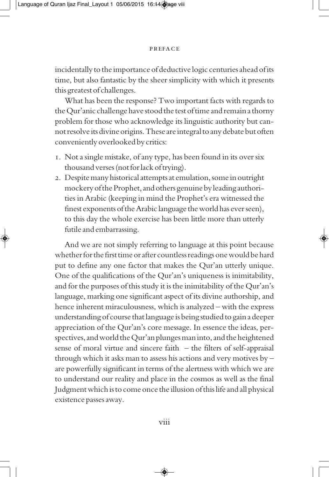#### PREFACE

incidentally to the importance of deductive logic centuries ahead of its time, but also fantastic by the sheer simplicity with which it presents this greatest of challenges.

What has been the response? Two important facts with regards to the Qur'anic challenge have stood the test oftime and remain athorny problem for those who acknowledge its linguistic authority but cannot resolve its divine origins. These are integral to any debate but often conveniently overlooked by critics:

- . Not asingle mistake, ofany type, has been found in its over six thousand verses (not for lack of trying).
- 2. Despite many historical attempts at emulation, some in outright mockeryoftheProphet,andothers genuine by leading authorities in Arabic (keeping in mind the Prophet's era witnessed the finest exponents of the Arabic language the world has ever seen), to this day the whole exercise has been little more than utterly futile and embarrassing.

And we are not simply referring to language at this point because whether for the first time or after countless readings one would be hard put to define any one factor that makes the Qur'an utterly unique. One of the qualifications of the Qur'an's uniqueness is inimitability, and for the purposes of this study it is the inimitability of the Qur'an's language, marking one significant aspect of its divine authorship, and hence inherent miraculousness, which is analyzed – with the express understanding of course thatlanguage is being studied to gain a deeper appreciation of the Qur'an's core message. In essence the ideas, perspectives, and world the Qur'an plunges man into, and the heightened sense of moral virtue and sincere faith – the filters of self-appraisal through which it asks man to assess his actions and very motives by – are powerfully significant in terms of the alertness with which we are to understand our reality and place in the cosmos as well as the final Judgment which is to come once the illusion of this life and all physical existence passesaway.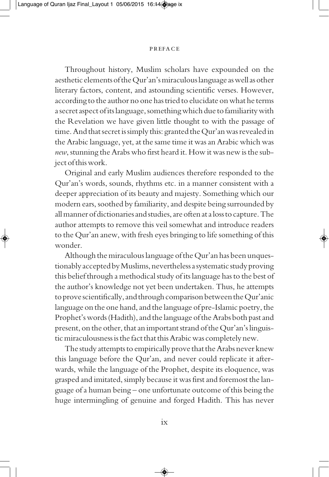#### PREFACE

Throughout history, Muslim scholars have expounded on the aesthetic elementsoftheQur'an'smiraculouslanguage aswellasother literary factors, content, and astounding scientific verses. However, according to the author no one has tried to elucidate on what he terms a secret aspect of its language, something which due to familiarity with the Revelation we have given little thought to with the passage of time. And that secret is simply this: granted the Qur'an was revealed in the Arabic language, yet, at the same time it was an Arabic which was *new*, stunning the Arabs who first heard it. How it was new is the subject of this work.

Original and early Muslim audiences therefore responded to the Qur'an's words, sounds, rhythms etc. in a manner consistent with a deeper appreciation of its beauty and majesty. Something which our modern ears, soothed by familiarity, and despite being surrounded by allmanner of dictionariesand studies,are often atalossto capture.The author attempts to remove this veil somewhat and introduce readers to the Qur'an anew, with fresh eyes bringing to life something of this wonder.

Although the miraculous language of the Qur'an has been unquestionably accepted by Muslims, nevertheless a systematic study proving this belief through a methodical study of its language has to the best of the author's knowledge not yet been undertaken. Thus, he attempts to prove scientifically, and through comparison between the Qur'anic language on the one hand, and the language of pre-Islamic poetry, the Prophet's words (Hadith), and the language of the Arabs both past and present, on the other, thatan importantstrand of the Qur'an'slinguistic miraculousness is the fact that this Arabic was completely new.

The study attempts to empirically prove that the Arabs never knew this language before the Qur'an, and never could replicate it afterwards, while the language of the Prophet, despite its eloquence, was grasped and imitated, simply because it was firstand foremost the language ofa human being – one unfortunate outcome of this being the huge intermingling of genuine and forged Hadith. This has never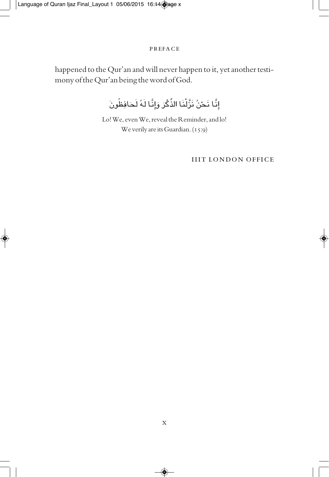PREFACE

happened to the Qur'an and will never happen to it, yet another testimony of the Qur'an being the word of God.

إِنَّـا ذَحْنُ ذَرْلَنَـا الذَّكْرَ وَإِنَّـا لـهُ لـحَـافِظونَ<br>.

Lo! We, even We, reveal the Reminder, and lo! We verily are its Guardian.  $(15:9)$ 

**IIIT LONDON OFFICE**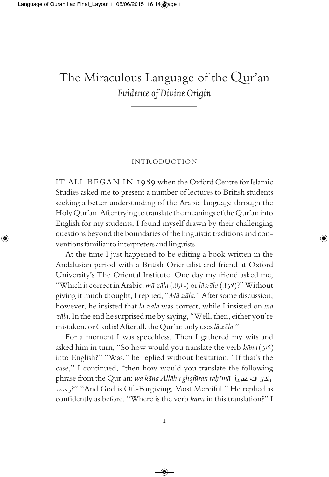# The Miraculous Language of the Qur'an *Evidence of Divine Origin*

### INTRODUCTION

IT ALL BEGAN IN 1989 when the Oxford Centre for Islamic Studies asked me to present a number of lectures to British students seeking a better understanding of the Arabic language through the Holy Qur'an. After trying to translate the meanings of the Qur'an into English for my students, I found myself drawn by their challenging questions beyond the boundaries of the linguistic traditions and conventions familiar to interpreters and linguists.

At the time I just happened to be editing a book written in the Andalusian period with a British Orientalist and friend at Oxford University's The Oriental Institute. One day my friend asked me, "Which is correct in Arabic: *mā zāla* (مازال) or *lā zāla* (لازال)?" Without giving it much thought, I replied, "*Mā zāla*." After some discussion, however, he insisted that *lā zāla* was correct, while I insisted on  $m\bar{a}$  $z\bar{a}$ la. In the end he surprised me by saying, "Well, then, either you're mistaken, or God is! After all, the Qur'an only uses *la zala*!"

For a moment I was speechless. Then I gathered my wits and asked him in turn, "So how would you translate the verb *kāna* (كان) into English?" "Was," he replied without hesitation. "If that's the case," I continued, "then how would you translate the following phrase from the Qur'an: *wa kāna Allāhu ghafūran raḥīmā* ( أي أن الله غفورا ً أي مسيح الجمهورا يوم المسيح الذي ي رحيما;" "And God is Oft-Forgiving, Most Merciful." He replied as confidently as before. "Where is the verb  $k\bar{a}$ na in this translation?" I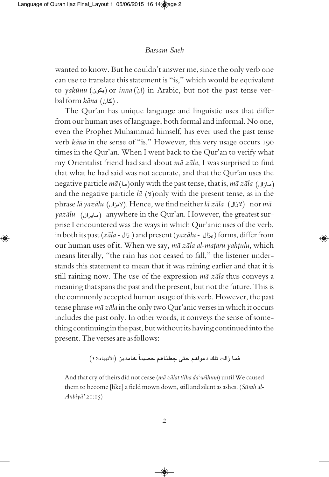wanted to know. But he couldn't answer me, since the only verb one can use to translate this statement is "is," which would be equivalent to *yakūnu* (یکون) or *inna* (إِنَّ) in Arabic, but not the past tense ver-لان) bal form *kāna* (كان) .

The Qur'an has unique language and linguistic uses that differ from our human uses of language, both formal and informal. No one, even the Prophet Muhammad himself, has ever used the past tense verb *kana* in the sense of "is." However, this very usage occurs 190 times in the Qur'an. When I went back to the Qur'an to verify what my Orientalist friend had said about *mā zāla*, I was surprised to find that what he had said was not accurate, and that the Qur'an uses the negative particle *mā* (مازال) only with the past tense, that is, *mā zāla* and the negative particle  $l\bar{a}$  (y) only with the present tense, as in the phrase *lā yazālu* (لايزال). Hence, we find neither *lā zāla* (لازال) nor *mā yazālu* (مايزال ) anywhere in the Qur'an. However, the greatest surprise I encountered was the ways in which Qur'anic uses of the verb, .<br>in both its past (*zāla* - نيزال ) and present (*yazālu* - يزال ) forms, differ from our human uses of it. When we say, *mā zāla al-mataru yahtulu*, which means literally, "the rain has not ceased to fall," the listener understands this statement to mean that it was raining earlier and that it is still raining now. The use of the expression  $m\bar{a}$  *zala* thus conveys a meaning that spans the pastand the present, but not the future. This is the commonly accepted human usage of this verb. However, the past tense phrase  $m\bar{a} z\bar{a}l$ *a* in the only two Qur'anic verses in which it occurs includes the past only. In other words, it conveys the sense of something continuing in the past, butwithoutits having continued into the present.The versesare asfollows:

.<br>فما زالت تلك دعواهم حتى جعلناهم حصيداً خامدين (الأنبياء:١٥)

And that cry of theirs did not cease (mā zālat tilka da<sup>c</sup>wāhum) until We caused them to become [like] a field mown down, still and silent as ashes. (*Sūrah al-Anbiγā'* 21:15)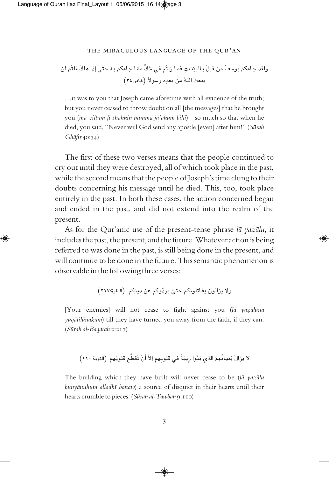n<u| rë¡U3 bIìË sî <sup>Ô</sup> O§ìU!qÔ §è <sup>Ò</sup> †UM " ULã ¶ìÔ Lî p> <sup>Å</sup> wã <sup>r</sup> <sup>Ò</sup> ¶4 t! rë¡U3 <sup>U</sup> vÒ pKÙ «–≈ <sup>è</sup> <sup>Ó</sup> ¶KÔ sì <sup>r</sup> | <sup>Ó</sup> YF§ <sup>Ó</sup> tKì« <sup>Ô</sup> )≥¥∫dãUä( ôÎ u<ñ Á bF! sî

…it was to you that Joseph came aforetime with all evidence of the truth; but you never ceased to throw doubt on all [the messages] that he brought you (*m¥ ziltum fÏ shakkin mimm¥ j¥'akum bihi*)—so much so that when he died, you said, "Never will God send any apostle [even] after him!" (*Sūrah Ghāfir* 40:34)

The first of these two verses means that the people continued to cry out until they were destroyed, all of which took place in the past, while the second means that the people of Joseph's time clung to their doubts concerning his message until he died. This, too, took place entirely in the past. In both these cases, the action concerned began and ended in the past, and did not extend into the realm of the present.

As for the Qur'anic use of the present-tense phrase *la yazalu*, it includes the past, the present, and the future. Whatever action is being referred to was done in the past, is still being done in the present, and will continue to be done in the future. This semantic phenomenon is observable in the following three verses:

$$
\left(\text{XIV:} \text{supp} \left(\text{supp} \left(x\right)\right) \text{supp} \left(\text{supp} \left(x\right)\right) \text{supp} \left(\text{supp} \left(x\right)\right) \text{supp} \left(\text{supp} \left(x\right)\right)
$$

[Your enemies] will not cease to fight against you (la yazalūna *yuqātilūnakum*) till they have turned you away from the faith, if they can. (*Sūrah al-Baqarah* 2:217)

لا يزالُ بُنيانُهمُ الذي بَنَوا رِيبَةً في قلوبِهم إلاّ أَنْ تَقَطَّعَ قلوبُهم (التوبة:١١٠)

The building which they have built will never cease to be (*la yazalu bunyānuhum alladhī banaw*) a source of disquiet in their hearts until their hearts crumble to pieces. (Sūrah al-Tawbah 9:110)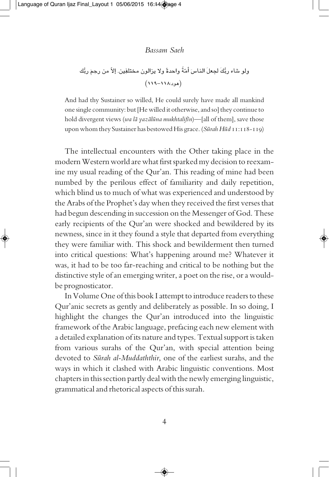!ñ ¡UÅ uìË ^ Ó qF' pÓ "UMì« <sup>Ó</sup> î√ <sup>Ò</sup> …b4«Ë WÎ <sup>Î</sup> HK¶‹î Êuì«e| ôË ô≈ ÆsO sî <sup>Ò</sup> 4ñ <sup>r</sup> Ó !ñ ^ p )±±π≠±±∏∫œuÙ(

And had thy Sustainer so willed, He could surely have made all mankind one single community: but [He willed it otherwise,and so] they continue to hold divergent views (*wa lā yazālūna mukhtalifīn*)—[all of them], save those upon whom they Sustainer has bestowed His grace. (*Sūrah Hūd* 11:118-119)

The intellectual encounters with the Other taking place in the modern Western world are what first sparked my decision to reexamine my usual reading of the Qur'an. This reading of mine had been numbed by the perilous effect of familiarity and daily repetition, which blind us to much of what was experienced and understood by the Arabs of the Prophet's day when they received the first verses that had begun descending in succession on the Messenger of God. These early recipients of the Qur'an were shocked and bewildered by its newness, since in it they found a style that departed from everything they were familiar with. This shock and bewilderment then turned into critical questions: What's happening around me? Whatever it was, it had to be too far-reaching and critical to be nothing but the distinctive style of an emerging writer, a poet on the rise, or a wouldbe prognosticator.

In Volume One of this book I attempt to introduce readers to these Qur'anic secrets as gently and deliberately as possible. In so doing, I highlight the changes the Qur'an introduced into the linguistic framework of the Arabic language, prefacing each new element with a detailed explanation of its nature and types. Textual support is taken from various surahs of the Qur'an, with special attention being devoted to *S‰rah al-Muddaththir*, one of the earliest surahs, and the ways in which it clashed with Arabic linguistic conventions. Most chapters in this section partly deal with the newly emerging linguistic, grammatical and rhetorical aspects of this surah.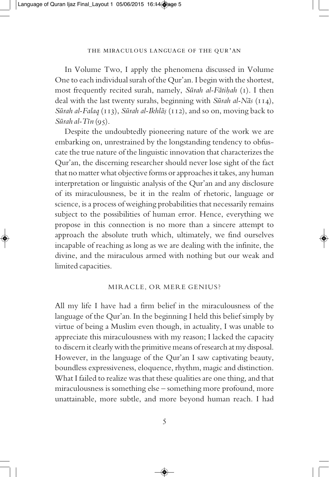In Volume Two, I apply the phenomena discussed in Volume One to each individual surah of the Qur'an. I begin with the shortest, most frequently recited surah, namely, *Sūrah al-Fātiḥah* (I). I then deal with the last twenty surahs, beginning with *Sūrah al-Nās* (114), *Sūrah al-Falaq* (113), *Sūrah al-Ikhlās* (112), and so on, moving back to *Sūrah al-Tīn* (95).

Despite the undoubtedly pioneering nature of the work we are embarking on, unrestrained by the longstanding tendency to obfuscate the true nature of the linguistic innovation that characterizes the Qur'an, the discerning researcher should never lose sight of the fact that no matter what objective forms or approaches it takes, any human interpretation or linguistic analysis of the Qur'an and any disclosure of its miraculousness, be it in the realm of rhetoric, language or science, is a process of weighing probabilities that necessarily remains subject to the possibilities of human error. Hence, everything we propose in this connection is no more than a sincere attempt to approach the absolute truth which, ultimately, we find ourselves incapable of reaching as long as we are dealing with the infinite, the divine, and the miraculous armed with nothing but our weak and limited capacities.

## MIRACLE, OR MERE GENIUS?

All my life I have had a firm belief in the miraculousness of the language of the Qur'an. In the beginning I held this belief simply by virtue of being a Muslim even though, in actuality, I was unable to appreciate this miraculousness with my reason; I lacked the capacity to discern it clearly with the primitivemeans ofresearch atmy disposal. However, in the language of the Qur'an I saw captivating beauty, boundless expressiveness, eloquence, rhythm, magic and distinction. What I failed to realize was that these qualities are one thing, and that miraculousness is something else – something more profound, more unattainable, more subtle, and more beyond human reach. I had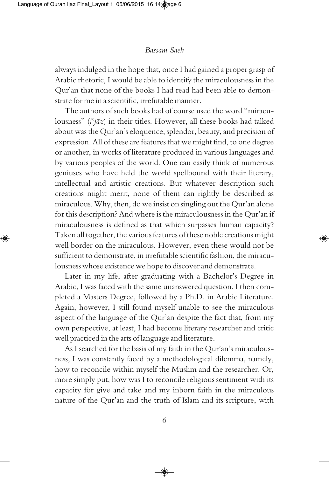always indulged in the hope that, once I had gained a proper grasp of Arabic rhetoric, I would be able to identify the miraculousness in the Qur'an that none of the books I had read had been able to demonstrate for me in ascientific, irrefutable manner.

The authors of such books had of course used the word "miraculousness" (*i*<sup>c</sup>jāz) in their titles. However, all these books had talked about was the Qur'an's eloquence, splendor, beauty, and precision of expression. All of these are features that we might find, to one degree or another, in works of literature produced in various languages and by various peoples of the world. One can easily think of numerous geniuses who have held the world spellbound with their literary, intellectual and artistic creations. But whatever description such creations might merit, none of them can rightly be described as miraculous. Why, then, do we insist on singling out the Qur'an alone for this description? And where is the miraculousness in the Qur'an if miraculousness is defined as that which surpasses human capacity? Taken all together, the various features of these noble creations might well border on the miraculous. However, even these would not be sufficient to demonstrate, in irrefutable scientific fashion, the miraculousness whose existence we hope to discoverand demonstrate.

Later in my life, after graduating with a Bachelor's Degree in Arabic, I was faced with the same unanswered question. I then completed a Masters Degree, followed by a Ph.D. in Arabic Literature. Again, however, I still found myself unable to see the miraculous aspect of the language of the Qur'an despite the fact that, from my own perspective, at least, I had become literary researcher and critic well practiced in the arts of language and literature.

As I searched for the basis of my faith in the Qur'an's miraculousness, I was constantly faced by a methodological dilemma, namely, how to reconcile within myself the Muslim and the researcher. Or, more simply put, how was I to reconcile religious sentiment with its capacity for give and take and my inborn faith in the miraculous nature of the Qur'an and the truth of Islam and its scripture, with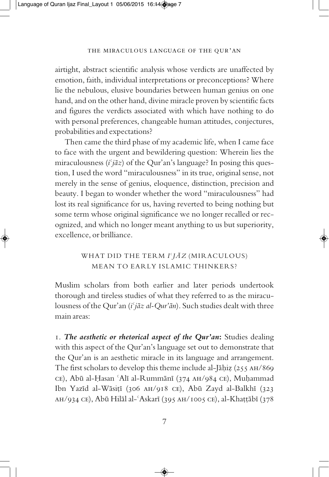airtight, abstract scientific analysis whose verdicts are unaffected by emotion, faith, individual interpretations or preconceptions? Where lie the nebulous, elusive boundaries between human genius on one hand, and on the other hand, divine miracle proven by scientific facts and figures the verdicts associated with which have nothing to do with personal preferences, changeable human attitudes, conjectures, probabilities and expectations?

Then came the third phase of my academic life, when I came face to face with the urgent and bewildering question: Wherein lies the miraculousness ( $i^c j \bar{a} z$ ) of the Qur'an's language? In posing this question, I used the word "miraculousness" in its true, original sense, not merely in the sense of genius, eloquence, distinction, precision and beauty. I began to wonder whether the word "miraculousness" had lost its real significance for us, having reverted to being nothing but some term whose original significance we no longer recalled or recognized, and which no longer meant anything to us but superiority, excellence, or brilliance.

## WHAT DID THE TERM *I<sup>c</sup>IAZ* (MIRACULOUS) MEAN TO EARLY ISLAMIC THINKERS?

Muslim scholars from both earlier and later periods undertook thorough and tireless studies of what they referred to as the miraculousness of the Qur'an (*i*'jāz al-Qur'ān). Such studies dealt with three main areas:

. *The aesthetic or rhetorical aspect of the Qur'an***:** Studies dealing with this aspect of the Qur'an's language set out to demonstrate that the Qur'an is an aesthetic miracle in its language and arrangement. The first scholars to develop this theme include al-Jāḥiz  $(255$  AH/869 CE), Abū al-Ḥasan ʿAlī al-Rummānī (374 AH/984 CE), Muḥammad Ibn Yazīd al-Wāsițī (306 AH/918 CE), Abū Zayd al-Balkhī (323 лн/934 се), Abū Hilāl al-ʿAskarī (395 лн/1005 се), al-Khaṭṭābī (378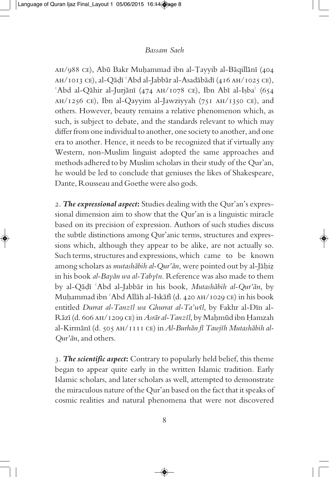AH/988 CE), Abū Bakr Muhammad ibn al-Tayyib al-Bāqillānī (404 AH/IOI3 CE), al-Qāḍī 'Abd al-Jabbār al-Asadābādī (416 AH/IO25 CE), 'Abd al-Qāhir al-Jurjānī (474 AH/1078 CE), Ibn Abī al-Isba<sup>c</sup> (654  $AH/I256$  CE), Ibn al-Qayyim al-Jawziyyah (751 AH/1350 CE), and others. However, beauty remains a relative phenomenon which, as such, is subject to debate, and the standards relevant to which may differ from one individual to another, one society to another, and one era to another. Hence, it needs to be recognized that if virtually any Western, non-Muslim linguist adopted the same approaches and methodsadhered to by Muslim scholars in their study of the Qur'an, he would be led to conclude that geniuses the likes of Shakespeare, Dante, Rousseau and Goethe were also gods.

. *The expressional aspect***:** Studies dealing with the Qur'an's expressional dimension aim to show that the Qur'an is a linguistic miracle based on its precision of expression. Authors of such studies discuss the subtle distinctions among Qur'anic terms, structures and expressions which, although they appear to be alike, are not actually so. Such terms, structures and expressions, which came to be known among scholars as *mutashābih al-Qur'ān*, were pointed out by al-Jāhiz in his book *al-Bayān wa al-Tabyīn*. Reference was also made to them by al-Qāḍī 'Abd al-Jabbār in his book, *Mutashābih al-Qur'ān*, by Muhammad ibn 'Abd Allāh al-Iskāfī (d. 420 AH/1029 CE) in his book entitled *Durrat al-TanzÏl wa Ghurrat al-Ta'wÏl*, by Fakhr al-DÏn al-Rāzī (d. 606 AH/1209 CE) in Asrār al-Tanzīl, by Mahmūd ibn Hamzah al-Kirmānī (d. 505 AH/IIII CE) in *Al-Burhān fī Tawjīh Mutashābih al-*Qur'an, and others.

. *The scientific aspect***:** Contrary to popularly held belief, this theme began to appear quite early in the written Islamic tradition. Early Islamic scholars, and later scholars as well, attempted to demonstrate the miraculous nature of the Qur'an based on the fact that it speaks of cosmic realities and natural phenomena that were not discovered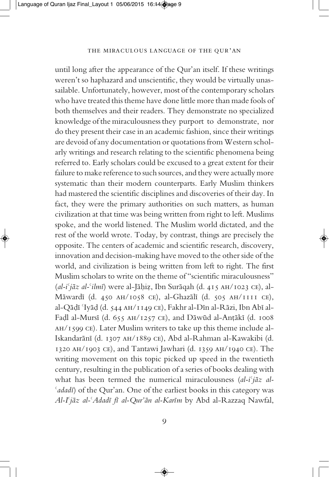until long after the appearance of the Qur'an itself. If these writings weren't so haphazard and unscientific, they would be virtually unassailable. Unfortunately, however, most of the contemporary scholars who have treated this theme have done little more than made fools of both themselves and their readers. They demonstrate no specialized knowledge of the miraculousness they purport to demonstrate, nor do they present their case in an academic fashion, since their writings are devoid ofany documentation or quotations from Western scholarly writings and research relating to the scientific phenomena being referred to. Early scholars could be excused to a great extent for their failure to make reference to such sources, and they were actually more systematic than their modern counterparts. Early Muslim thinkers had mastered the scientific disciplines and discoveries of their day. In fact, they were the primary authorities on such matters, as human civilization at that time was being written from right to left. Muslims spoke, and the world listened. The Muslim world dictated, and the rest of the world wrote. Today, by contrast, things are precisely the opposite. The centers of academic and scientific research, discovery, innovation and decision-making have moved to the other side of the world, and civilization is being written from left to right. The first Muslim scholars to write on the theme of "scientific miraculousness" (*al-i<sup>c</sup>jāz al-<sup>c</sup>ilmī*) were al-Jāhiz, Ibn Surāqah (d. 415 AH/1023 CE), al-Māwardī (d. 450 AH/1058 CE), al-Ghazālī (d. 505 AH/IIII CE), al-Qādī 'Iyād (d. 544 AH/1149 CE), Fakhr al-Dīn al-Rāzi, Ibn Abī al-Fadl al-Mursī (d. 655 AH/1257 CE), and Dāwūd al-Anțākī (d. 1008  $AH/I$  599 CE). Later Muslim writers to take up this theme include al-Iskandarānī (d. 1307 AH/1889 CE), Abd al-Rahman al-Kawakibi (d. 1320 AH/1903 CE), and Tantawi Jawhari (d. 1359 AH/1940 CE). The writing movement on this topic picked up speed in the twentieth century, resulting in the publication of a series of books dealing with what has been termed the numerical miraculousness (*al-i<sup>c</sup>jāz al-¢adadÏ*) of the Qur'an. One of the earliest books in this category was *Al-I¢j¥z al-¢AdadÏ fÏ al-Qur'¥n al-KarÏm* by Abd al-Razzaq Nawfal,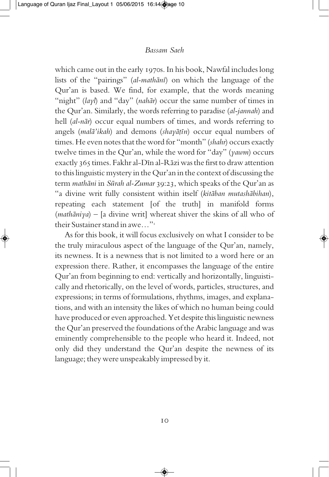which came out in the early 1970s. In his book, Nawfal includes long lists of the "pairings" (*al-mathānī*) on which the language of the Qur'an is based. We find, for example, that the words meaning "night" (*layl*) and "day" (*nahār*) occur the same number of times in the Qur'an. Similarly, the words referring to paradise (*al-jannah*) and hell (*al-n* $\bar{a}r$ ) occur equal numbers of times, and words referring to angels (*malā'ikah*) and demons (*shayātīn*) occur equal numbers of times. He even notes that the word for "month" (*shahr*) occurs exactly twelve times in the Qur'an, while the word for "day" (*yawm*) occurs exactly 365 times. Fakhr al-Dīn al-Rāzi was the first to draw attention to this linguistic mystery in the Qur'an in the context of discussing the term *mathāni* in *Sūrah al-Zumar* 39:23, which speaks of the Qur'an as "a divine writ fully consistent within itself (kitāban mutashābihan), repeating each statement [of the truth] in manifold forms (*mathāniya*) – [a divine writ] whereat shiver the skins of all who of their Sustainerstand in awe…"

As for this book, it will focus exclusively on what I consider to be the truly miraculous aspect of the language of the Qur'an, namely, its newness. It is a newness that is not limited to a word here or an expression there. Rather, it encompasses the language of the entire Qur'an from beginning to end: vertically and horizontally, linguistically and rhetorically, on the level of words, particles, structures, and expressions; in terms of formulations, rhythms, images, and explanations, and with an intensity the likes of which no human being could have produced or even approached. Yet despite this linguistic newness the Qur'an preserved the foundations of the Arabic language and was eminently comprehensible to the people who heard it. Indeed, not only did they understand the Qur'an despite the newness of its language; they were unspeakably impressed by it.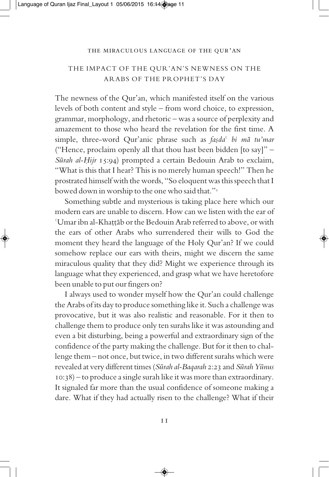#### THE MIRACULOUS LANGUAGE OF THE QUR'AN

# THE IMPACT OF THE QUR'AN'S NEWNESS ON THE ARABS OF THE PROPHET'S DAY

The newness of the Qur'an, which manifested itself on the various levels of both content and style – from word choice, to expression, grammar, morphology,and rhetoric – was asource of perplexity and amazement to those who heard the revelation for the first time. A simple, three-word Qur'anic phrase such as *fasda<sup>c</sup> bi mā tu'mar* ("Hence, proclaim openly all that thou hast been bidden [to say]" – *Sūrah al-Hijr* 15:94) prompted a certain Bedouin Arab to exclaim, "What is this that I hear? This is no merely human speech!" Then he prostrated himself with the words, "So eloquent was this speech that I bowed down in worship to the one who said that."

Something subtle and mysterious is taking place here which our modern ears are unable to discern. How can we listen with the ear of  $^{\circ}$ Umar ibn al-Khattāb or the Bedouin Arab referred to above, or with the ears of other Arabs who surrendered their wills to God the moment they heard the language of the Holy Qur'an? If we could somehow replace our ears with theirs, might we discern the same miraculous quality that they did? Might we experience through its language what they experienced, and grasp what we have heretofore been unable to put our fingers on?

I always used to wonder myself how the Qur'an could challenge the Arabs of its day to produce something like it. Such a challenge was provocative, but it was also realistic and reasonable. For it then to challenge them to produce only ten surahs like it was astounding and even a bit disturbing, being a powerful and extraordinary sign of the confidence of the party making the challenge. But for it then to challenge them – not once, but twice, in two different surahs which were revealed at very different times (*S‰rah al-Baqarah* : and *S‰rah Y‰nus*  $10:38$  – to produce a single surah like it was more than extraordinary. It signaled far more than the usual confidence of someone making a dare. What if they had actually risen to the challenge? What if their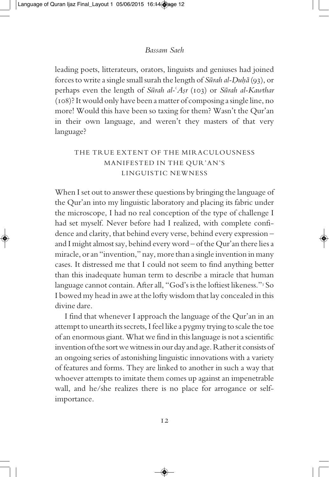leading poets, litterateurs, orators, linguists and geniuses had joined forces to write a single small surah the length of *Sūrah al-Duḥā* (93), or perhaps even the length of *Sūrah al-ʿAṣr* (103) or *Sūrah al-Kawthar* ()?It would only have been amatter of composing asingle line, no more! Would this have been so taxing for them? Wasn't the Qur'an in their own language, and weren't they masters of that very language?

# THE TRUE EXTENT OF THE MIRACULOUSNESS MANIFESTED IN THE QUR'AN'S LINGUISTIC NEWNESS

When I set out to answer these questions by bringing the language of the Qur'an into my linguistic laboratory and placing its fabric under the microscope, I had no real conception of the type of challenge I had set myself. Never before had I realized, with complete confidence and clarity, that behind every verse, behind every expression – and I might almost say, behind every word – of the Qur'an there lies a miracle, or an "invention," nay, more than a single invention in many cases. It distressed me that I could not seem to find anything better than this inadequate human term to describe a miracle that human language cannot contain. After all, "God's is the loftiest likeness." So I bowed my head in awe at the lofty wisdom that lay concealed in this divine dare.

I find that whenever I approach the language of the Qur'an in an attempt to unearth its secrets, I feel like a pygmy trying to scale the toe ofan enormous giant. What we find in this language is notascientific invention of the sort we witness in our day and age. Rather it consists of an ongoing series of astonishing linguistic innovations with a variety of features and forms. They are linked to another in such a way that whoever attempts to imitate them comes up against an impenetrable wall, and he/she realizes there is no place for arrogance or selfimportance.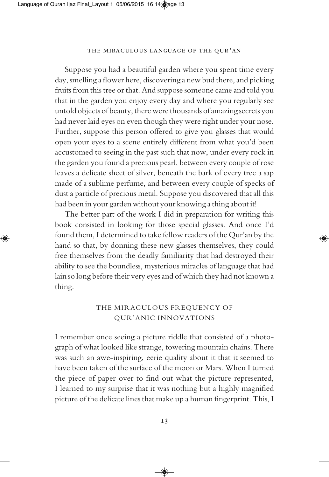#### THE MIRACULOUS LANGUAGE OF THE OUR'AN

Suppose you had a beautiful garden where you spent time every day, smelling a flower here, discovering a new bud there, and picking fruits from this tree or that. And suppose someone came and told you that in the garden you enjoy every day and where you regularly see untold objects of beauty, there were thousands ofamazing secrets you had never laid eyes on even though they were right under your nose. Further, suppose this person offered to give you glasses that would open your eyes to a scene entirely different from what you'd been accustomed to seeing in the past such that now, under every rock in the garden you found a precious pearl, between every couple of rose leaves a delicate sheet of silver, beneath the bark of every tree a sap made of a sublime perfume, and between every couple of specks of dust a particle of precious metal. Suppose you discovered that all this had been in your garden without your knowing athing about it!

The better part of the work I did in preparation for writing this book consisted in looking for those special glasses. And once I'd found them, I determined to take fellow readers of the Qur'an by the hand so that, by donning these new glasses themselves, they could free themselves from the deadly familiarity that had destroyed their ability to see the boundless, mysterious miracles of language that had lain so long before their very eyes and of which they had not known a thing.

# THE MIRACULOUS FREQUENCY OF QUR'ANIC INNOVATIONS

I remember once seeing a picture riddle that consisted of a photograph of what looked like strange, towering mountain chains. There was such an awe-inspiring, eerie quality about it that it seemed to have been taken of the surface of the moon or Mars. When I turned the piece of paper over to find out what the picture represented, I learned to my surprise that it was nothing but a highly magnified picture of the delicate lines that make up a human fingerprint. This, I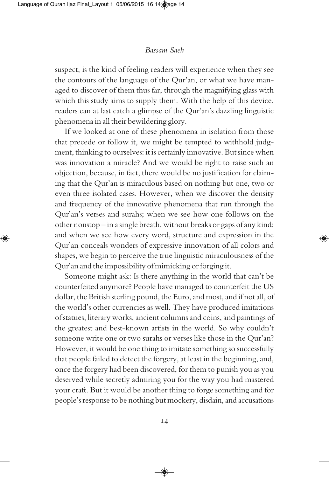suspect, is the kind of feeling readers will experience when they see the contours of the language of the Qur'an, or what we have managed to discover of them thus far, through the magnifying glass with which this study aims to supply them. With the help of this device, readers can at last catch a glimpse of the Qur'an's dazzling linguistic phenomenain all their bewildering glory.

If we looked at one of these phenomena in isolation from those that precede or follow it, we might be tempted to withhold judgment, thinking to ourselves: it is certainly innovative. But since when was innovation a miracle? And we would be right to raise such an objection, because, in fact, there would be no justification for claiming that the Qur'an is miraculous based on nothing but one, two or even three isolated cases. However, when we discover the density and frequency of the innovative phenomena that run through the Qur'an's verses and surahs; when we see how one follows on the other nonstop – in asingle breath, without breaks or gaps ofany kind; and when we see how every word, structure and expression in the Qur'an conceals wonders of expressive innovation of all colors and shapes, we begin to perceive the true linguistic miraculousness of the Qur'an and the impossibility of mimicking or forging it.

Someone might ask: Is there anything in the world that can't be counterfeited anymore? People have managed to counterfeit the US dollar, the British sterling pound, the Euro, and most, and if not all, of the world's other currencies as well. They have produced imitations of statues, literary works, ancient columns and coins, and paintings of the greatest and best-known artists in the world. So why couldn't someone write one or two surahs or verses like those in the Qur'an? However, it would be one thing to imitate something so successfully that people failed to detect the forgery, at least in the beginning, and, once the forgery had been discovered, for them to punish you as you deserved while secretly admiring you for the way you had mastered your craft. But it would be another thing to forge something and for people's response to be nothing but mockery, disdain, and accusations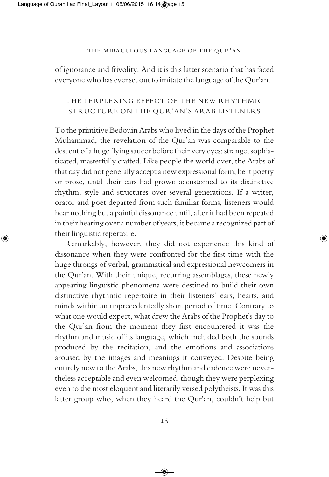of ignorance and frivolity. And it is this latter scenario that has faced everyone who has everset out to imitate the language of the Qur'an.

# THE PERPLEXING EFFECT OF THE NEW RHYTHMIC STRUCTURE ON THE QUR'AN'S ARAB LISTENERS

To the primitive Bedouin Arabs who lived in the days of the Prophet Muhammad, the revelation of the Qur'an was comparable to the descent ofa huge flying saucer before their very eyes: strange, sophisticated, masterfully crafted. Like people the world over, the Arabs of that day did not generally accepta new expressional form, be it poetry or prose, until their ears had grown accustomed to its distinctive rhythm, style and structures over several generations. If a writer, orator and poet departed from such familiar forms, listeners would hear nothing but a painful dissonance until, after it had been repeated in their hearing over a number of years, it became a recognized part of theirlinguistic repertoire.

Remarkably, however, they did not experience this kind of dissonance when they were confronted for the first time with the huge throngs of verbal, grammatical and expressional newcomers in the Qur'an. With their unique, recurring assemblages, these newly appearing linguistic phenomena were destined to build their own distinctive rhythmic repertoire in their listeners' ears, hearts, and minds within an unprecedentedly short period of time. Contrary to what one would expect, what drew the Arabs of the Prophet's day to the Qur'an from the moment they first encountered it was the rhythm and music of its language, which included both the sounds produced by the recitation, and the emotions and associations aroused by the images and meanings it conveyed. Despite being entirely new to the Arabs, this new rhythm and cadence were nevertheless acceptable and even welcomed, though they were perplexing even to the most eloquent and literarily versed polytheists. It was this latter group who, when they heard the Qur'an, couldn't help but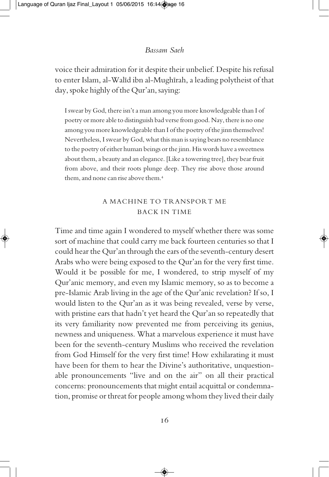voice their admiration for it despite their unbelief. Despite his refusal to enter Islam, al-Walīd ibn al-Mughīrah, a leading polytheist of that day, spoke highly of the Qur'an, saying:

I swear by God, there isn'ta man among you more knowledgeable than I of poetry or more able to distinguish bad verse from good. Nay, there is no one among you more knowledgeable than I of the poetry of the jinn themselves! Nevertheless, I swear by God, what this man is saying bears no resemblance to the poetry of either human beings orthe jinn. His words have asweetness about them, a beauty and an elegance. [Like a towering tree], they bear fruit from above, and their roots plunge deep. They rise above those around them, and none can rise above them.<sup>4</sup>

# A MACHINE TO TRANSPORT ME BACK IN TIME

Time and time again I wondered to myself whether there was some sort of machine that could carry me back fourteen centuries so that I could hear the Qur'an through the ears of the seventh-century desert Arabs who were being exposed to the Qur'an for the very first time. Would it be possible for me, I wondered, to strip myself of my Qur'anic memory, and even my Islamic memory, so as to become a pre-Islamic Arab living in the age of the Qur'anic revelation? If so, I would listen to the Qur'an as it was being revealed, verse by verse, with pristine ears that hadn't yet heard the Qur'an so repeatedly that its very familiarity now prevented me from perceiving its genius, newness and uniqueness. What a marvelous experience it must have been for the seventh-century Muslims who received the revelation from God Himself for the very first time! How exhilarating it must have been for them to hear the Divine's authoritative, unquestionable pronouncements "live and on the air" on all their practical concerns: pronouncements that might entail acquittal or condemnation, promise or threat for people among whom they lived their daily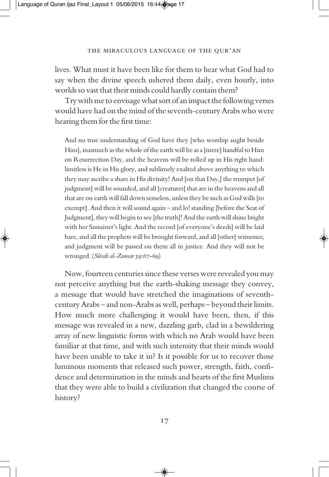lives. What must it have been like for them to hear what God had to say when the divine speech ushered them daily, even hourly, into worlds so vast that their minds could hardly contain them?

Try with me to envisage what sort of an impact the following verses would have had on the mind of the seventh-century Arabs who were hearing them for the first time:

And no true understanding of God have they [who worship aught beside Him], inasmuch as the whole of the earth will be as a [mere] handful to Him on Resurrection Day, and the heavens will be rolled up in His right hand: limitless is He in His glory, and sublimely exalted above anything to which they may ascribe a share in His divinity! And [on that Day,] the trumpet [of judgment] will be sounded, and all [creatures] that are in the heavens and all thatare on earth will fall down senseless, unless they be such as God wills [to exempt]. And then it will sound again – and lo! standing [before the Seat of Judgment], they will begin to see [the truth]! And the earth will shine bright with her Sustainer's light. And the record [of everyone's deeds] will be laid bare, and all the prophets will be brought forward, and all [other] witnesses; and judgment will be passed on them all in justice. And they will not be wronged. (*Sūrah al-Zumar* 39:67-69)

Now, fourteen centuries since these verses were revealed you may not perceive anything but the earth-shaking message they convey, a message that would have stretched the imaginations of seventhcentury Arabs – and non-Arabs as well, perhaps – beyond their limits. How much more challenging it would have been, then, if this message was revealed in a new, dazzling garb, clad in a bewildering array of new linguistic forms with which no Arab would have been familiar at that time, and with such intensity that their minds would have been unable to take it in? Is it possible for us to recover those luminous moments that released such power, strength, faith, confidence and determination in the minds and hearts of the first Muslims that they were able to build a civilization that changed the course of history?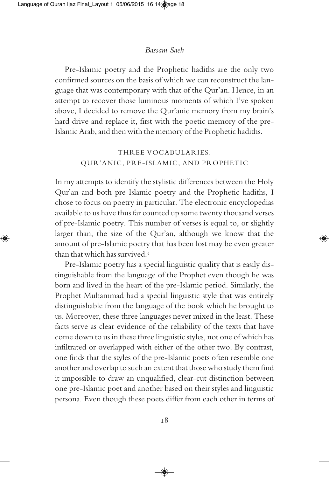Pre-Islamic poetry and the Prophetic hadiths are the only two confirmed sources on the basis of which we can reconstruct the language that was contemporary with that of the Qur'an. Hence, in an attempt to recover those luminous moments of which I've spoken above, I decided to remove the Qur'anic memory from my brain's hard drive and replace it, first with the poetic memory of the pre-Islamic Arab, and then with the memory of the Prophetic hadiths.

# THREE VOCABULARIES: QUR'ANIC, PRE-ISLAMIC, AND PROPHETIC

In my attempts to identify the stylistic differences between the Holy Qur'an and both pre-Islamic poetry and the Prophetic hadiths, I chose to focus on poetry in particular. The electronic encyclopedias available to us have thus far counted up some twenty thousand verses of pre-Islamic poetry. This number of verses is equal to, or slightly larger than, the size of the Qur'an, although we know that the amount of pre-Islamic poetry that has been lost may be even greater than that which has survived.<sup>5</sup>

Pre-Islamic poetry has a special linguistic quality that is easily distinguishable from the language of the Prophet even though he was born and lived in the heart of the pre-Islamic period. Similarly, the Prophet Muhammad had a special linguistic style that was entirely distinguishable from the language of the book which he brought to us. Moreover, these three languages never mixed in the least. These facts serve as clear evidence of the reliability of the texts that have come down to us in these three linguistic styles, not one of which has infiltrated or overlapped with either of the other two. By contrast, one finds that the styles of the pre-Islamic poets often resemble one another and overlap to such an extent that those who study them find it impossible to draw an unqualified, clear-cut distinction between one pre-Islamic poet and another based on their styles and linguistic persona. Even though these poets differ from each other in terms of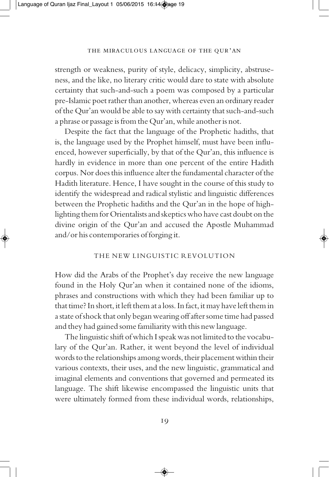strength or weakness, purity of style, delicacy, simplicity, abstruseness, and the like, no literary critic would dare to state with absolute certainty that such-and-such a poem was composed by a particular pre-Islamic poet rather than another, whereas even an ordinary reader of the Qur'an would be able to say with certainty that such-and-such a phrase or passage is from the Qur'an, while anotheris not.

Despite the fact that the language of the Prophetic hadiths, that is, the language used by the Prophet himself, must have been influenced, however superficially, by that of the Qur'an, this influence is hardly in evidence in more than one percent of the entire Hadith corpus. Nor does this influence alter the fundamental character of the Hadith literature. Hence, I have sought in the course of this study to identify the widespread and radical stylistic and linguistic differences between the Prophetic hadiths and the Qur'an in the hope of highlighting them for Orientalists and skeptics who have cast doubt on the divine origin of the Qur'an and accused the Apostle Muhammad and/or his contemporaries of forging it.

## THE NEW LINGUISTIC REVOLUTION

How did the Arabs of the Prophet's day receive the new language found in the Holy Qur'an when it contained none of the idioms, phrases and constructions with which they had been familiar up to that time? In short, it left them at a loss. In fact, it may have left them in a state of shock that only began wearing off after some time had passed and they had gained some familiarity with this new language.

The linguistic shift of which I speak was not limited to the vocabulary of the Qur'an. Rather, it went beyond the level of individual words to the relationships among words, their placement within their various contexts, their uses, and the new linguistic, grammatical and imaginal elements and conventions that governed and permeated its language. The shift likewise encompassed the linguistic units that were ultimately formed from these individual words, relationships,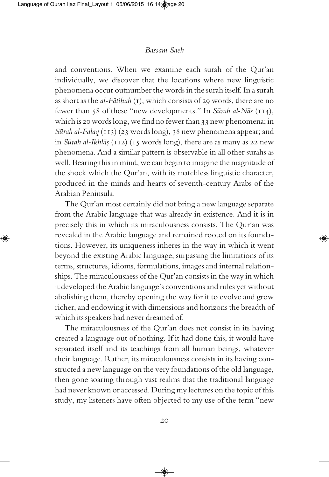and conventions. When we examine each surah of the Qur'an individually, we discover that the locations where new linguistic phenomena occur outnumber the words in the surah itself. In asurah as short as the *al-Fātiḥah* (1), which consists of 29 words, there are no fewer than 58 of these "new developments." In *Sūrah al-Nās* (114), which is 20 words long, we find no fewer than  $33$  new phenomena; in *Sūrah al-Falaq* (113) (23 words long), 38 new phenomena appear; and in *Sūrah al-Ikhlās* (112) (15 words long), there are as many as 22 new phenomena. And a similar pattern is observable in all other surahs as well. Bearing this in mind, we can begin to imagine the magnitude of the shock which the Qur'an, with its matchless linguistic character, produced in the minds and hearts of seventh-century Arabs of the Arabian Peninsula.

The Qur'an most certainly did not bring a new language separate from the Arabic language that was already in existence. And it is in precisely this in which its miraculousness consists. The Qur'an was revealed in the Arabic language and remained rooted on its foundations. However, its uniqueness inheres in the way in which it went beyond the existing Arabic language, surpassing the limitations of its terms, structures, idioms, formulations, images and internal relationships. The miraculousness of the Qur'an consists in the way in which it developed the Arabic language's conventionsand rules yet without abolishing them, thereby opening the way for it to evolve and grow richer, and endowing it with dimensions and horizons the breadth of which its speakers had never dreamed of.

The miraculousness of the Qur'an does not consist in its having created a language out of nothing. If it had done this, it would have separated itself and its teachings from all human beings, whatever their language. Rather, its miraculousness consists in its having constructed a new language on the very foundations of the old language, then gone soaring through vast realms that the traditional language had never known or accessed. During my lectures on the topic of this study, my listeners have often objected to my use of the term "new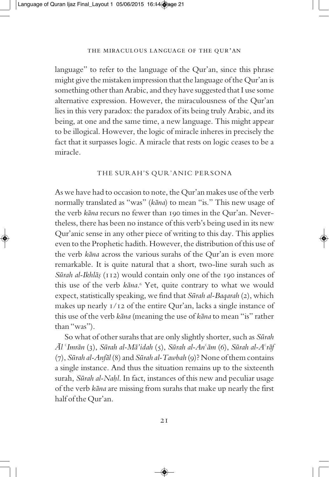language" to refer to the language of the Qur'an, since this phrase might give the mistaken impression that the language of the Qur'an is something other than Arabic, and they have suggested that I use some alternative expression. However, the miraculousness of the Qur'an lies in this very paradox: the paradox of its being truly Arabic, and its being, at one and the same time, a new language. This might appear to be illogical. However, the logic of miracle inheres in precisely the fact that it surpasses logic. A miracle that rests on logic ceases to be a miracle.

## THE SURAH'S QUR'ANIC PERSONA

As we have had to occasion to note, the Qur'an makes use of the verb normally translated as "was" (*kāna*) to mean "is." This new usage of the verb *kāna* recurs no fewer than 190 times in the Qur'an. Nevertheless, there has been no instance of this verb's being used in its new Qur'anic sense in any other piece of writing to this day. This applies even to the Prophetic hadith. However, the distribution of this use of the verb *kana* across the various surahs of the Qur'an is even more remarkable. It is quite natural that a short, two-line surah such as *Sūrah al-Ikhlās* (112) would contain only one of the 190 instances of this use of the verb *kāna*.<sup>6</sup> Yet, quite contrary to what we would expect, statistically speaking, we find that *Sūrah al-Baqarah* (2), which makes up nearly  $1/12$  of the entire Qur'an, lacks a single instance of this use of the verb *kana* (meaning the use of *kana* to mean "is" rather than "was").

So what of other surahs that are only slightly shorter, such as *Sūrah Al* <sup>*c*</sup>Imrān (3), *Sūrah al-Mā'idah* (5), *Sūrah al-An<sup>c</sup>ām* (6), *Sūrah al-A<sup>c</sup>rāf* (7), *Sūrah al-Anfāl* (8) and *Sūrah al-Tawbah* (9)? None of them contains a single instance. And thus the situation remains up to the sixteenth surah, *Sūrah al-Naḥl*. In fact, instances of this new and peculiar usage of the verb *kana* are missing from surahs that make up nearly the first half of the Qur'an.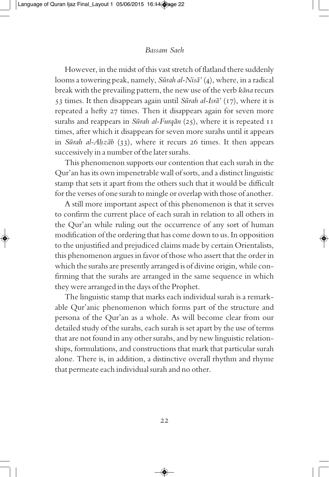However, in the midst of this vast stretch of flatland there suddenly looms a towering peak, namely, *Sūrah al-Nisā'* (4), where, in a radical break with the prevailing pattern, the new use of the verb *kana* recurs 53 times. It then disappears again until *Sūrah al-Isrā'* (17), where it is repeated a hefty 27 times. Then it disappears again for seven more surahs and reappears in *Sūrah al-Furqān* (25), where it is repeated 11 times, after which it disappears for seven more surahs until it appears in *Sūrah al-Ahzāb* (33), where it recurs 26 times. It then appears successively in a number of the later surahs.

This phenomenon supports our contention that each surah in the Qur'an has its own impenetrable wall of sorts, and a distinct linguistic stamp that sets it apart from the others such that it would be difficult for the verses of one surah to mingle or overlap with those of another.

A still more important aspect of this phenomenon is that it serves to confirm the current place of each surah in relation to all others in the Qur'an while ruling out the occurrence of any sort of human modification of the ordering that has come down to us. In opposition to the unjustified and prejudiced claims made by certain Orientalists, this phenomenon argues in favor of those who assert that the order in which the surahsare presently arranged is of divine origin, while confirming that the surahs are arranged in the same sequence in which they were arranged in the days of the Prophet.

The linguistic stamp that marks each individual surah is a remarkable Qur'anic phenomenon which forms part of the structure and persona of the Qur'an as a whole. As will become clear from our detailed study of the surahs, each surah is set apart by the use of terms that are not found in any other surahs, and by new linguistic relationships, formulations, and constructions that mark that particular surah alone. There is, in addition, a distinctive overall rhythm and rhyme that permeate each individual surah and no other.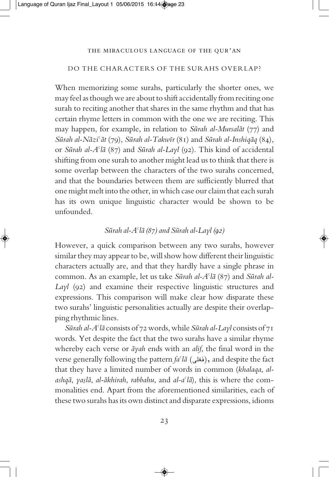#### THE MIRACULOUS LANGUAGE OF THE QUR'AN

## DO THE CHARACTERS OF THE SURAHS OVERLAP?

When memorizing some surahs, particularly the shorter ones, we may feel as though we are about to shift accidentally from reciting one surah to reciting another that shares in the same rhythm and that has certain rhyme letters in common with the one we are reciting. This may happen, for example, in relation to *Sūrah al-Mursalāt* (77) and *Sūrah al-Nāzi*<sup>c</sup> $\bar{a}t$  (79), *Sūrah al-Takwīr* (81) and *Sūrah al-Inshigāg* (84), or *Sūrah al-A<sup>c</sup>lā* (87) and *Sūrah al-Layl* (92). This kind of accidental shifting from one surah to another might lead us to think that there is some overlap between the characters of the two surahs concerned, and that the boundaries between them are sufficiently blurred that one might melt into the other, in which case our claim that each surah has its own unique linguistic character would be shown to be unfounded.

## $S\bar{u}$ rah al- $A^c$ lā (87) and  $S\bar{u}$ rah al-Layl (92)

However, a quick comparison between any two surahs, however similar they may appear to be, will show how different their linguistic characters actually are, and that they hardly have a single phrase in common. As an example, let us take *Sūrah al-A<sup>c</sup>lā* (87) and *Sūrah al-Layl* (92) and examine their respective linguistic structures and expressions. This comparison will make clear how disparate these two surahs' linguistic personalities actually are despite their overlapping rhythmic lines.

*Sūrah al-A<sup>c</sup>lā* consists of 72 words, while *Sūrah al-Layl* consists of 71 words. Yet despite the fact that the two surahs have a similar rhyme whereby each verse or  $\bar{a}$ *yah* ends with an *alif*, the final word in the verse generally following the pattern  $f a^\epsilon$ (فَعْلَى), and despite the fact that they have a limited number of words in common (*khalaqa*, *alashqā*, *yaşlā*, *al-ākhirah*, *rabbahu*, and *al-a<sup>c</sup>lā*), this is where the commonalities end. Apart from the aforementioned similarities, each of these two surahs has its own distinct and disparate expressions, idioms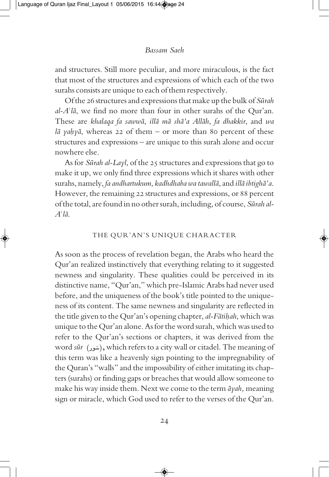and structures. Still more peculiar, and more miraculous, is the fact that most of the structures and expressions of which each of the two surahs consistsare unique to each of them respectively.

Of the 26 structures and expressions that make up the bulk of *Sūrah al-A<sup>c</sup>la*, we find no more than four in other surahs of the Our'an. These are *khalaqa fa saww¥*, *ill¥ m¥ sh¥'a All¥h*, *fa dhakkir*, and *wa lā yahyā*, whereas 22 of them – or more than 80 percent of these structures and expressions – are unique to this surah alone and occur nowhere else.

As for *Sūrah al-Layl*, of the 25 structures and expressions that go to make it up, we only find three expressions which it shares with other surahs, namely, *fa andhartukum*, *kadhdhaba wa tawallā*, and *illā ibtighā'a*. However, the remaining 22 structures and expressions, or 88 percent of the total, are found in no other surah, including, of course, *Sūrah al-* $A^{\epsilon}l\bar{a}$ .

## THE QUR'AN'S UNIQUE CHARACTER

As soon as the process of revelation began, the Arabs who heard the Qur'an realized instinctively that everything relating to it suggested newness and singularity. These qualities could be perceived in its distinctive name, "Qur'an," which pre-Islamic Arabs had never used before, and the uniqueness of the book's title pointed to the uniqueness of its content. The same newness and singularity are reflected in the title given to the Qur'an's opening chapter, *al-Fātiḥah*, which was unique to the Qur'an alone. As for the word surah, which was used to refer to the Qur'an's sections or chapters, it was derived from the word *sūr (شو*ر), which refers to a city wall or citadel. The meaning of this term was like a heavenly sign pointing to the impregnability of the Quran's "walls" and the impossibility of either imitating its chapters (surahs) or finding gaps or breaches that would allow someone to make his way inside them. Next we come to the term  $\bar{a}$ *yah*, meaning sign or miracle, which God used to refer to the verses of the Qur'an.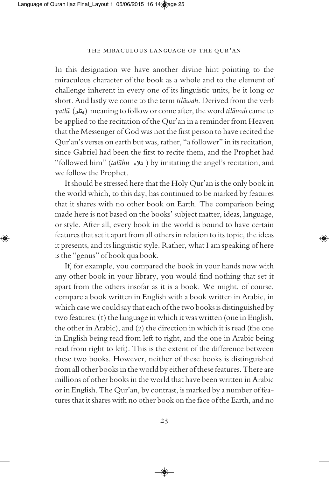In this designation we have another divine hint pointing to the miraculous character of the book as a whole and to the element of challenge inherent in every one of its linguistic units, be it long or short. And lastly we come to the term *tilāwah*. Derived from the verb *yatlū* (يتلو) meaning to follow or come after, the word *tilāwah* came to be applied to the recitation of the Qur'an in a reminder from Heaven that the Messenger of God was not the first person to have recited the Qur'an's verses on earth but was, rather, "afollower" in its recitation, since Gabriel had been the first to recite them, and the Prophet had "followed him" (*talāhu* نلاه) by imitating the angel's recitation, and we follow the Prophet.

It should be stressed here that the Holy Qur'an is the only book in the world which, to this day, has continued to be marked by features that it shares with no other book on Earth. The comparison being made here is not based on the books' subject matter, ideas, language, or style. After all, every book in the world is bound to have certain features that set it apart from all others in relation to its topic, the ideas it presents, and its linguistic style. Rather, what I am speaking of here is the "genus" of book qua book.

If, for example, you compared the book in your hands now with any other book in your library, you would find nothing that set it apart from the others insofar as it is a book. We might, of course, compare a book written in English with a book written in Arabic, in which case we could say that each of the two books is distinguished by two features:  $(I)$  the language in which it was written (one in English, the other in Arabic), and  $(2)$  the direction in which it is read (the one in English being read from left to right, and the one in Arabic being read from right to left). This is the extent of the difference between these two books. However, neither of these books is distinguished fromall other books in the world by either of these features.There are millions of other books in the world that have been written in Arabic or in English. The Qur'an, by contrast, is marked by a number of features that it shares with no other book on the face of the Earth, and no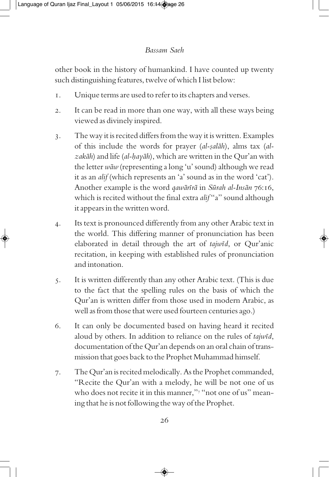other book in the history of humankind. I have counted up twenty such distinguishing features, twelve of which I list below:

- I. Unique terms are used to refer to its chapters and verses.
- . It can be read in more than one way, with all these ways being viewed as divinely inspired.
- . The way it isrecited differs from the way it is written. Examples of this include the words for prayer (*al-salah*), alms tax (*al*zakāh) and life (al-hayāh), which are written in the Qur'an with the letter *wāw* (representing a long 'u' sound) although we read it as an *alif* (which represents an 'a' sound as in the word 'cat'). Another example is the word *qawārīrā* in *Sūrah al-Insān* 76:16, which is recited without the final extra *alif* "a" sound although itappears in the written word.
- . Its text is pronounced differently from any other Arabic text in the world. This differing manner of pronunciation has been elaborated in detail through the art of *tajwid*, or Qur'anic recitation, in keeping with established rules of pronunciation and intonation.
- . It is written differently than any other Arabic text. (This is due to the fact that the spelling rules on the basis of which the Qur'an is written differ from those used in modern Arabic, as well as from those that were used fourteen centuries ago.)
- . It can only be documented based on having heard it recited aloud by others. In addition to reliance on the rules of *tajwÏd*, documentation of the Qur'an depends on an oral chain of transmission that goes back to the Prophet Muhammad himself.
- . The Qur'an isrecitedmelodically.As the Prophet commanded, "Recite the Qur'an with a melody, he will be not one of us who does not recite it in this manner,"<sup>7</sup> "not one of us" meaning that he is not following the way of the Prophet.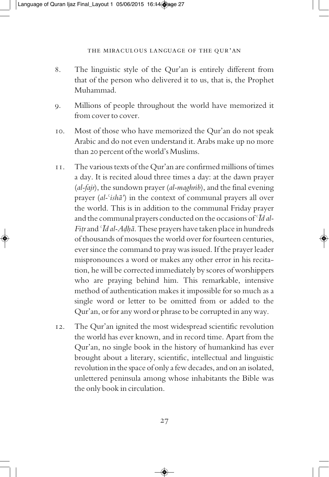- . The linguistic style of the Qur'an is entirely different from that of the person who delivered it to us, that is, the Prophet Muhammad.
- . Millions of people throughout the world have memorized it from cover to cover.
- . Most of those who have memorized the Qur'an do not speak Arabic and do not even understand it. Arabs make up no more than 20 percent of the world's Muslims.
- . The various texts of the Qur'an are confirmed millions of times a day. It is recited aloud three times a day: at the dawn prayer (*al-fajr*), the sundown prayer (*al-maghrib*), and the final evening prayer (*al-<sup>c</sup>isha<sup>'</sup>*) in the context of communal prayers all over the world. This is in addition to the communal Friday prayer and the communal prayers conducted on the occasions of *<sup>c</sup>Id al*-*Fitr* and *<sup>c</sup>Id al-Adhā*. These prayers have taken place in hundreds of thousands of mosques the world over for fourteen centuries, ever since the command to pray was issued. If the prayer leader mispronounces a word or makes any other error in his recitation, he will be corrected immediately by scores of worshippers who are praying behind him. This remarkable, intensive method of authentication makes it impossible for so much as a single word or letter to be omitted from or added to the Qur'an, orforany word or phrase to be corrupted in any way.
- . The Qur'an ignited the most widespread scientific revolution the world has ever known, and in record time. Apart from the Qur'an, no single book in the history of humankind has ever brought about a literary, scientific, intellectual and linguistic revolution in the space of only a few decades, and on an isolated, unlettered peninsula among whose inhabitants the Bible was the only book in circulation.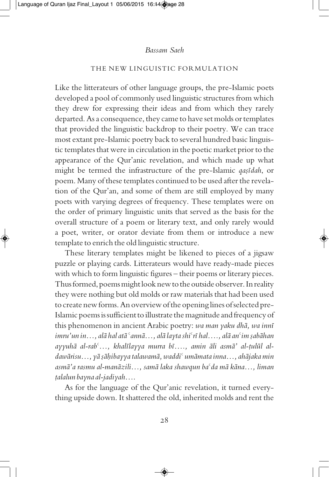### THE NEW LINGUISTIC FORMULATION

Like the litterateurs of other language groups, the pre-Islamic poets developed a pool of commonly used linguistic structures from which they drew for expressing their ideas and from which they rarely departed. As a consequence, they came to have set molds or templates that provided the linguistic backdrop to their poetry. We can trace most extant pre-Islamic poetry back to several hundred basic linguistic templates that were in circulation in the poetic market prior to the appearance of the Qur'anic revelation, and which made up what might be termed the infrastructure of the pre-Islamic qașidah, or poem. Many of these templates continued to be used after the revelation of the Qur'an, and some of them are still employed by many poets with varying degrees of frequency. These templates were on the order of primary linguistic units that served as the basis for the overall structure of a poem or literary text, and only rarely would a poet, writer, or orator deviate from them or introduce a new template to enrich the old linguistic structure.

These literary templates might be likened to pieces of a jigsaw puzzle or playing cards. Litterateurs would have ready-made pieces with which to form linguistic figures – their poems or literary pieces. Thus formed, poems might look new to the outside observer. In reality they were nothing but old molds or raw materials that had been used to create new forms. An overview of the opening lines of selected pre-Islamic poems is sufficient to illustrate the magnitude and frequency of this phenomenon in ancient Arabic poetry: wa man yaku dhā, wa innī  $imru'un in...$ , alā hal atā  $\epsilon$ annā $...,$  alā layta shi $\epsilon$ rī hal $...,$  alā an $\epsilon$ im sabāhan ayyuhā al-rab<sup>c</sup>..., khalīlayya murra bī...., amin āli asmā' al-țulūl al $daw\bar{a}$ risu..., yā sāhibayya talawamā, waddi $\epsilon$ umāmata inna..., ahājaka min asmā'a rasmu al-manāzili..., samā laka shawqun baʿda mā kāna..., liman talalun bayna al-jadiyah....

As for the language of the Qur'anic revelation, it turned everything upside down. It shattered the old, inherited molds and rent the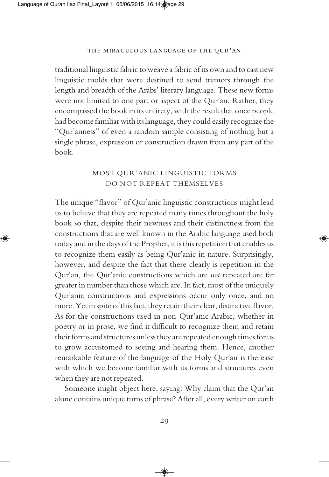traditional linguistic fabric to weave afabric of its own and to cast new linguistic molds that were destined to send tremors through the length and breadth of the Arabs' literary language. These new forms were not limited to one part or aspect of the Qur'an. Rather, they encompassed the book in its entirety, with the result that once people had become familiar with its language, they could easily recognize the "Qur'anness" of even a random sample consisting of nothing but a single phrase, expression or construction drawn from any part of the book.

# MOST QUR'ANIC LINGUISTIC FORMS DO NOT REPEAT THEMSELVES

The unique "flavor" of Qur'anic linguistic constructions might lead us to believe that they are repeated many times throughout the holy book so that, despite their newness and their distinctness from the constructions that are well known in the Arabic language used both today and in the days of the Prophet, it is this repetition that enables us to recognize them easily as being Qur'anic in nature. Surprisingly, however, and despite the fact that there clearly is repetition in the Qur'an, the Qur'anic constructions which are *not* repeated are far greater in number than those which are. In fact, most of the uniquely Qur'anic constructions and expressions occur only once, and no more. Yet in spite of this fact, they retain their clear, distinctive flavor. As for the constructions used in non-Qur'anic Arabic, whether in poetry or in prose, we find it difficult to recognize them and retain their forms and structures unless they are repeated enough times for us to grow accustomed to seeing and hearing them. Hence, another remarkable feature of the language of the Holy Qur'an is the ease with which we become familiar with its forms and structures even when they are not repeated.

Someone might object here, saying: Why claim that the Qur'an alone contains unique turns of phrase? Afterall, every writer on earth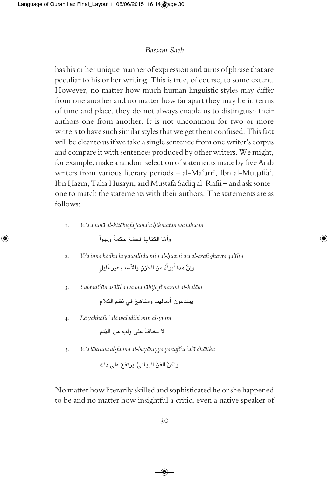has his or her unique manner of expression and turns of phrase that are peculiar to his or her writing. This is true, of course, to some extent. However, no matter how much human linguistic styles may differ from one another and no matter how far apart they may be in terms of time and place, they do not always enable us to distinguish their authors one from another. It is not uncommon for two or more writers to have such similar styles that we get them confused. This fact will be clear to us if we take a single sentence from one writer's corpus and compare it with sentences produced by other writers. We might, for example, make a random selection of statements made by five Arab writers from various literary periods - al-Ma $\arcsin$ , Ibn al-Muqaffa $\arccos$ , Ibn Hazm, Taha Husayn, and Mustafa Sadiq al-Rafii – and ask someone to match the statements with their authors. The statements are as  $follows$ 

 $\mathbf{r}$ Wa ammā al-kitābu fa jama<sup>c</sup>a hikmatan wa lahwan

وأمّا الكتابُ فجمَعَ حكمةً ولهواً

- Wa inna hādha la yuwallidu min al-huzni wa al-asafi ghayra qalīlin  $\overline{2}$ . وإنّ هذا لَيولِّدُ من الحُرْن والأَسفِ غيرَ قَلِيل
- Yabtadi<sup>c</sup>ūn asālība wa manāhija fī nazmi al-kalām  $\overline{\mathbf{3}}$ .

Lā yakhāfu 'alā waladihi min al-yutm  $\overline{4}$ .

لا يخافُ على ولدِه من اليُتم

Wa lākinna al-fanna al-bayāniyya yartafi<sup>c</sup>u <sup>c</sup>alā dhālika  $\mathcal{S}$ .

No matter how literarily skilled and sophisticated he or she happened to be and no matter how insightful a critic, even a native speaker of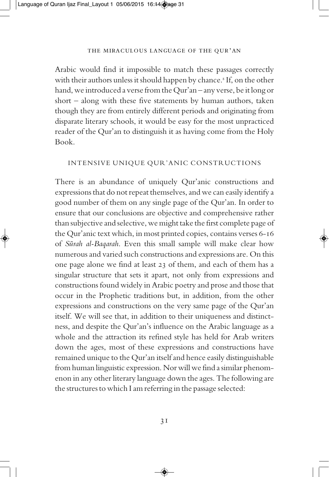Arabic would find it impossible to match these passages correctly with their authors unless it should happen by chance.<sup>8</sup> If, on the other hand, we introduced a verse fromthe Qur'an – any verse, be it long or short – along with these five statements by human authors, taken though they are from entirely different periods and originating from disparate literary schools, it would be easy for the most unpracticed reader of the Qur'an to distinguish it as having come from the Holy Book.

### INTENSIVE UNIQUE QUR'ANIC CONSTRUCTIONS

There is an abundance of uniquely Qur'anic constructions and expressions that do not repeat themselves, and we can easily identify a good number of them on any single page of the Qur'an. In order to ensure that our conclusions are objective and comprehensive rather than subjective and selective, we might take the first complete page of the Qur'anic text which, in most printed copies, contains verses 6-16 of *S‰rah al-Baqarah*. Even this small sample will make clear how numerous and varied such constructions and expressions are. On this one page alone we find at least 23 of them, and each of them has a singular structure that sets it apart, not only from expressions and constructions found widely in Arabic poetry and prose and those that occur in the Prophetic traditions but, in addition, from the other expressions and constructions on the very same page of the Qur'an itself. We will see that, in addition to their uniqueness and distinctness, and despite the Qur'an's influence on the Arabic language as a whole and the attraction its refined style has held for Arab writers down the ages, most of these expressions and constructions have remained unique to the Qur'an itselfand hence easily distinguishable from human linguistic expression. Nor will we find asimilar phenomenon in any other literary language down the ages. The following are the structures to which Iam referring in the passage selected: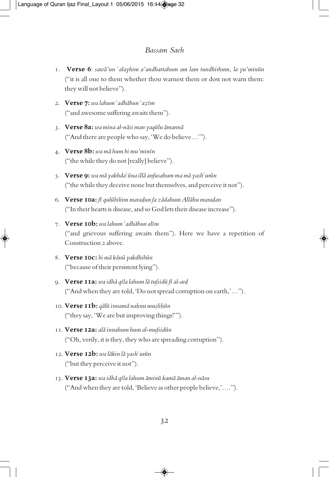- I. Verse 6: sawa'un 'alayhim a'andhartahum am lam tundhirhum, la yu'minūn ("it is all one to them whether thou warnest them or dost not warn them: they will not believe").
- 2. Verse 7: wa lahum 'adhābun 'azīm ("and awesome suffering awaits them").
- 3. Verse 8a: wa mina al-nāsi man yaqūlu āmannā ("And there are people who say, 'We do believe..."").
- 4. Verse 8b: wa mā hum bi mu'minīn ("the while they do not [really] believe").
- 5. Verse 9: wa mā vakhda ūna illā anfusahum ma mā vash urūn ("the while they deceive none but themselves, and perceive it not").
- 6. Verse 10a: fī qulūbihim maradun fa zādahum Allāhu maradan ("In their hearts is disease, and so God lets their disease increase").
- 7. Verse 10b: wa lahum 'adhābun alīm ("and grievous suffering awaits them"). Here we have a repetition of Construction 2 above.
- 8. Verse 10c: bi mā kānū yakdhibūn ("because of their persistent lying").
- 9. Verse IIa: wa idhā qīla lahum lā tufsidū fī al-ard ("And when they are told, 'Do not spread corruption on earth,'...").
- 10. Verse 11b: gālū innamā nahnu muslihūn ("they say, 'We are but improving things!"").
- 11. Verse 12a: alā innahum hum al-mufsidūn ("Oh, verily, it is they, they who are spreading corruption").
- 12. Verse 12b: wa lākin lā yash urūn ("but they perceive it not").
- 13. Verse 13a: wa idhā gīla lahum āminū kamā āman al-nāsu ("And when they are told, 'Believe as other people believe,'....").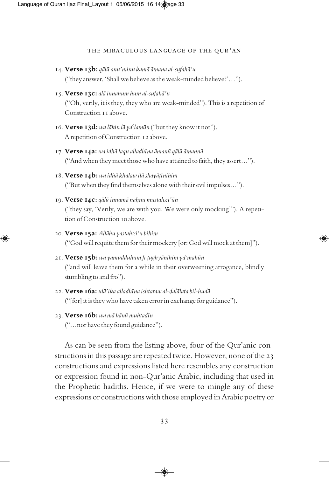### THE MIRACULOUS LANGUAGE OF THE QUR'AN

- . **Verse b:** *q¥l‰ anu'minu kam¥ ¥mana al-sufah¥'u* ("they answer, 'Shall we believe as the weak-minded believe?'…").
- 15. **Verse 13c:** alā innahum hum al-sufahā'u ("Oh, verily, it is they, they who are weak-minded"). This isarepetition of Construction 11 above.
- 16. **Verse 13d:** *wa lākin lā ya* '*lamūn* ("but they know it not"). A repetition of Construction 12 above.
- 17. Verse 14a: *wa idhā laqu alladhīna āmanū qālū āmannā* ("And when they meet those who have attained to faith, they assert…").
- $\overline{18}$ . **Verse**  $\overline{14b}$ **:** *wa idhā khalaw ilā shayātīnihim* ("But when they find themselvesalone with their evil impulses…").
- 19. Verse 14c: *qālū innamā nahnu mustahzi'ūn* ("they say, 'Verily, we are with you. We were only mocking'"). A repetition of Construction to above.
- . **Verse a:***All¥hu yastahzi'u bihim* ("God will requite them for their mockery [or: God will mock at them]").
- . **Verse b:** *wa yamudduhumfÏ ~ughy¥nihimya¢mah‰n* ("and will leave them for a while in their overweening arrogance, blindly stumbling to and fro").
- . **Verse a:** *ul¥'ika alladhÏna ishtaraw al-\al¥lata bil-hud¥* ("[for] it is they who have taken errorin exchange for guidance").
- 23. Verse 16b: wa mā kānū muhtadīn ("…nor have they found guidance").

As can be seen from the listing above, four of the Qur'anic constructions in this passage are repeated twice. However, none of the constructions and expressions listed here resembles any construction or expression found in non-Qur'anic Arabic, including that used in the Prophetic hadiths. Hence, if we were to mingle any of these expressions or constructions with those employed in Arabic poetry or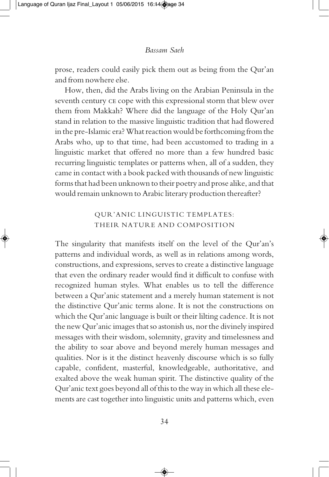prose, readers could easily pick them out as being from the Qur'an and from nowhere else.

How, then, did the Arabs living on the Arabian Peninsula in the seventh century CE cope with this expressional storm that blew over them from Makkah? Where did the language of the Holy Qur'an stand in relation to the massive linguistic tradition that had flowered in the pre-Islamic era? What reaction would be forthcoming from the Arabs who, up to that time, had been accustomed to trading in a linguistic market that offered no more than a few hundred basic recurring linguistic templates or patterns when, all of a sudden, they came in contact with a book packed with thousands of new linguistic forms that had been unknown to their poetry and prose alike, and that would remain unknown to Arabic literary production thereafter?

# QUR'ANIC LINGUISTIC TEMPLATES: THEIR NATURE AND COMPOSITION

The singularity that manifests itself on the level of the Qur'an's patterns and individual words, as well as in relations among words, constructions, and expressions, serves to create a distinctive language that even the ordinary reader would find it difficult to confuse with recognized human styles. What enables us to tell the difference between a Qur'anic statement and a merely human statement is not the distinctive Qur'anic terms alone. It is not the constructions on which the Qur'anic language is built or their lilting cadence. It is not the new Qur'anic images that so astonish us, nor the divinely inspired messages with their wisdom, solemnity, gravity and timelessness and the ability to soar above and beyond merely human messages and qualities. Nor is it the distinct heavenly discourse which is so fully capable, confident, masterful, knowledgeable, authoritative, and exalted above the weak human spirit. The distinctive quality of the Qur'anic text goes beyond all of this to the way in which all these elements are cast together into linguistic units and patterns which, even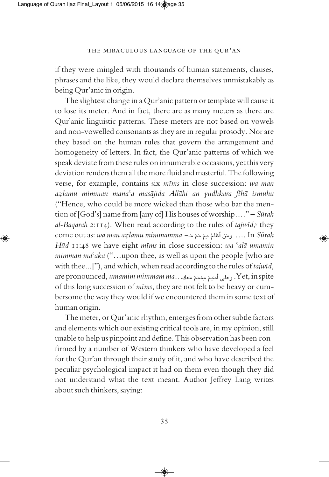if they were mingled with thousands of human statements, clauses, phrases and the like, they would declare themselves unmistakably as being Qur'anic in origin.

The slightest change in a Qur'anic pattern or template will cause it to lose its meter. And in fact, there are as many meters as there are Qur'anic linguistic patterns. These meters are not based on vowels and non-vowelled consonants as they are in regular prosody. Nor are they based on the human rules that govern the arrangement and homogeneity of letters. In fact, the Qur'anic patterns of which we speak deviate from these rules on innumerable occasions, yet this very deviation renders them all the more fluid and masterful. The following verse, for example, contains six mims in close succession: wa man azlamu mimman mana<sup>c</sup>a masājida Allāhi an yudhkara fīhā ismuhu ("Hence, who could be more wicked than those who bar the mention of [God's] name from [any of] His houses of worship...." - Sūrah al-Bagarah 2:114). When read according to the rules of tajwid,<sup>9</sup> they come out as: wa man azlamu mimmamma - ومَن أظلمُ مِعْ مَعْ مَدْ ... In Sūrah Hūd 11:48 we have eight mims in close succession: wa 'alā umamin *mimman ma'aka* ("...upon thee, as well as upon the people [who are with thee...]"), and which, when read according to the rules of *tajwid*, are pronounced, umamim mimmam ma.. . وعلى أَمَمِ مِعْمَمْ مَعْك . . . are pronounced, umamim mimmam ma of this long succession of mims, they are not felt to be heavy or cumbersome the way they would if we encountered them in some text of human origin.

The meter, or Qur'anic rhythm, emerges from other subtle factors and elements which our existing critical tools are, in my opinion, still unable to help us pinpoint and define. This observation has been confirmed by a number of Western thinkers who have developed a feel for the Qur'an through their study of it, and who have described the peculiar psychological impact it had on them even though they did not understand what the text meant. Author Jeffrey Lang writes about such thinkers, saying: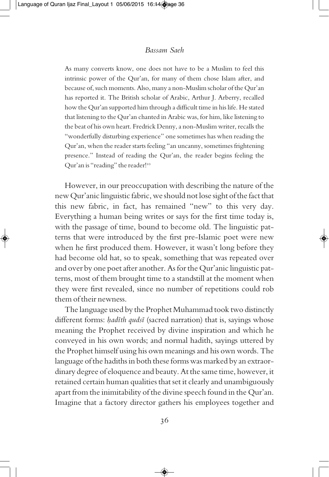As many converts know, one does not have to be a Muslim to feel this intrinsic power of the Qur'an, for many of them chose Islam after, and because of, such moments. Also, many a non-Muslim scholar of the Qur'an has reported it. The British scholar of Arabic, Arthur J. Arberry, recalled how the Qur'an supported him through a difficult time in his life. He stated that listening to the Qur'an chanted in Arabic was, for him, like listening to the beat of his own heart. Fredrick Denny, a non-Muslim writer, recalls the "wonderfully disturbing experience" one sometimes has when reading the Qur'an, when the reader starts feeling "an uncanny, sometimes frightening presence." Instead of reading the Qur'an, the reader begins feeling the Qur'an is "reading" the reader!<sup>10</sup>

However, in our preoccupation with describing the nature of the new Qur'anic linguistic fabric, we should not lose sight of the fact that this new fabric, in fact, has remained "new" to this very day. Everything a human being writes or says for the first time today is, with the passage of time, bound to become old. The linguistic patterns that were introduced by the first pre-Islamic poet were new when he first produced them. However, it wasn't long before they had become old hat, so to speak, something that was repeated over and over by one poet after another. As for the Qur'anic linguistic patterns, most of them brought time to a standstill at the moment when they were first revealed, since no number of repetitions could rob them of their newness.

The language used by the Prophet Muhammad took two distinctly different forms: *hadīth qudsī* (sacred narration) that is, sayings whose meaning the Prophet received by divine inspiration and which he conveyed in his own words; and normal hadith, sayings uttered by the Prophet himself using his own meanings and his own words. The language of the hadiths in both these forms was marked by an extraordinary degree of eloquence and beauty.At the same time, however, it retained certain human qualities that set it clearly and unambiguously apart from the inimitability of the divine speech found in the Qur'an. Imagine that a factory director gathers his employees together and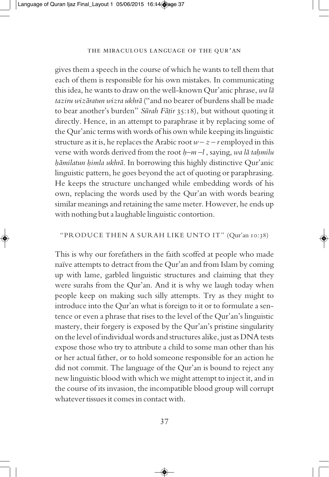gives them a speech in the course of which he wants to tell them that each of them is responsible for his own mistakes. In communicating this idea, he wants to draw on the well-known Qur'anic phrase, wa la *taziru wizāratun wizra ukhrā* ("and no bearer of burdens shall be made to bear another's burden" *Sūrah Fāṭir* 35:18), but without quoting it directly. Hence, in an attempt to paraphrase it by replacing some of the Qur'anic terms with words of his own while keeping its linguistic structure as it is, he replaces the Arabic root  $w-z-r$  employed in this verse with words derived from the root  $h$ – $m$  –l, saying, *wa* la *tahmilu hāmilatun himla ukhrā*. In borrowing this highly distinctive Qur'anic linguistic pattern, he goes beyond the act of quoting or paraphrasing. He keeps the structure unchanged while embedding words of his own, replacing the words used by the Qur'an with words bearing similar meanings and retaining the same meter. However, he ends up with nothing but a laughable linguistic contortion.

### "PRODUCE THEN A SURAH LIKE UNTO IT" (Qur'an 10:38)

This is why our forefathers in the faith scoffed at people who made naïve attempts to detract from the Qur'an and from Islam by coming up with lame, garbled linguistic structures and claiming that they were surahs from the Qur'an. And it is why we laugh today when people keep on making such silly attempts. Try as they might to introduce into the Qur'an what is foreign to it or to formulate a sentence or even a phrase that rises to the level of the Qur'an's linguistic mastery, their forgery is exposed by the Qur'an's pristine singularity on the level of individual words and structures alike, just as DNA tests expose those who try to attribute a child to some man other than his or her actual father, or to hold someone responsible for an action he did not commit. The language of the Qur'an is bound to reject any new linguistic blood with which we might attempt to inject it, and in the course of its invasion, the incompatible blood group will corrupt whatever tissues it comes in contact with.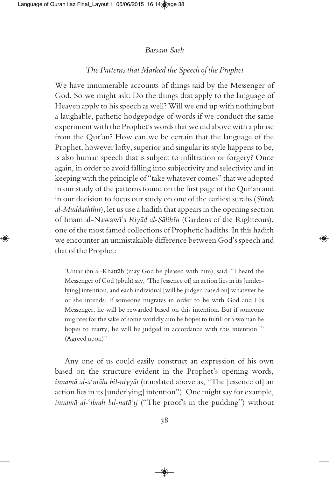# *The Patterns that Marked the Speech of the Prophet*

We have innumerable accounts of things said by the Messenger of God. So we might ask: Do the things that apply to the language of Heaven apply to his speech as well? Will we end up with nothing but a laughable, pathetic hodgepodge of words if we conduct the same experiment with the Prophet's words that we did above with a phrase from the Qur'an? How can we be certain that the language of the Prophet, however lofty, superior and singular its style happens to be, is also human speech that is subject to infiltration or forgery? Once again, in order to avoid falling into subjectivity and selectivity and in keeping with the principle of "take whatever comes" that we adopted in our study of the patterns found on the first page of the Qur'an and in our decision to focus our study on one of the earliest surahs (*S‰rah al-Muddaththir*), let us use a hadith thatappears in the opening section of Imam al-Nawawī's *Riyāḍ al-Ṣāliḥīn* (Gardens of the Righteous), one of the most famed collections of Prophetic hadiths. In this hadith we encounter an unmistakable difference between God's speech and that of the Prophet:

'Umar ibn al-Khaṭṭāb (may God be pleased with him), said, "I heard the Messenger of God (pbuh) say, 'The [essence of] an action lies in its [underlying] intention, and each individual [will be judged based on] whatever he or she intends. If someone migrates in order to be with God and His Messenger, he will be rewarded based on this intention. But if someone migrates for the sake of some worldly aim he hopes to fulfill or a woman he hopes to marry, he will be judged in accordance with this intention.'" (Agreed upon)

Any one of us could easily construct an expression of his own based on the structure evident in the Prophet's opening words, *innamā al-a<sup>c</sup>mālu bil-niyyāt* (translated above as, "The [essence of] an action lies in its [underlying] intention"). One might say for example, *innamā al-'ibrah bil-natā'ij* ("The proof's in the pudding") without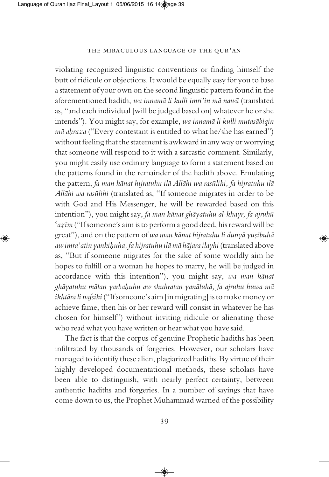violating recognized linguistic conventions or finding himself the butt of ridicule or objections. It would be equally easy for you to base a statement of your own on the second linguistic pattern found in the aforementioned hadith, wa innamā li kulli imri'in mā nawā (translated as, "and each individual [will be judged based on] whatever he or she intends"). You might say, for example, wa innamā li kulli mutasābigin *mā ahraza* ("Every contestant is entitled to what he/she has earned") without feeling that the statement is awkward in any way or worrying that someone will respond to it with a sarcastic comment. Similarly, you might easily use ordinary language to form a statement based on the patterns found in the remainder of the hadith above. Emulating the pattern, fa man kānat hijratuhu ilā Allāhi wa rasūlihi, fa hijratuhu ilā Allāhi wa rasūlihi (translated as, "If someone migrates in order to be with God and His Messenger, he will be rewarded based on this intention"), you might say, fa man kānat ghāyatuhu al-khayr, fa ajruhū 'azīm ("If someone's aim is to perform a good deed, his reward will be great"), and on the pattern of wa man kānat hijratuhu li dunyā yușībuhā aw imra'atin yankihuha, fa hijratuhu ilā mā hājara ilayhi (translated above as, "But if someone migrates for the sake of some worldly aim he hopes to fulfill or a woman he hopes to marry, he will be judged in accordance with this intention"), you might say, wa man kanat ghāyatuhu mālan yarbahuhu aw shuhratan yanāluhā, fa ajruhu huwa mā *ikhtāra li nafsihi* ("If someone's aim [in migrating] is to make money or achieve fame, then his or her reward will consist in whatever he has chosen for himself") without inviting ridicule or alienating those who read what you have written or hear what you have said.

The fact is that the corpus of genuine Prophetic hadiths has been infiltrated by thousands of forgeries. However, our scholars have managed to identify these alien, plagiarized hadiths. By virtue of their highly developed documentational methods, these scholars have been able to distinguish, with nearly perfect certainty, between authentic hadiths and forgeries. In a number of sayings that have come down to us, the Prophet Muhammad warned of the possibility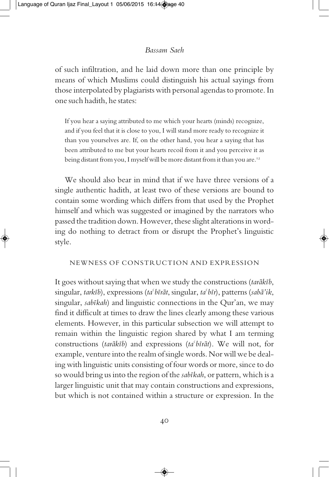of such infiltration, and he laid down more than one principle by means of which Muslims could distinguish his actual sayings from those interpolated by plagiarists with personal agendas to promote. In one such hadith, he states:

If you hear a saying attributed to me which your hearts (minds) recognize, and if you feel that it is close to you, I will stand more ready to recognize it than you yourselves are. If, on the other hand, you hear a saying that has been attributed to me but your hearts recoil from it and you perceive it as being distant from you, I myself will be more distant from it than you are.<sup>12</sup>

We should also bear in mind that if we have three versions of a single authentic hadith, at least two of these versions are bound to contain some wording which differs from that used by the Prophet himself and which was suggested or imagined by the narrators who passed the tradition down. However, these slight alterations in wording do nothing to detract from or disrupt the Prophet's linguistic style.

### NEWNESS OF CONSTRUCTION AND EXPRESSION

It goes without saying that when we study the constructions (*tarākīb*, singular, *tarkīb*), expressions (*ta<sup>c</sup>bīrāt*, singular, *ta<sup>c</sup>bīr*), patterns (*sabā'ik*, singular, *sabīkah*) and linguistic connections in the Qur'an, we may find it difficult at times to draw the lines clearly among these various elements. However, in this particular subsection we will attempt to remain within the linguistic region shared by what I am terming constructions (*tarākīb*) and expressions (*ta<sup>c</sup>bīrāt*). We will not, for example, venture into the realm of single words. Nor will we be dealing with linguistic units consisting of four words or more, since to do so would bring us into the region of the *sabīkah*, or pattern, which is a larger linguistic unit that may contain constructions and expressions, but which is not contained within a structure or expression. In the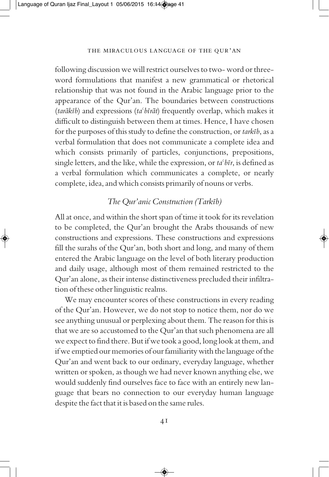following discussion we will restrict ourselves to two- word or threeword formulations that manifest a new grammatical or rhetorical relationship that was not found in the Arabic language prior to the appearance of the Qur'an. The boundaries between constructions (*tarākīb*) and expressions (*ta*<sup>*'bīrāt*) frequently overlap, which makes it</sup> difficult to distinguish between them at times. Hence, I have chosen for the purposes of this study to define the construction, or *tarkib*, as a verbal formulation that does not communicate a complete idea and which consists primarily of particles, conjunctions, prepositions, single letters, and the like, while the expression, or  $ta<sup>c</sup> b\bar{i}r$ , is defined as a verbal formulation which communicates a complete, or nearly complete, idea, and which consists primarily of nouns or verbs.

# *The Qur'anic Construction (TarkÏb)*

All at once, and within the short span of time it took for its revelation to be completed, the Qur'an brought the Arabs thousands of new constructions and expressions. These constructions and expressions fill the surahs of the Qur'an, both short and long, and many of them entered the Arabic language on the level of both literary production and daily usage, although most of them remained restricted to the Qur'an alone, as their intense distinctiveness precluded their infiltration of these other linguistic realms.

We may encounter scores of these constructions in every reading of the Qur'an. However, we do not stop to notice them, nor do we see anything unusual or perplexing about them. The reason for this is that we are so accustomed to the Qur'an that such phenomena are all we expect to find there. But if we took a good, long look at them, and if we emptied our memories of our familiarity with the language of the Qur'an and went back to our ordinary, everyday language, whether written or spoken, as though we had never known anything else, we would suddenly find ourselves face to face with an entirely new language that bears no connection to our everyday human language despite the fact that it is based on the same rules.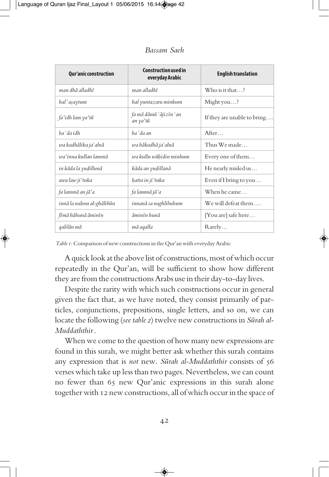| <b>Qur'anic construction</b> | <b>Construction used in</b><br>everyday Arabic | <b>English translation</b>  |
|------------------------------|------------------------------------------------|-----------------------------|
| man dhā alladhī              | man alladhī                                    | Who is it that?             |
| hal <sup>c</sup> aşaytum     | hal yuntazaru minkum                           | Might you?                  |
| fa'idh lam ya'tū             | fa mā dāmū ʿājizīn ʿan<br>an ya'tū             | If they are unable to bring |
| ha <sup>c</sup> da idh       | ha <sup>c</sup> da an                          | After                       |
| wa kadhālika jaʿalnā         | wa hākadhā jaʿalnā                             | Thus We made                |
| wa'inna kullan lammā         | wa kullu wāhidin minhum                        | Every one of them           |
| in kāda la yuḍillunā         | kāda an yuḍillanā                              | He nearly misled us         |
| awa law ji'tuka              | hatta in ji'tuka                               | Even if I bring to you      |
| fa lammā an jā'a             | fa lammā jā'a                                  | When he came                |
| innā la naḥnu al-ghālibūn    | innanā sa naghlibuhum                          | We will defeat them         |
| fīmā hāhunā āminīn           | āminīn hunā                                    | [You are] safe here         |
| qalilān mā                   | mā aqalla                                      | Rarely                      |

Bassam Saeh

Table 1: Comparison of new constructions in the Qur'an with everyday Arabic

A quick look at the above list of constructions, most of which occur repeatedly in the Qur'an, will be sufficient to show how different they are from the constructions Arabs use in their day-to-day lives.

Despite the rarity with which such constructions occur in general given the fact that, as we have noted, they consist primarily of particles, conjunctions, prepositions, single letters, and so on, we can locate the following (see table 2) twelve new constructions in Sūrah al-Muddaththir.

When we come to the question of how many new expressions are found in this surah, we might better ask whether this surah contains any expression that is not new. Sūrah al-Muddaththir consists of 56 verses which take up less than two pages. Nevertheless, we can count no fewer than 65 new Qur'anic expressions in this surah alone together with 12 new constructions, all of which occur in the space of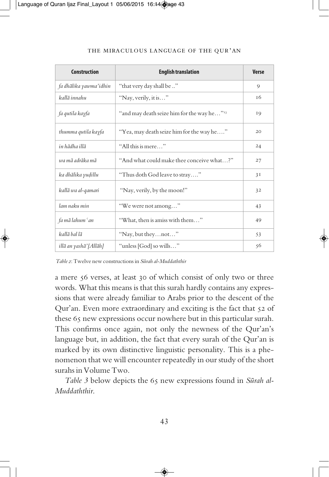| <b>Construction</b>    | <b>English translation</b>                             | <b>Verse</b> |
|------------------------|--------------------------------------------------------|--------------|
| fa dhālika yawma'idhin | "that very day shall be "                              | 9            |
| kallā innahu           | "Nay, verily, it is"                                   | T6           |
| fa qutila kayfa        | "and may death seize him for the way he" <sup>13</sup> | 19           |
| thumma qutila kayfa    | "Yea, may death seize him for the way he"              | 20           |
| in hādha illā          | "All this is mere"                                     | 24           |
| wa mā adrāka mā        | "And what could make thee conceive what?"              | 27           |
| ka dhālika yuḍillu     | "Thus doth God leave to stray"                         | 3I           |
| kallā wa al-qamari     | "Nay, verily, by the moon!"                            | 32           |
| lam naku min           | "We were not among"                                    | 43           |
| fa mā lahum ʿan        | "What, then is amiss with them"                        | 49           |
| kallā bal lā           | "Nay, but theynot"                                     | 53           |
| illā an yashā'[Allāh]  | "unless [God] so wills"                                | 56           |

#### THE MIRACULOUS LANGUAGE OF THE QUR'AN

Table 2: Twelve new constructions in Sūrah al-Muddaththir

a mere 56 verses, at least 30 of which consist of only two or three words. What this means is that this surah hardly contains any expressions that were already familiar to Arabs prior to the descent of the Qur'an. Even more extraordinary and exciting is the fact that 52 of these 65 new expressions occur nowhere but in this particular surah. This confirms once again, not only the newness of the Qur'an's language but, in addition, the fact that every surah of the Qur'an is marked by its own distinctive linguistic personality. This is a phenomenon that we will encounter repeatedly in our study of the short surahs in Volume Two.

Table 3 below depicts the 65 new expressions found in Sūrah al-Muddaththir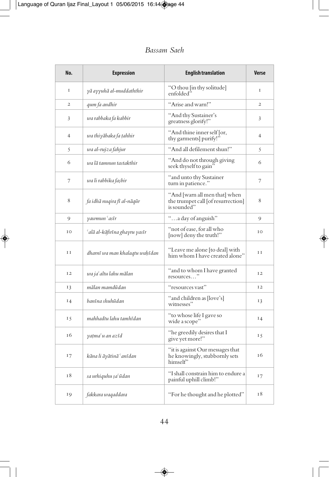| No.            | <b>Expression</b>                   | <b>English translation</b>                                                         | <b>Verse</b>   |
|----------------|-------------------------------------|------------------------------------------------------------------------------------|----------------|
| $\mathbf I$    | yā ayyuhā al-muddaththir            | "O thou [in thy solitude]<br>enfolded"                                             | $\mathbf I$    |
| $\mathbf{2}$   | qum fa andhir                       | "Arise and warn!"                                                                  | $\overline{2}$ |
| 3              | wa rabbaka fa kabbir                | "And thy Sustainer's<br>greatness glorify!"                                        | $\overline{3}$ |
| $\overline{4}$ | wa thiyābaka fa ṭahhir              | "And thine inner self [or,<br>thy garments] purify!"                               | $\overline{4}$ |
| 5              | wa al-rujza fahjur                  | "And all defilement shun!"                                                         | 5              |
| 6              | wa lā tamnun tastakthir             | "And do not through giving"<br>seek thyself to gain"                               | 6              |
| 7              | wa li rabbika faşbir                | "and unto thy Sustainer<br>turn in patience."                                      | 7              |
| 8              | fa idhā nuqira fī al-nāqūr          | "And [warn all men that] when<br>the trumpet call [of resurrection]<br>is sounded" | 8              |
| 9              | yawmun <sup>c</sup> asīr            | "a day of anguish"                                                                 | 9              |
| IO             | ʿalā al-kāfirīna ghayru yasīr       | "not of ease, for all who<br>[now] deny the truth!"                                | IO             |
| II             | dharnī wa man khalaqtu wahīdan      | "Leave me alone [to deal] with<br>him whom I have created alone"                   | II             |
| 12             | wa jaʿaltu lahu mālan               | "and to whom I have granted<br>resources"                                          | <b>I2</b>      |
| 13             | mālan mamdūdan                      | "resources vast"                                                                   | 12             |
| 14             | banīna shuhūdan                     | "and children as [love's]<br>witnesses"                                            | 13             |
| 15             | mahhadtu lahu tamhīdan              | "to whose life I gave so<br>wide a scope"                                          | 14             |
| 16             | yaṭmaʿu an azīd                     | "he greedily desires that I<br>give yet more!"                                     | 15             |
| 17             | kāna li āyātinā <sup>c</sup> anīdan | "it is against Our messages that<br>he knowingly, stubbornly sets<br>himself'      | 16             |
| 18             | sa urhiquhu şaʿūdan                 | "I shall constrain him to endure a<br>painful uphill climb!"                       | I7             |
| 19             | fakkara waqaddara                   | "For he thought and he plotted"                                                    | 18             |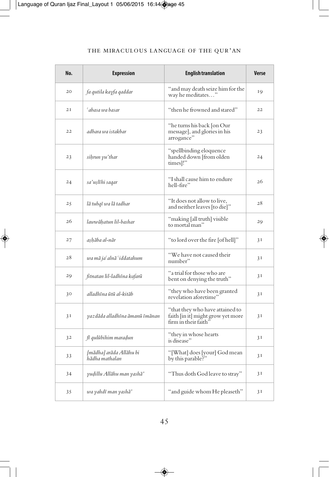| No.            | <b>Expression</b>                         | <b>English translation</b>                                                                   | <b>Verse</b> |
|----------------|-------------------------------------------|----------------------------------------------------------------------------------------------|--------------|
| 20             | fa qutila kayfa qaddar                    | "and may death seize him for the<br>way he meditates"                                        | 19           |
| 2I             | <i>`abasa wa basar</i>                    | "then he frowned and stared"                                                                 | 22           |
| 22             | adbara wa istakbar                        | "he turns his back [on Our<br>message], and glories in his<br>arrogance"                     | 23           |
| 23             | sihrun yu'thar                            | "spellbinding eloquence<br>handed down [from olden<br>times]!"                               | 24           |
| 24             | sa'uşlīhi saqar                           | "I shall cause him to endure<br>hell-fire"                                                   | 26           |
| 25             | lā tubqī wa lā tadhar                     | "It does not allow to live,<br>and neither leaves [to die]"                                  | 28           |
| 26             | lawwāhatun lil-bashar                     | "making [all truth] visible<br>to mortal man"                                                | 29           |
| 27             | ashāba al-nār                             | "to lord over the fire [of hell]"                                                            | 3I           |
| 28             | wa mā jaʿalnā ʿiddatahum                  | "We have not caused their<br>number"                                                         | 3I           |
| 29             | fitnatan lil-ladhīna kafarū               | "a trial for those who are<br>bent on denying the truth"                                     | 3I           |
| 30             | alladhīna ūtū al-kitāb                    | "they who have been granted<br>revelation aforetime"                                         | 3I           |
| 3I             | yazdāda alladhīna āmanū īmānan            | "that they who have attained to<br>faith [in it] might grow yet more<br>firm in their faith' | 3I           |
| 3 <sup>2</sup> | fī qulūbihim maradun                      | "they in whose hearts<br>is disease"                                                         | 3I           |
| 33             | [mādha] arāda Allāhu bi<br>hādha mathalan | "[What] does [your] God mean<br>by this parable?"                                            | 3I           |
| 34             | yudillu Allāhu man yashā'                 | "Thus doth God leave to stray"                                                               | 3I           |
| 35             | wa yahdī man yashā'                       | "and guide whom He pleaseth"                                                                 | 3I           |

# THE MIRACULOUS LANGUAGE OF THE QUR'AN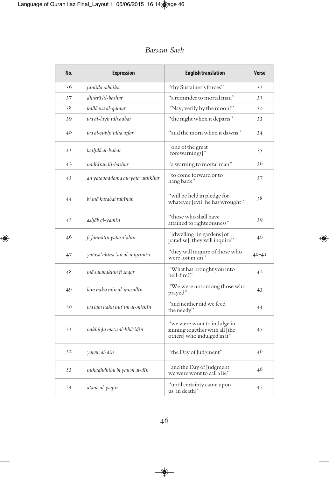| No.            | <b>Expression</b>                         | <b>English translation</b>                                                                   | <b>Verse</b> |
|----------------|-------------------------------------------|----------------------------------------------------------------------------------------------|--------------|
| 36             | junūda rabbika                            | "thy Sustainer's forces"                                                                     | 3I           |
| 37             | dhikrā lil-bashar                         | "a reminder to mortal man"                                                                   | 3I           |
| 38             | kallā wa al-qamar                         | "Nay, verily by the moon!"                                                                   | 32           |
| 39             | wa al-layli idh adbar                     | "the night when it departs"                                                                  | 33           |
| 40             | wa al-şubhi idha asfar                    | "and the morn when it dawns"                                                                 | 34           |
| 4 <sup>I</sup> | la ihdā al-kubar                          | "one of the great<br>[forewarnings]"                                                         | 35           |
| 42             | nadhīran lil-bashar                       | "a warning to mortal man"                                                                    | 36           |
| 43             | an yataqaddama aw yata'akhkhar            | "to come forward or to<br>hang back"                                                         | 37           |
| 44             | bi mā kasabat rahīnah                     | "will be held in pledge for<br>whatever [evil] he has wrought"                               | 38           |
| 45             | aşhāb al-yamīn                            | "those who shall have<br>attained to righteousness"                                          | 39           |
| 46             | fī jannātin yatasā'alūn                   | "[dwelling] in gardens [of<br>paradise], they will inquire"                                  | 40           |
| 47             | yatasā'alūna 'an al-mujrimīn              | "they will inquire of those who<br>were lost in sin"                                         | $40 - 41$    |
| 48             | mā salakakum fī saqar                     | "What has brought you into<br>hell-fire?"                                                    | 42           |
| 49             | lam naku min al-musallīn                  | "We were not among those who<br>prayed"                                                      | 43           |
| 50             | wa lam naku nut <sup>c</sup> im al-miskīn | "and neither did we feed<br>the needy"                                                       | 44           |
| 5I             | nakhūdu maʿa al-khā'iḍīn                  | "we were wont to indulge in<br>sinning together with all [the<br>others] who indulged in it" | 45           |
| 52             | yawm al-dīn                               | "the Day of Judgment"                                                                        | 46           |
| 53             | nukadhdhibu bi yawm al-dīn                | "and the Day of Judgment<br>we were wont to call a lie"                                      | 46           |
| 54             | atānā al-yaqīn                            | "until certainty came upon<br>us [in death]"                                                 | 47           |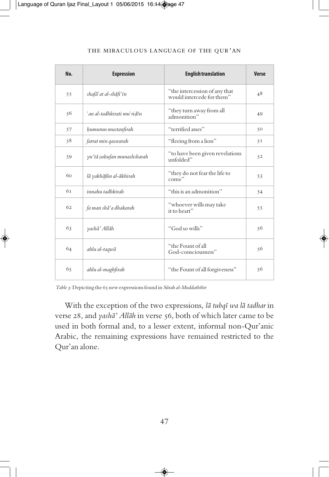| No. | <b>Expression</b>          | <b>English translation</b>                                 | <b>Verse</b> |
|-----|----------------------------|------------------------------------------------------------|--------------|
| 55  | shafāʿat al-shāfiʿīn       | "the intercession of any that<br>would intercede for them" | 48           |
| 56  | `an al-tadhkirati mu`ridīn | "they turn away from all<br>admonition"                    | 49           |
| 57  | humurun mustanfirah        | "terrified asses"                                          | 50           |
| 58  | farrat min qaswarah        | "fleeing from a lion"                                      | 5I           |
| 59  | yu'tā şuḥufan munashsharah | "to have been given revelations<br>unfolded"               | 52           |
| 60  | lā yakhāfūn al-ākhirah     | "they do not fear the life to<br>come"                     | 53           |
| 61  | innahu tadhkirah           | "this is an admonition"                                    | 54           |
| 62  | fa man shā'a dhakarah      | "whoever wills may take<br>it to heart"                    | 55           |
| 63  | yashā' Allāh               | "God so wills"                                             | 56           |
| 64  | ahlu al-taqwā              | "the Fount of all<br>God-consciousness"                    | 56           |
| 65  | ahlu al-maghfirah          | "the Fount of all forgiveness"                             | 56           |

#### THE MIRACULOUS LANGUAGE OF THE QUR'AN

Table 3: Depicting the 65 new expressions found in Sūrah al-Muddaththir

With the exception of the two expressions, la tubqi wa la tadhar in verse 28, and yasha' Allah in verse 56, both of which later came to be used in both formal and, to a lesser extent, informal non-Qur'anic Arabic, the remaining expressions have remained restricted to the Qur'an alone.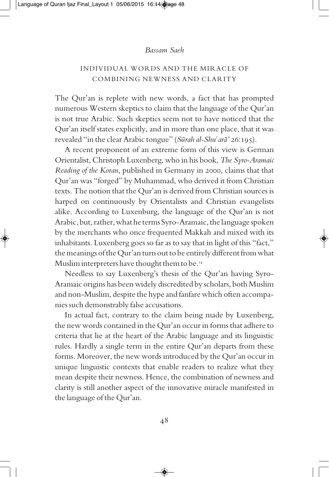# INDIVIDUAL WORDS AND THE MIRACLE OF COMBINING NEWNESS AND CLARITY

The Qur'an is replete with new words, a fact that has prompted numerous Western skeptics to claim that the language of the Qur'an is not true Arabic. Such skeptics seem not to have noticed that the Qur'an itself states explicitly, and in more than one place, that it was revealed "in the clear Arabic tongue" (*Sūrah al-Shu<sup>c</sup>arā*' 26:195).

A recent proponent of an extreme form of this view is German Orientalist, Christoph Luxenberg, who in his book, *The Syro-Aramaic Reading of the Koran*, published in Germany in 2000, claims that that Qur'an was "forged" by Muhammad, who derived it from Christian texts. The notion that the Qur'an is derived from Christian sources is harped on continuously by Orientalists and Christian evangelists alike. According to Luxenburg, the language of the Qur'an is not Arabic, but, rather, what he terms Syro-Aramaic, the language spoken by the merchants who once frequented Makkah and mixed with its inhabitants. Luxenberg goes so far as to say that in light of this "fact," the meanings of the Qur'an turn out to be entirely different from what Muslim interpreters have thought them to be.<sup>14</sup>

Needless to say Luxenberg's thesis of the Qur'an having Syro-Aramaic origins has been widely discredited by scholars, both Muslim and non-Muslim, despite the hype and fanfare which often accompanies such demonstrably false accusations.

In actual fact, contrary to the claim being made by Luxenberg, the new words contained in the Qur'an occur in forms that adhere to criteria that lie at the heart of the Arabic language and its linguistic rules. Hardly a single term in the entire Qur'an departs from these forms. Moreover, the new words introduced by the Qur'an occur in unique linguistic contexts that enable readers to realize what they mean despite their newness. Hence, the combination of newness and clarity is still another aspect of the innovative miracle manifested in the language of the Qur'an.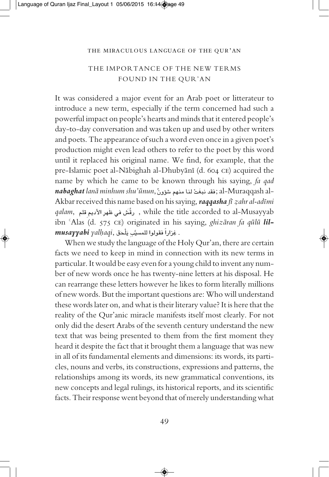#### THE MIRACULOUS LANGUAGE OF THE QUR'AN

# THE IMPORTANCE OF THE NEW TERMS FOUND IN THE QUR'AN

It was considered a major event for an Arab poet or litterateur to introduce a new term, especially if the term concerned had such a powerful impact on people's heartsand minds that it entered people's day-to-day conversation and was taken up and used by other writers and poets. The appearance of such a word even once in a given poet's production might even lead others to refer to the poet by this word until it replaced his original name. We find, for example, that the pre-Islamic poet al-Nābighah al-Dhubyānī (d. 604 CE) acquired the name by which he came to be known through his saying, *fa qad nabaghat lanā minhum shu'ūnun, ذ***قد نبغَث لنـا منهم شؤون**; al-Muraqqash al-Akbar received this name based on his saying, *raqqasha fÏ ·ahr al-adÏmi qalam*, , while the title accorded to al-Musayyab rKèr|œ\_« dNÜÓ wã gÓè]ñ ibn 'Alas (d. 575 CE) originated in his saying, *ghizāran fa qūlū lilmusayyabi yal^aqi*, . ä OfiLKì «uìuIãÎ «ñ«e ] | V Ó K æÚ Ó o

When we study the language of the Holy Qur'an, there are certain facts we need to keep in mind in connection with its new terms in particular.It would be easy even fora young child to inventany number of new words once he has twenty-nine letters at his disposal. He can rearrange these letters however he likes to form literally millions of new words. But the important questionsare: Who will understand these words later on, and what is their literary value? It is here that the reality of the Qur'anic miracle manifests itself most clearly. For not only did the desert Arabs of the seventh century understand the new text that was being presented to them from the first moment they heard it despite the fact that it brought them a language that was new in all of its fundamental elements and dimensions: its words, its particles, nouns and verbs, its constructions, expressions and patterns, the relationships among its words, its new grammatical conventions, its new concepts and legal rulings, its historical reports, and its scientific facts. Their response went beyond that of merely understanding what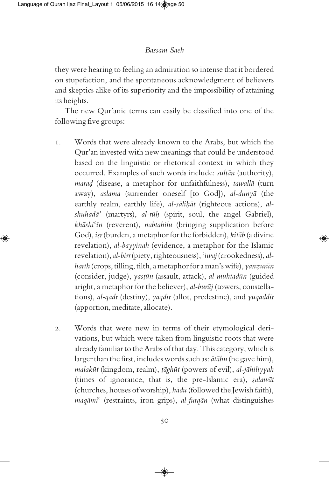they were hearing to feeling an admiration so intense that it bordered on stupefaction, and the spontaneous acknowledgment of believers and skeptics alike of its superiority and the impossibility of attaining its heights.

The new Qur'anic terms can easily be classified into one of the following five groups:

- . Words that were already known to the Arabs, but which the Qur'an invested with new meanings that could be understood based on the linguistic or rhetorical context in which they occurred. Examples of such words include: *sultan* (authority), *marad* (disease, a metaphor for unfaithfulness), *tawallā* (turn away), *aslama* (surrender oneself [to God]), *al-dunyā* (the earthly realm, earthly life), *al-șālihāt* (righteous actions), *al*shuhadā' (martyrs), al-rūh (spirit, soul, the angel Gabriel), *khāshi<sup>c</sup>in* (reverent), *nabtahilu* (bringing supplication before God), *isr* (burden, a metaphor for the forbidden), *kitāb* (a divine revelation), *al-bayyinah* (evidence, a metaphor for the Islamic revelation), *al-birr*(piety,righteousness),*¢iwaj*(crookedness), *al harth* (crops, tilling, tilth, a metaphor for a man's wife), *yanzurūn* (consider, judge), *yas~‰n* (assault, attack), *al-muhtad‰n* (guided aright, a metaphor for the believer), *al-burūj* (towers, constellations), *al-qadr* (destiny), *yaqdir* (allot, predestine), and *yuqaddir* (apportion, meditate, allocate).
- . Words that were new in terms of their etymological derivations, but which were taken from linguistic roots that were already familiar to the Arabs of that day. This category, which is larger than the first, includes words such as:  $\bar{a}t\bar{a}hu$  (he gave him), *malak‰t* (kingdom, realm), *~¥gh‰t* (powers of evil), *al-j¥hiliyyah* (times of ignorance, that is, the pre-Islamic era), *salawat* (churches, houses of worship), *hādū* (followed the Jewish faith), *maqāmi<sup>c</sup>* (restraints, iron grips), *al-furqān* (what distinguishes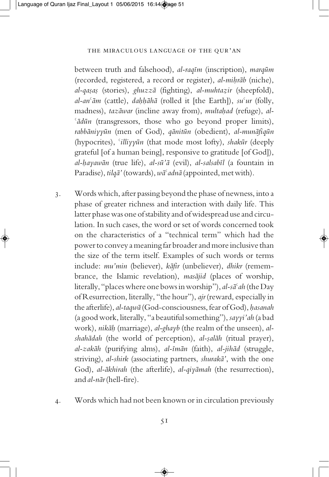between truth and falsehood), *al-raqīm* (inscription), *marqūm* (recorded, registered, a record or register), *al-mihrāb* (niche), *al-qasas* (stories), *ghuzzā* (fighting), *al-muhtazir* (sheepfold), *al-an¢¥m* (cattle), *da^^¥h¥* (rolled it [the Earth]), *su¢ur* (folly, madness), *tazāwar* (incline away from), *multahad* (refuge), *al-<sup>¢</sup>ādūn* (transgressors, those who go beyond proper limits), rabbāniyyūn (men of God), *qānitūn* (obedient), al-munāfiqūn (hypocrites), *¢illiyy‰n* (that mode most lofty), *shak‰r* (deeply grateful [of a human being], responsive to gratitude [of God]), *al-^ayaw¥n* (true life), *al-s‰'¥* (evil), *al-salsabÏl* (a fountain in Paradise), *tilqā'* (towards),  $w\bar{a}$ 'adnā (appointed, met with).

- . Words which,after passing beyond the phase of newness, into a phase of greater richness and interaction with daily life. This latter phase was one of stability and of widespread use and circulation. In such cases, the word or set of words concerned took on the characteristics of a "technical term" which had the power to convey a meaning far broader and more inclusive than the size of the term itself. Examples of such words or terms include: *mu'min* (believer), *kāfir* (unbeliever), *dhikr* (remembrance, the Islamic revelation), *masājid* (places of worship, literally, "places where one bows in worship"), *al-s* $\bar{a}^c$ *ah* (the Day of Resurrection, literally, "the hour"), *ajr* (reward, especially in the afterlife), *al-taqwā* (God-consciousness, fear of God), *hasanah* (a goodwork, literally, "a beautifulsomething"),*sayyi'ah* (a bad work),  $nik\bar{a}h$  (marriage),  $al$ -ghayb (the realm of the unseen),  $al$ shahādah (the world of perception), *al-șalāh* (ritual prayer), *al-zak¥h* (purifying alms), *al-Ïm¥n* (faith), *al-jih¥d* (struggle, striving), *al-shirk* (associating partners, *shurakā'*, with the one God), *al-ākhirah* (the afterlife), *al-qiyāmah* (the resurrection), and *al-nār* (hell-fire).
- . Words which had not been known or in circulation previously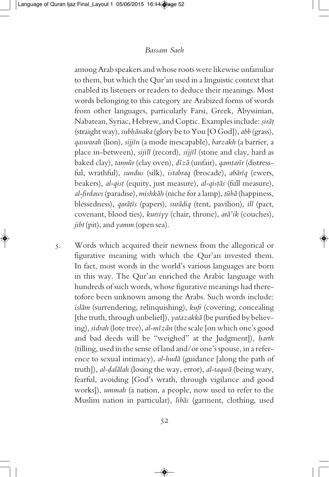among Arab speakers and whose roots were likewise unfamiliar to them, but which the Qur'an used in alinguistic context that enabled its listeners or readers to deduce their meanings. Most words belonging to this category are Arabized forms of words from other languages, particularly Farsi, Greek, Abyssinian, Nabatean, Syriac, Hebrew, and Coptic. Examples include: *şirāț* (straight way), *sub^¥naka* (glory be to You [O God]), *abb* (grass), *qaswarah* (lion), *sijjÏn* (a mode inescapable), *barzakh* (a barrier, a place in-between), *sijill* (record), *sijjÏl* (stone and clay, hard as baked clay), *tannūr* (clay oven), *dīzā* (unfair), *qamțarīr* (distressful, wrathful), *sundus* (silk), *istabraq* (brocade), *abārīq* (ewers, beakers), *al-qist* (equity, just measure), *al-qistās* (full measure), *al-firdaws* (paradise), *mishkāh* (niche for a lamp), *țūbā* (happiness, blessedness), *qarāṭīs* (papers), *surādiq* (tent, pavilion), *ill* (pact, covenant, blood ties), *kursiyy* (chair, throne), *arā'ik* (couches), *jibt* (pit), and *yamm* (open sea).

. Words which acquired their newness from the allegorical or figurative meaning with which the Qur'an invested them. In fact, most words in the world's various languages are born in this way. The Qur'an enriched the Arabic language with hundreds of such words, whose figurative meanings had theretofore been unknown among the Arabs. Such words include: *islām* (surrendering, relinquishing), *kufr* (covering, concealing [the truth, through unbelief]), *yatazakkā* (be purified by believing), *sidrah* (lote tree), *al-mīzān* (the scale [on which one's good and bad deeds will be "weighed" at the Judgment]), *harth* (tilling, used in the sense of land and/or one's spouse, in areference to sexual intimacy), *al-hudā* (guidance [along the path of truth]), *al-* $\frac{d}{dt}$ *alālah* (losing the way, error), *al-taqwā* (being wary, fearful, avoiding [God's wrath, through vigilance and good works]), *ummah* (a nation, a people, now used to refer to the Muslim nation in particular), *libās* (garment, clothing, used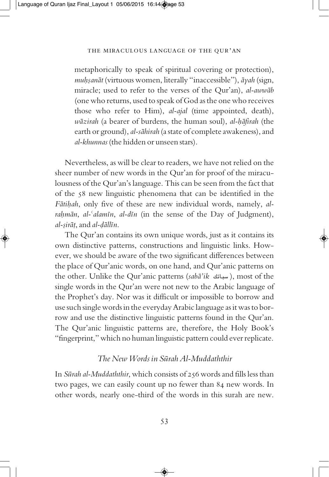metaphorically to speak of spiritual covering or protection), *muhsanāt* (virtuous women, literally "inaccessible"), *āyah* (sign, miracle; used to refer to the verses of the Qur'an), *al-awwāb* (one who returns, used to speak of God as the one who receives those who refer to Him), *al-ajal* (time appointed, death), *wāzirah* (a bearer of burdens, the human soul), *al-hāfirah* (the earth or ground), *al-sāhirah* (a state of complete awakeness), and *al-khunnas* (the hidden or unseen stars).

Nevertheless, as will be clear to readers, we have not relied on the sheer number of new words in the Qur'an for proof of the miraculousness of the Qur'an's language. This can be seen from the fact that of the 58 new linguistic phenomena that can be identified in the *Fātihah*, only five of these are new individual words, namely, *al*rahmān, al-<sup>c</sup>alamīn, al-dīn (in the sense of the Day of Judgment),  $al$ -sirāt, and *al-dāllīn*.

The Qur'an contains its own unique words, just as it contains its own distinctive patterns, constructions and linguistic links. However, we should be aware of the two significant differences between the place of Qur'anic words, on one hand, and Qur'anic patterns on the other. Unlike the Qur'anic patterns (*sabā'ik* سبائك), most of the single words in the Qur'an were not new to the Arabic language of the Prophet's day. Nor was it difficult or impossible to borrow and use such single words in the everydayArabic language as it was to borrow and use the distinctive linguistic patterns found in the Qur'an. The Qur'anic linguistic patterns are, therefore, the Holy Book's "fingerprint," which no human linguistic pattern could everreplicate.

# *The New Words in S‰rahAl-Muddaththir*

In *Sūrah al-Muddaththir*, which consists of 256 words and fills less than two pages, we can easily count up no fewer than 84 new words. In other words, nearly one-third of the words in this surah are new.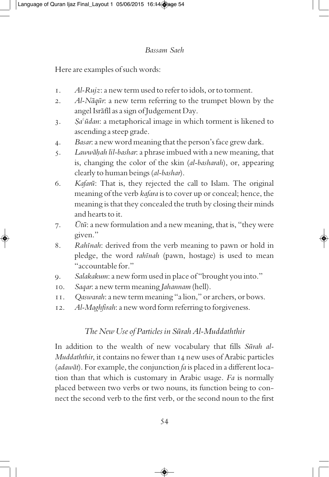Here are examples of such words:

- . *Al-Rujz*:a new term used to referto idols, orto torment.
- 2. *Al-Nāqūr*: a new term referring to the trumpet blown by the angel Isrāfīl as a sign of Judgement Day.
- . *ßa¢‰dan*: a metaphorical image in which torment is likened to ascending asteep grade.
- . *Basar*:a new word meaning that the person's face grew dark.
- . *Laww¥^ah lil-bashar*:a phrase imbued with a new meaning, that is, changing the color of the skin (*al-basharah*), or, appearing clearly to human beings (*al-bashar*).
- 6. *Kafarū*: That is, they rejected the call to Islam. The original meaning of the verb *kafara* is to cover up or conceal; hence, the meaning is that they concealed the truth by closing their minds and hearts to it.
- . *ƒt‰*:a new formulation and a new meaning, that is, "they were given."
- . *RahÏnah*: derived from the verb meaning to pawn or hold in pledge, the word *rahÏnah* (pawn, hostage) is used to mean "accountable for."
- . *Salakakum*:a new form used in place of "brought you into."
- . *Saqar*:a new term meaning *Jahannam*(hell).
- . *Qaswarah*:a new term meaning "alion," orarchers, or bows.
- 12. *Al-Maghfirah*: a new word form referring to forgiveness.

# *The New Useof Particles in S‰rahAl-Muddaththir*

In addition to the wealth of new vocabulary that fills *Sūrah al-Muddaththir*, it contains no fewer than 14 new uses of Arabic particles (*adawāt*). For example, the conjunction *fa* is placed in a different location than that which is customary in Arabic usage. *Fa* is normally placed between two verbs or two nouns, its function being to connect the second verb to the first verb, or the second noun to the first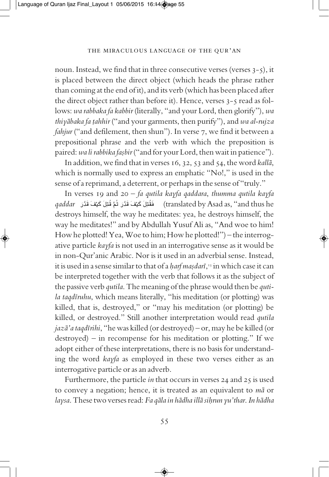noun. Instead, we find that in three consecutive verses (verses  $3-5$ ), it is placed between the direct object (which heads the phrase rather than coming at the end of it), and its verb (which has been placed after the direct object rather than before it). Hence, verses 3-5 read as follows: *wa rabbaka fa kabbir* (literally, "and your Lord, then glorify"), *wa thiyābaka fa țahhir* ("and your garments, then purify"), and *wa al-rujza fahjur* ("and defilement, then shun"). In verse 7, we find it between a prepositional phrase and the verb with which the preposition is paired: *wa li rabbika fasbir* ("and for your Lord, then wait in patience").

In addition, we find that in verses 16, 32, 53 and 54, the word *kalla*, which is normally used to express an emphatic "No!," is used in the sense of a reprimand, a deterrent, or perhaps in the sense of "truly."

In verses 19 and 20 – *fa qutila kayfa qaddara*, *thumma qutila kayfa qaddar* (translated by Asad as, "and thus he ¶IÔãÓ ëÓ qÓ O Ú nÓ bèÓ ] ñ <sup>Ó</sup> r#Ô ] ¶èÔ ëÓ qÓ <sup>O</sup> Ú nÓ bèÓ ] ñ destroys himself, the way he meditates: yea, he destroys himself, the way he meditates!" and by Abdullah Yusuf Ali as, "And woe to him! How he plotted! Yea, Woe to him; How he plotted!") – the interrogative particle *kayfa* is not used in an interrogative sense as it would be in non-Qur'anic Arabic. Nor is it used in an adverbial sense. Instead, it is used in a sense similar to that of a *harf maṣdarī*, 15 in which case it can be interpreted together with the verb that follows it as the subject of the passive verb *qutila*.The meaning of the phrase would then be *qutila taqdÏruhu*, which means literally, "his meditation (or plotting) was killed, that is, destroyed," or "may his meditation (or plotting) be killed, or destroyed." Still another interpretation would read *qutila jazā'a taqdīrihi*, "he was killed (or destroyed) – or, may he be killed (or destroyed) – in recompense for his meditation or plotting." If we adopt either of these interpretations, there is no basis for understanding the word *kayfa* as employed in these two verses either as an interrogative particle or as an adverb. ∫<br>∫

Furthermore, the particle *in* that occurs in verses 24 and 25 is used to convey a negation; hence, it is treated as an equivalent to  $m\bar{a}$  or *laysa*. These two verses read: Fa qāla in hādha illā siḥrun yu'thar. In hādha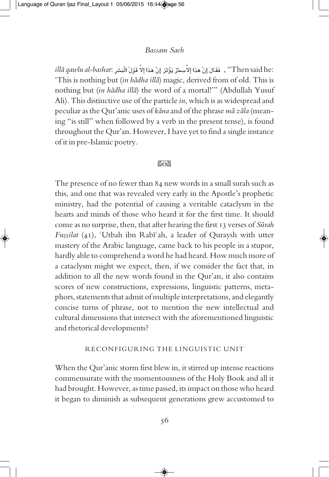:Then said he" , فَقَالَ إِنْ هَذَا إِلاَّسِحْرٌ يُؤْثَرُ إِنْ هَذَا إِلاَّ قَوْلُ الْبَشَرِ .illā qawlu al-bashar 'This is nothing but (in hādha illā) magic, derived from of old. This is nothing but (in hādha illā) the word of a mortal!" (Abdullah Yusuf Ali). This distinctive use of the particle in, which is as widespread and peculiar as the Qur'anic uses of kana and of the phrase ma zala (meaning "is still" when followed by a verb in the present tense), is found throughout the Qur'an. However, I have yet to find a single instance of it in pre-Islamic poetry.

### $\mathscr{D}\mathbb{R}$

The presence of no fewer than 84 new words in a small surah such as this, and one that was revealed very early in the Apostle's prophetic ministry, had the potential of causing a veritable cataclysm in the hearts and minds of those who heard it for the first time. It should come as no surprise, then, that after hearing the first 13 verses of Sūrah Fussilat (41), 'Utbah ibn Rabī'ah, a leader of Quraysh with utter mastery of the Arabic language, came back to his people in a stupor, hardly able to comprehend a word he had heard. How much more of a cataclysm might we expect, then, if we consider the fact that, in addition to all the new words found in the Qur'an, it also contains scores of new constructions, expressions, linguistic patterns, metaphors, statements that admit of multiple interpretations, and elegantly concise turns of phrase, not to mention the new intellectual and cultural dimensions that intersect with the aforementioned linguistic and rhetorical developments?

### RECONFIGURING THE LINGUISTIC UNIT

When the Qur'anic storm first blew in, it stirred up intense reactions commensurate with the momentousness of the Holy Book and all it had brought. However, as time passed, its impact on those who heard it began to diminish as subsequent generations grew accustomed to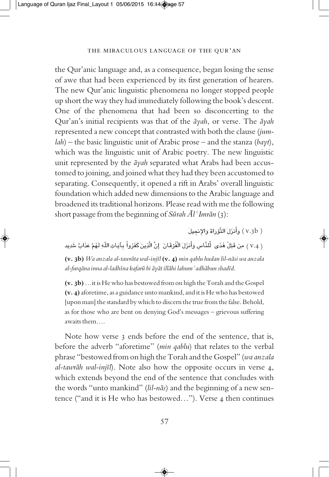the Qur'anic language and, as a consequence, began losing the sense of awe that had been experienced by its first generation of hearers. The new Qur'anic linguistic phenomena no longer stopped people up short the way they had immediately following the book's descent. One of the phenomena that had been so disconcerting to the Qur'an's initial recipients was that of the  $\bar{a}$ *yah*, or verse. The  $\bar{a}$ *yah* represented a new concept that contrasted with both the clause (jum $lah$ ) – the basic linguistic unit of Arabic prose – and the stanza (bayt), which was the linguistic unit of Arabic poetry. The new linguistic unit represented by the *āyah* separated what Arabs had been accustomed to joining, and joined what they had they been accustomed to separating. Consequently, it opened a rift in Arabs' overall linguistic foundation which added new dimensions to the Arabic language and broadened its traditional horizons. Please read with me the following short passage from the beginning of Sūrah  $\bar{A}l^c$ Imrān (3):

( v.3b ) وَأَنزَلَ التَّوْرَاةَ وَالإِنجِيلَ

( V.4 ) مِن قَبْلُ هُدًى ۖ لِّلَذَّاسِ وَأَنزَلَ الْفُرْقَانَ ۚ إِنَّ الَّذِينَ كَفَرُواْ بِآيَاتِ اللّهِ لَهُمْ عَذَابٌ شَدِيد

(v. 3b) Wa anzala al-tawrāta wal-injīl (v. 4) min qablu hudan lil-nāsi wa anzala al-furqāna inna al-ladhīna kafarū bi āyāt illāhi lahum 'adhābun shadīd.

(v. 3b) ... it is He who has bestowed from on high the Torah and the Gospel (v. 4) aforetime, as a guidance unto mankind, and it is He who has bestowed [upon man] the standard by which to discern the true from the false. Behold, as for those who are bent on denying God's messages - grievous suffering awaits them....

Note how verse 3 ends before the end of the sentence, that is, before the adverb "aforetime" (min qablu) that relates to the verbal phrase "bestowed from on high the Torah and the Gospel" (wa anzala al-tawrāh wal-injīl). Note also how the opposite occurs in verse 4, which extends beyond the end of the sentence that concludes with the words "unto mankind" (lil-nās) and the beginning of a new sentence ("and it is He who has bestowed..."). Verse 4 then continues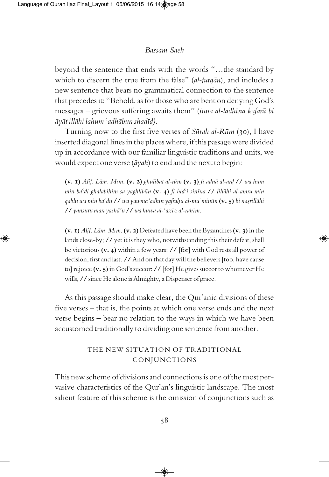beyond the sentence that ends with the words "...the standard by which to discern the true from the false" (al-furgan), and includes a new sentence that bears no grammatical connection to the sentence that precedes it: "Behold, as for those who are bent on denying God's messages - grievous suffering awaits them" (inna al-ladhīna kafarū bi āyāt illāhi lahum 'adhābun shadīd).

Turning now to the first five verses of Sūrah al-Rūm (30), I have inserted diagonal lines in the places where, if this passage were divided up in accordance with our familiar linguistic traditions and units, we would expect one verse  $(\bar{a}yah)$  to end and the next to begin:

 $(v, I)$  Alif. Lām. Mīm.  $(v, 2)$  ghulibat al-rūm  $(v, 3)$  fī adnā al-ard // wa hum min ba $\delta$ di ghalabihim sa yaghlibūn (v. 4) fī bid $\delta$ i sinīna // lillāhi al-amru min qablu wa min ba $\delta$ du // wa yawma'adhin yafraḥu al-mu'minūn (v. 5) bi naṣrillāhi // yanşuru man yashā'u // wa huwa al- $\alpha$ zīz al-raḥīm.

 $(v, I)$  Alif. Lām. Mīm.  $(v, 2)$  Defeated have been the Byzantines  $(v, 3)$  in the lands close-by; // yet it is they who, notwithstanding this their defeat, shall be victorious  $(v, 4)$  within a few years: // [for] with God rests all power of decision, first and last. // And on that day will the believers [too, have cause to] rejoice  $(v, 5)$  in God's succor: // [for] He gives succor to whomever He wills, // since He alone is Almighty, a Dispenser of grace.

As this passage should make clear, the Qur'anic divisions of these five verses – that is, the points at which one verse ends and the next verse begins – bear no relation to the ways in which we have been accustomed traditionally to dividing one sentence from another.

# THE NEW SITUATION OF TRADITIONAL CONJUNCTIONS

This new scheme of divisions and connections is one of the most pervasive characteristics of the Qur'an's linguistic landscape. The most salient feature of this scheme is the omission of conjunctions such as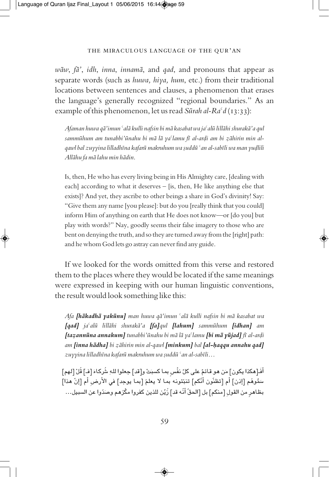#### THE MIRACULOUS LANGUAGE OF THE OUR'AN

wāw, fā', idh, inna, innamā, and gad, and pronouns that appear as separate words (such as huwa, hiya, hum, etc.) from their traditional locations between sentences and clauses, a phenomenon that erases the language's generally recognized "regional boundaries." As an example of this phenomenon, let us read Sūrah al-Ra $^{c}$ d (13:33):

Afaman huwa qā'imun 'alā kulli nafsin bi mā kasabat wa ja'alū lillāhi shurakā'a qul sammūhum am tunabbi'ūnahu bi mā lā yaʿlamu fī al-arḍi am bi zāhirin min algawl bal zuyyina lilladhīna kafarū makruhum wa suddū ʿan al-sabīli wa man yudlili Allāhu fa mā lahu min hādin.

Is, then, He who has every living being in His Almighty care, [dealing with each] according to what it deserves – [is, then, He like anything else that exists]? And yet, they ascribe to other beings a share in God's divinity! Say: "Give them any name [you please]: but do you [really think that you could] inform Him of anything on earth that He does not know—or [do you] but play with words?" Nay, goodly seems their false imagery to those who are bent on denying the truth, and so they are turned away from the [right] path: and he whom God lets go astray can never find any guide.

If we looked for the words omitted from this verse and restored them to the places where they would be located if the same meanings were expressed in keeping with our human linguistic conventions, the result would look something like this:

Afa *[hākadhā yakūnu]* man huwa qā'imun 'alā kulli nafsin bi mā kasabat wa [gad] ja<sup>c</sup>alū lillāhi shurakā'a [fa]qul [lahum] sammūhum [idhan] am **[tazannūna annakum]** tunabbi'ūnahu bi mā lā ya<sup>c</sup>lamu **[bi mā yūjad]** fī al-ardi am **finna hādha]** bi zāhirin min al-qawl **[minkum]** bal **[al-haqqu annahu qad]**  $z$ uyyina lilladhīna kafarū makruhum wa suddū  $\sin$ an al-sabīli...

أَفَـ[هكذا يكون] مَن هو قائمٌ على كلِّ نفْس بما كسبَتْ و[قد] جعلوا للهِ شُركاءَ [فـ] قُلْ[لهم] سَمُّوهُم [إذن] أم [تظنُّون أنَّكم] تنبِّئونه بما لا يعلمُ [بما يوجد] في الأرض أم [إنّ هذا] بظاهر من القول [منكم] بل [الحقّ أنّه قد] رُيِّن للذين كفروا مكْرُهم وصَدّوا عن السبيل...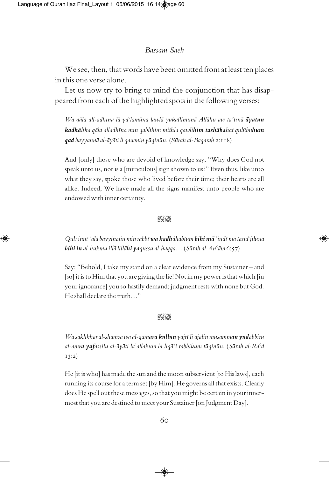We see, then, that words have been omitted from at least ten places in this one verse alone.

Let us now try to bring to mind the conjunction that has disappeared from each of the highlighted spots in the following verses:

Wa gāla all-adhīna lā yaʿlamūna lawlā yukallimunā Allāhu aw ta'tīnā **āyatun** kadhālika gāla alladhīna min gablihim mithla gawlihim tashābahat gulūbuhum qad bayyannā al-āyāti li qawmin yūqinūn. (Sūrah al-Baqarah 2:118)

And [only] those who are devoid of knowledge say, "Why does God not speak unto us, nor is a [miraculous] sign shown to us?" Even thus, like unto what they say, spoke those who lived before their time; their hearts are all alike. Indeed, We have made all the signs manifest unto people who are endowed with inner certainty.

# 502

Qul: innī ʿalā bayyinatin min rabbī **wa kadh**dhabtum **bihi mā** ʿindī mā tastaʿjilūna **bihi in** al-hukmu illā lillā**hi ya**quşşu al-haqqa... (Sūrah al-An<sup>c</sup>ām 6:57)

Say: "Behold, I take my stand on a clear evidence from my Sustainer – and [so] it is to Him that you are giving the lie! Not in my power is that which [in your ignorancel you so hastily demand; judgment rests with none but God. He shall declare the truth..."

# 深深

Wa sakhkhar al-shamsa wa al-qam**ara kullun** yajri li ajalin musamm**an yud**abbiru al-amra yufassilu al-āyāti la<sup>c</sup>allakum bi ligā'i rabbikum tūginūn. (Sūrah al-Ra<sup>c</sup>d  $13:2)$ 

He [it is who] has made the sun and the moon subservient [to His laws], each running its course for a term set [by Him]. He governs all that exists. Clearly does He spell out these messages, so that you might be certain in your innermost that you are destined to meet your Sustainer [on Judgment Day].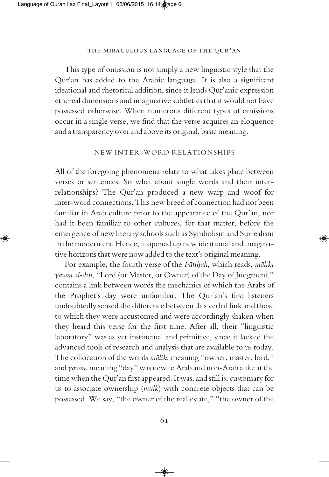#### THE MIRACULOUS LANGUAGE OF THE OUR'AN

This type of omission is not simply a new linguistic style that the Qur'an has added to the Arabic language. It is also a significant ideational and rhetorical addition, since it lends Qur'anic expression ethereal dimensionsand imaginative subtleties that it would not have possessed otherwise. When numerous different types of omissions occur in a single verse, we find that the verse acquires an eloquence and atransparency overand above its original, basic meaning.

## NEW INTER-WORD RELATIONSHIPS

All of the foregoing phenomena relate to what takes place between verses or sentences. So what about single words and their interrelationships? The Qur'an produced a new warp and woof for inter-word connections. This new breed of connection had not been familiar in Arab culture prior to the appearance of the Qur'an, nor had it been familiar to other cultures, for that matter, before the emergence of new literary schools such as Symbolism and Surrealism in the modern era. Hence, it opened up new ideational and imaginative horizons that were now added to the text's original meaning.

For example, the fourth verse of the *Fātiḥah*, which reads, *māliki yawm al-dÏn*, "Lord (or Master, or Owner) of the Day of Judgment," contains a link between words the mechanics of which the Arabs of the Prophet's day were unfamiliar. The Qur'an's first listeners undoubtedly sensed the difference between this verbal link and those to which they were accustomed and were accordingly shaken when they heard this verse for the first time. After all, their "linguistic laboratory" was as yet instinctual and primitive, since it lacked the advanced tools of research and analysis that are available to us today. The collocation of the words *mālik*, meaning "owner, master, lord," and *yawm*, meaning "day" was new to Arab and non-Arab alike at the time when the Qur'an first appeared. It was, and still is, customary for us to associate ownership (*mulk*) with concrete objects that can be possessed. We say, "the owner of the real estate," "the owner of the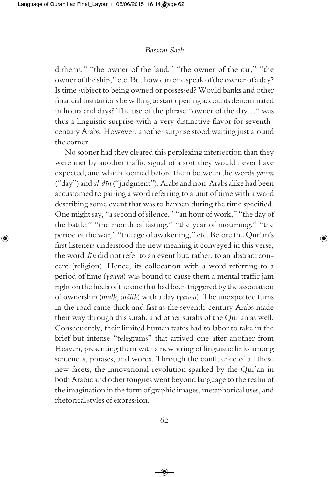dirhems," "the owner of the land," "the owner of the car," "the owner of the ship," etc. But how can one speak of the owner ofa day? Is time subject to being owned or possessed? Would banks and other financial institutions be willing to start opening accounts denominated in hours and days? The use of the phrase "owner of the day…" was thus a linguistic surprise with a very distinctive flavor for seventhcentury Arabs. However, another surprise stood waiting just around the corner.

No sooner had they cleared this perplexing intersection than they were met by another traffic signal of a sort they would never have expected, and which loomed before them between the words *yawm* ("day") and *al-dīn* ("judgment"). Arabs and non-Arabs alike had been accustomed to pairing a word referring to a unit of time with a word describing some event that was to happen during the time specified. One might say, "asecond of silence," "an hour of work," "the day of the battle," "the month of fasting," "the year of mourning," "the period of the war," "the age ofawakening," etc. Before the Qur'an's first listeners understood the new meaning it conveyed in this verse, the word *dÏn* did not refer to an event but, rather, to an abstract concept (religion). Hence, its collocation with a word referring to a period of time (*yawm*) was bound to cause them a mental traffic jam right on the heels of the one that had been triggered by the association of ownership (*mulk*, *m* $\bar{a}$ *lik*) with a day (*yawm*). The unexpected turns in the road came thick and fast as the seventh-century Arabs made their way through this surah, and other surahs of the Qur'an as well. Consequently, their limited human tastes had to labor to take in the brief but intense "telegrams" that arrived one after another from Heaven, presenting them with a new string of linguistic links among sentences, phrases, and words. Through the confluence of all these new facets, the innovational revolution sparked by the Qur'an in both Arabic and other tongues went beyond language to the realm of the imagination in the form of graphic images, metaphorical uses, and rhetorical styles of expression.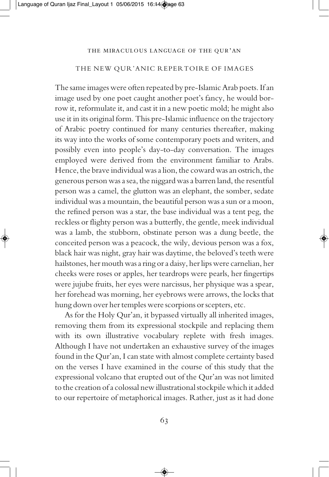#### THE MIRACULOUS LANGUAGE OF THE QUR'AN

#### THE NEW QUR'ANIC REPERTOIRE OF IMAGES

The same images were often repeated by pre-Islamic Arab poets. If an image used by one poet caught another poet's fancy, he would borrow it, reformulate it, and cast it in a new poetic mold; he might also use it in its original form. This pre-Islamic influence on the trajectory of Arabic poetry continued for many centuries thereafter, making its way into the works of some contemporary poets and writers, and possibly even into people's day-to-day conversation. The images employed were derived from the environment familiar to Arabs. Hence, the brave individual wasalion, the coward wasan ostrich, the generous person wasasea, the niggard wasa barren land, the resentful person was a camel, the glutton was an elephant, the somber, sedate individual was a mountain, the beautiful person was a sun or a moon, the refined person was a star, the base individual was a tent peg, the reckless or flighty person was a butterfly, the gentle, meek individual was a lamb, the stubborn, obstinate person was a dung beetle, the conceited person was a peacock, the wily, devious person was a fox, black hair was night, gray hair was daytime, the beloved's teeth were hailstones, her mouth was a ring or a daisy, her lips were carnelian, her cheeks were roses or apples, her teardrops were pearls, her fingertips were jujube fruits, her eyes were narcissus, her physique was a spear, her forehead was morning, her eyebrows were arrows, the locks that hung down over her temples were scorpions or scepters, etc.

As for the Holy Qur'an, it bypassed virtually all inherited images, removing them from its expressional stockpile and replacing them with its own illustrative vocabulary replete with fresh images. Although I have not undertaken an exhaustive survey of the images found in the Qur'an, I can state with almost complete certainty based on the verses I have examined in the course of this study that the expressional volcano that erupted out of the Qur'an was not limited to the creation ofa colossal new illustrational stockpile which itadded to our repertoire of metaphorical images. Rather, just as it had done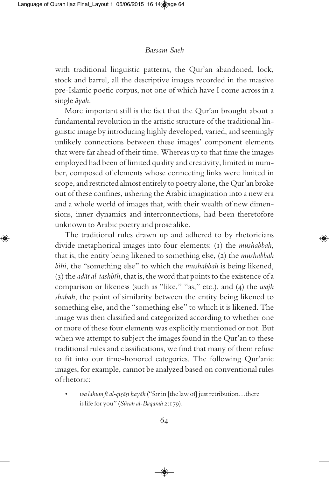with traditional linguistic patterns, the Qur'an abandoned, lock, stock and barrel, all the descriptive images recorded in the massive pre-Islamic poetic corpus, not one of which have I come across in a single  $\bar{a}$ *yah*.

More important still is the fact that the Qur'an brought about a fundamental revolution in the artistic structure of the traditional linguistic image by introducing highly developed, varied,and seemingly unlikely connections between these images' component elements that were far ahead of their time. Whereas up to that time the images employed had been of limited quality and creativity, limited in number, composed of elements whose connecting links were limited in scope, and restricted almost entirely to poetry alone, the Qur'an broke out of these confines, ushering the Arabic imagination into a new era and a whole world of images that, with their wealth of new dimensions, inner dynamics and interconnections, had been theretofore unknown to Arabic poetry and prose alike.

The traditional rules drawn up and adhered to by rhetoricians divide metaphorical images into four elements: (1) the *mushabbah*, that is, the entity being likened to something else, (2) the *mushabbah bihi*, the "something else" to which the *mushabbah* is being likened,  $(3)$  the *adāt al-tashbīh*, that is, the word that points to the existence of a comparison or likeness (such as "like," "as," etc.), and (4) the *wajh shabah*, the point of similarity between the entity being likened to something else, and the "something else" to which it is likened. The image was then classified and categorized according to whether one or more of these four elements was explicitly mentioned or not. But when we attempt to subject the images found in the Qur'an to these traditional rules and classifications, we find that many of them refuse to fit into our time-honored categories. The following Qur'anic images, for example, cannot be analyzed based on conventional rules ofrhetoric:

*va lakum fī al-qiṣāṣi ḥayāh* ("for in [the law of] just retribution...there is life for you" (*Sūrah al-Baqarah* 2:179).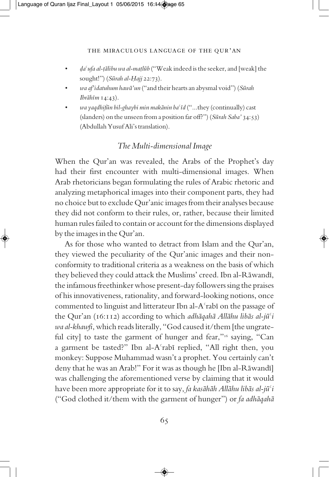- *da<sup>c</sup>ufa al-țālibu wa al-mațlūb* ("Weak indeed is the seeker, and [weak] the sought!") (*Sūrah al-Hajj* 22:73).
- *• wa af'idatuhumhaw¥'un* ("and their heartsan abysmal void") (*S‰rah Ibrāhīm* 14:43).
- *• wa yaqdhif‰n bil-ghaybiminmak¥nin ba¢Ïd* ("...they (continually) cast (slanders) on the unseen from a position far off?") (*Sūrah Saba'* 34:53) (Abdullah YusufAli's translation).

## *The Multi-dimensional Image*

When the Qur'an was revealed, the Arabs of the Prophet's day had their first encounter with multi-dimensional images. When Arab rhetoricians began formulating the rules of Arabic rhetoric and analyzing metaphorical images into their component parts, they had no choice but to exclude Qur'anic images from their analyses because they did not conform to their rules, or, rather, because their limited human rules failed to contain or account for the dimensions displayed by the images in the Qur'an.

As for those who wanted to detract from Islam and the Qur'an, they viewed the peculiarity of the Qur'anic images and their nonconformity to traditional criteria as a weakness on the basis of which they believed they could attack the Muslims' creed. Ibn al-Rāwandī, the infamous freethinker whose present-day followers sing the praises of his innovativeness, rationality, and forward-looking notions, once commented to linguist and litterateur Ibn al-A<sup>c</sup>rabi on the passage of the Qur'an (16:112) according to which *adhāqahā Allāhu libās al-jū*<sup> $\dagger$ </sup>*i wa al-khawfi*, which reads literally, "God caused it/them [the ungrateful city] to taste the garment of hunger and fear,"<sup>16</sup> saying, "Can a garment be tasted?" Ibn al-A rabī replied, "All right then, you monkey: Suppose Muhammad wasn't a prophet. You certainly can't deny that he was an Arab!" For it was as though he [Ibn al-Rāwandī] was challenging the aforementioned verse by claiming that it would have been more appropriate for it to say, *fa kasāhāh Allāhu libās al-jū*<sup> $\dagger$ </sup>*i* ("God clothed it/them with the garment of hunger") or *fa adhāqahā*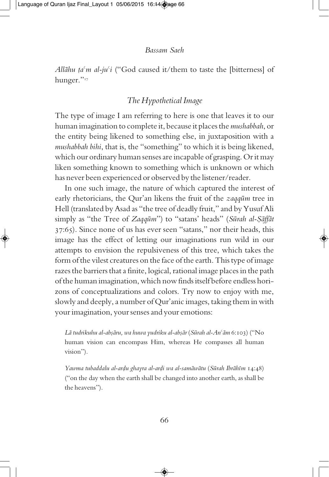Allāhu ța'm al-ju'i ("God caused it/them to taste the [bitterness] of hunger."<sup>17</sup>

## The Hypothetical Image

The type of image I am referring to here is one that leaves it to our human imagination to complete it, because it places the mushabbah, or the entity being likened to something else, in juxtaposition with a mushabbah bihi, that is, the "something" to which it is being likened, which our ordinary human senses are incapable of grasping. Or it may liken something known to something which is unknown or which has never been experienced or observed by the listener/reader.

In one such image, the nature of which captured the interest of early rhetoricians, the Qur'an likens the fruit of the zaqqum tree in Hell (translated by Asad as "the tree of deadly fruit," and by Yusuf Ali simply as "the Tree of Zaqqum") to "satans' heads" (Surah al-Saffat 37:65). Since none of us has ever seen "satans," nor their heads, this image has the effect of letting our imaginations run wild in our attempts to envision the repulsiveness of this tree, which takes the form of the vilest creatures on the face of the earth. This type of image razes the barriers that a finite, logical, rational image places in the path of the human imagination, which now finds itself before endless horizons of conceptualizations and colors. Try now to enjoy with me, slowly and deeply, a number of Qur'anic images, taking them in with your imagination, your senses and your emotions:

Lā tudrikuhu al-absāru, wa huwa yudriku al-absār (Sūrah al-An<sup>c</sup>ām 6:103) ("No human vision can encompass Him, whereas He compasses all human vision").

Yawma tubaddalu al-ardu ghayra al-ardi wa al-samāwātu (Sūrah Ibrāhīm 14:48) ("on the day when the earth shall be changed into another earth, as shall be the heavens").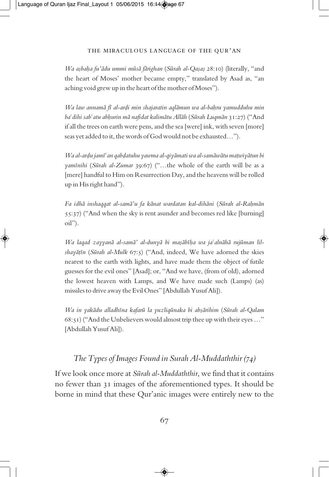#### THE MIRACULOUS LANGUAGE OF THE OUR'AN

Wa aşbaha fu'ādu ummi mūsā fārighan (Sūrah al-Qaşaş 28:10) (literally, "and the heart of Moses' mother became empty," translated by Asad as, "an aching void grew up in the heart of the mother of Moses").

Wa law annamā fī al-ardi min shajaratin aalāmun wa al-bahru vamudduhu min ba' dihi sab' atu abhurin mā nafidat kalimātu Allāh (Sūrah Lugmān 31:27) ("And if all the trees on earth were pens, and the sea [were] ink, with seven [more] seas yet added to it, the words of God would not be exhausted...").

Wa al-ardu jamī<sup>c</sup>an gabdatuhu yawma al-giyāmati wa al-samāwātu matwiyātun bi yamīnihi (Sūrah al-Zumar 39:67) ("...the whole of the earth will be as a [mere] handful to Him on Resurrection Day, and the heavens will be rolled up in His right hand").

Fa idhā inshaggat al-samā'u fa kānat wardatan kal-dihāni (Sūrah al-Rahmān 55:37) ("And when the sky is rent asunder and becomes red like [burning]  $\text{oil}$ ").

Wa lagad zayyanā al-samā' al-dunyā bi maşābīha wa ja alnāhā rujūman lilshayāṭīn (Sūrah al-Mulk 67:5) ("And, indeed, We have adorned the skies nearest to the earth with lights, and have made them the object of futile guesses for the evil ones" [Asad]; or, "And we have, (from of old), adorned the lowest heaven with Lamps, and We have made such (Lamps) (as) missiles to drive away the Evil Ones" [Abdullah Yusuf Ali]).

Wa in yakādu alladhīna kafarū la yuzligūnaka bi absārihim (Sūrah al-Qalam 68:51) ("And the Unbelievers would almost trip thee up with their eyes ..." [Abdullah Yusuf Ali]).

# The Types of Images Found in Surah Al-Muddaththir  $(74)$

If we look once more at Sūrah al-Muddaththir, we find that it contains no fewer than 31 images of the aforementioned types. It should be borne in mind that these Qur'anic images were entirely new to the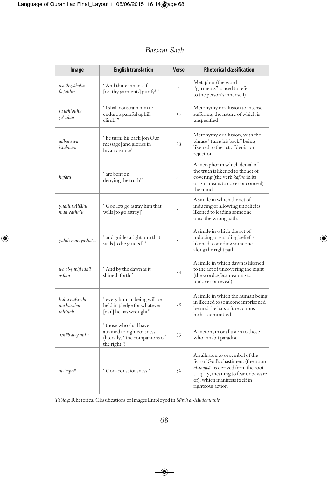| Image                                    | <b>English translation</b>                                                                           | <b>Verse</b>   | <b>Rhetorical classification</b>                                                                                                                                                                            |  |
|------------------------------------------|------------------------------------------------------------------------------------------------------|----------------|-------------------------------------------------------------------------------------------------------------------------------------------------------------------------------------------------------------|--|
| wa thiyābaka<br>fa tahhir                | "And thine inner self<br>[or, thy garments] purify!"                                                 | $\overline{4}$ | Metaphor (the word<br>"garments" is used to refer<br>to the person's inner self)                                                                                                                            |  |
| sa urhiquhu<br>sa <sup>c</sup> ūdan      | "I shall constrain him to<br>endure a painful uphill<br>climb!"                                      | 17             | Metonymy or allusion to intense<br>suffering, the nature of which is<br>unspecified                                                                                                                         |  |
| adbara wa<br>istakbara                   | "he turns his back [on Our<br>message] and glories in<br>his arrogance"                              | 23             | Metonymy or allusion, with the<br>phrase "turns his back" being<br>likened to the act of denial or<br>rejection                                                                                             |  |
| kafarū                                   | "are bent on<br>denying the truth"                                                                   | 3I             | A metaphor in which denial of<br>the truth is likened to the act of<br>covering (the verb kafara in its<br>origin means to cover or conceal)<br>the mind                                                    |  |
| yudillu Allāhu<br>man yashā'u            | "God lets go astray him that<br>wills [to go astray]"                                                | 3I             | A simile in which the act of<br>inducing or allowing unbelief is<br>likened to leading someone<br>onto the wrong path.                                                                                      |  |
| yahdī man yashā'u                        | "and guides aright him that<br>wills [to be guided]"                                                 | 3I             | A simile in which the act of<br>inducing or enabling belief is<br>likened to guiding someone<br>along the right path                                                                                        |  |
| wa al-şubhi idhā<br>asfara               | "And by the dawn as it<br>shineth forth"                                                             | 34             | A simile in which dawn is likened<br>to the act of uncovering the night<br>(the word asfara meaning to<br>uncover or reveal)                                                                                |  |
| kullu nafsin bi<br>mā kasabat<br>rahīnah | "every human being will be<br>held in pledge for whatever<br>[evil] he has wrought"                  | 38             | A simile in which the human being<br>in likened to someone imprisoned<br>behind the bars of the actions<br>he has committed                                                                                 |  |
| aşḥāb al-yamīn                           | "those who shall have<br>attained to righteousness"<br>(literally, "the companions of<br>the right") | 39             | A metonym or allusion to those<br>who inhabit paradise                                                                                                                                                      |  |
| al-taqwā                                 | "God-consciousness"                                                                                  | 56             | An allusion to or symbol of the<br>fear of God's chastiment (the noun<br>al-taqwā is derived from the root<br>$t - q - y$ , meaning to fear or beware<br>of), which manifests itself in<br>righteous action |  |

Table 4: Rhetorical Classifications of Images Employed in Sūrah al-Muddaththir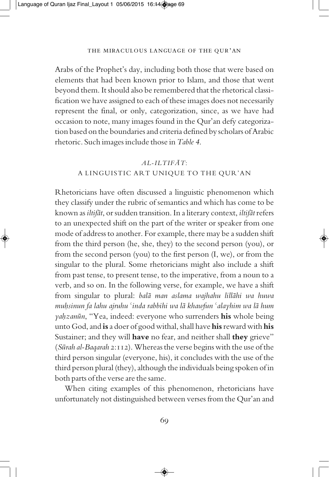Arabs of the Prophet's day, including both those that were based on elements that had been known prior to Islam, and those that went beyond them. It should also be remembered that the rhetorical classification we have assigned to each of these images does not necessarily represent the final, or only, categorization, since, as we have had occasion to note, many images found in the Qur'an defy categorization based on the boundaries and criteria defined by scholars of Arabic rhetoric. Such images include those in *Table 4*.

## *AL-ILTIF®T*: A LINGUISTIC ART UNIQUE TO THE QUR'AN

Rhetoricians have often discussed a linguistic phenomenon which they classify under the rubric of semantics and which has come to be known as *iltifāt*, or sudden transition. In a literary context, *iltifāt* refers to an unexpected shift on the part of the writer or speaker from one mode of address to another. For example, there may be a sudden shift from the third person (he, she, they) to the second person (you), or from the second person (you) to the first person (I, we), or from the singular to the plural. Some rhetoricians might also include a shift from past tense, to present tense, to the imperative, from a noun to a verb, and so on. In the following verse, for example, we have a shift from singular to plural: *bal¥ man aslama wajhahu lill¥hi wa huwa mu^sinun fa lahu ajruhu ¢inda rabbihi wa l¥ khawfun ¢alayhim wa l¥ hum ya^zan‰n*, "Yea, indeed: everyone who surrenders **his** whole being unto God,and **is**a doer of good withal, shall have **his**reward with **his** Sustainer; and they will **have** no fear, and neither shall **they** grieve" (*Sūrah al-Baqarah* 2:112). Whereas the verse begins with the use of the third person singular (everyone, his), it concludes with the use of the third person plural (they), although the individuals being spoken of in both parts of the verse are the same.

When citing examples of this phenomenon, rhetoricians have unfortunately not distinguished between verses from the Qur'an and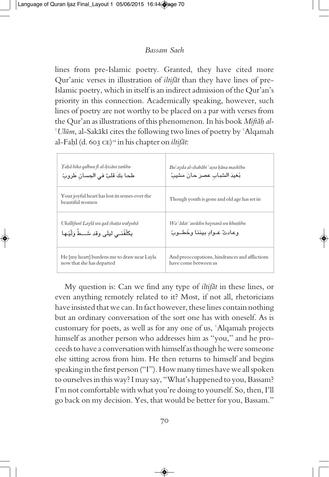lines from pre-Islamic poetry. Granted, they have cited more Qur'anic verses in illustration of *iltifat* than they have lines of pre-Islamic poetry, which in itself is an indirect admission of the Qur'an's priority in this connection. Academically speaking, however, such lines of poetry are not worthy to be placed on a par with verses from the Qur'an as illustrations of this phenomenon. In his book Miftah al-'Ulūm, al-Sakākī cites the following two lines of poetry by 'Algamah al-Fahl (d. 603 CE)<sup>18</sup> in his chapter on *iltifat*:

| Tahā bika qalbun fī al-hisāni ṭarūbu                              | Buʿ ayda al-shabābi ʿ aṣra ḥāna mashību        |
|-------------------------------------------------------------------|------------------------------------------------|
| طحا بكَ قلبٌ في الحِسان طَروبُ                                    | بُعَيدَ الشباب عصرَ حانَ مَشيبُ                |
| Your joyful heart has lost its senses over the<br>beautiful women | Though youth is gone and old age has set in    |
| Ukallifunī Laylā wa qad shaṭṭa walyuhā                            | Waʿādatʿawādin baynanā wa khuṭūbu              |
| يكلّفُنـي ليلَى وقد شَـــطَّ وَلْيُـها                            | وعادتْ عَـوابِ بِيننا وخُطـوبُ                 |
| He [my heart] burdens me to draw near Layla                       | And preoccupations, hindrances and afflictions |
| now that she has departed                                         | have come between us                           |

My question is: Can we find any type of *iltifat* in these lines, or even anything remotely related to it? Most, if not all, rhetoricians have insisted that we can. In fact however, these lines contain nothing but an ordinary conversation of the sort one has with oneself. As is customary for poets, as well as for any one of us, 'Algamah projects himself as another person who addresses him as "you," and he proceeds to have a conversation with himself as though he were someone else sitting across from him. He then returns to himself and begins speaking in the first person ("I"). How many times have we all spoken to ourselves in this way? I may say, "What's happened to you, Bassam? I'm not comfortable with what you're doing to yourself. So, then, I'll go back on my decision. Yes, that would be better for you, Bassam."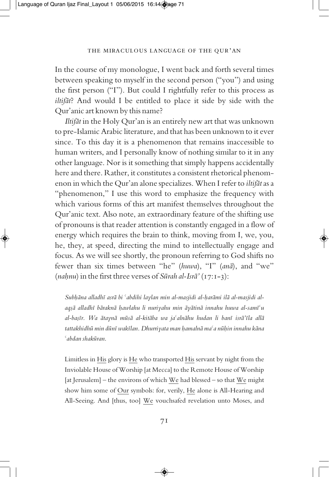In the course of my monologue, I went back and forth several times between speaking to myself in the second person ("you") and using the first person ("I"). But could I rightfully refer to this process as *iltifat?* And would I be entitled to place it side by side with the Our'anic art known by this name?

Iltifat in the Holy Qur'an is an entirely new art that was unknown to pre-Islamic Arabic literature, and that has been unknown to it ever since. To this day it is a phenomenon that remains inaccessible to human writers, and I personally know of nothing similar to it in any other language. Nor is it something that simply happens accidentally here and there. Rather, it constitutes a consistent rhetorical phenomenon in which the Qur'an alone specializes. When I refer to *iltifat* as a "phenomenon," I use this word to emphasize the frequency with which various forms of this art manifest themselves throughout the Qur'anic text. Also note, an extraordinary feature of the shifting use of pronouns is that reader attention is constantly engaged in a flow of energy which requires the brain to think, moving from I, we, you, he, they, at speed, directing the mind to intellectually engage and focus. As we will see shortly, the pronoun referring to God shifts no fewer than six times between "he" (huwa), "I" (ana), and "we" (nahnu) in the first three verses of Sūrah al-Isrā' (17:1-3):

Subhāna alladhī asrā bi 'abdihi laylan min al-masjidi al-harāmi ilā al-masjidi alaqşā alladhī bāraknā hawlahu li nuriyahu min āyātinā innahu huwa al-samī<sup>c</sup>u al-başīr. Wa ātaynā mūsā al-kitāba wa ja<sup>c</sup>alnāhu hudan li banī isrā'īla allā tattakhidhū min dūnī wakīlan. Dhurriyata man hamalnā maʿa nūhin innahu kāna  $\epsilon$ abdan shak $\bar{u}$ ran.

Limitless in His glory is He who transported His servant by night from the Inviolable House of Worship [at Mecca] to the Remote House of Worship [at Jerusalem] – the environs of which We had blessed – so that We might show him some of Our symbols: for, verily, He alone is All-Hearing and All-Seeing. And [thus, too] We vouchsafed revelation unto Moses, and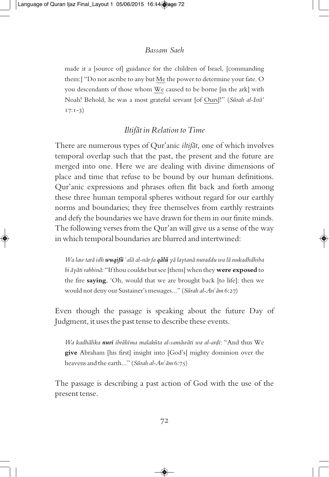made it a [source of] guidance for the children of Israel, [commanding them: | "Do not ascribe to any but Me the power to determine your fate. O you descendants of those whom We caused to be borne [in the ark] with Noah! Behold, he was a most grateful servant [of Ours]!" (Sūrah al-Isrā'  $17:1-3)$ 

# Iltifāt in Relation to Time

There are numerous types of Our'anic *iltifat*, one of which involves temporal overlap such that the past, the present and the future are merged into one. Here we are dealing with divine dimensions of place and time that refuse to be bound by our human definitions. Qur'anic expressions and phrases often flit back and forth among these three human temporal spheres without regard for our earthly norms and boundaries; they free themselves from earthly restraints and defy the boundaries we have drawn for them in our finite minds. The following verses from the Qur'an will give us a sense of the way in which temporal boundaries are blurred and intertwined:

Wa law tarā idh **wuqifū** ʿalā al-nār fa **qālū** yā laytanā nuraddu wa lā nukadhdhiba bi āyāti rabbinā: "If thou couldst but see [them] when they were exposed to the fire saying, 'Oh, would that we are brought back [to life]: then we would not deny our Sustainer's messages..." (Sūrah al-An<sup>c</sup>ām 6:27)

Even though the passage is speaking about the future Day of Judgment, it uses the past tense to describe these events.

Wa kadhālika nuri ibrāhīma malakūta al-samāwāti wa al-ardi: "And thus We give Abraham [his first] insight into [God's] mighty dominion over the heavens and the earth..." (Sūrah al-An<sup>c</sup>ām 6:75)

The passage is describing a past action of God with the use of the present tense.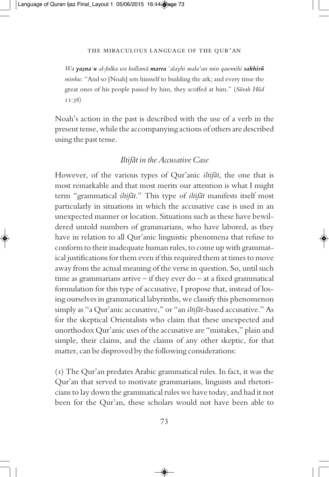*Wa* **yaşna<sup>ç</sup>u** al-fulka wa kullamā **marra** <sup>c</sup>alayhi mala'un min qawmihi **sakhirū** *minhu:* "And so [Noah] sets himself to building the ark; and every time the great ones of his people passed by him, they scoffed at him." (*Sūrah Hūd*  $11:38)$ 

Noah's action in the past is described with the use of a verb in the present tense, while the accompanying actions of others are described using the past tense.

# *Iltifat in the Accusative Case*

However, of the various types of Qur'anic *iltifat*, the one that is most remarkable and that most merits our attention is what I might term "grammatical *iltifāt*." This type of *iltifāt* manifests itself most particularly in situations in which the accusative case is used in an unexpected manner or location. Situations such as these have bewildered untold numbers of grammarians, who have labored, as they have in relation to all Qur'anic linguistic phenomena that refuse to conform to their inadequate human rules, to come up with grammatical justifications for them even if this required them at times to move away from the actual meaning of the verse in question. So, until such time as grammarians arrive – if they ever do – at a fixed grammatical formulation for this type of accusative, I propose that, instead of losing ourselves in grammatical labyrinths, we classify this phenomenon simply as "a Qur'anic accusative," or "an *iltifat*-based accusative." As for the skeptical Orientalists who claim that these unexpected and unorthodox Qur'anic uses of the accusative are "mistakes," plain and simple, their claims, and the claims of any other skeptic, for that matter, can be disproved by the following considerations:

() The Qur'an predates Arabic grammatical rules. In fact, it was the Qur'an that served to motivate grammarians, linguists and rhetoricians to lay down the grammatical rules we have today, and had it not been for the Qur'an, these scholars would not have been able to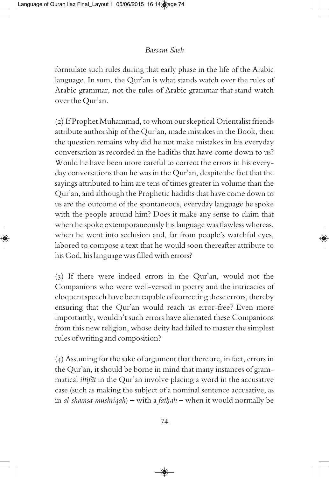formulate such rules during that early phase in the life of the Arabic language. In sum, the Qur'an is what stands watch over the rules of Arabic grammar, not the rules of Arabic grammar that stand watch over the Qur'an.

() If Prophet Muhammad, to whom our skeptical Orientalist friends attribute authorship of the Qur'an, made mistakes in the Book, then the question remains why did he not make mistakes in his everyday conversation as recorded in the hadiths that have come down to us? Would he have been more careful to correct the errors in his everyday conversations than he was in the Qur'an, despite the fact that the sayings attributed to him are tens of times greater in volume than the Qur'an,and although the Prophetic hadiths that have come down to us are the outcome of the spontaneous, everyday language he spoke with the people around him? Does it make any sense to claim that when he spoke extemporaneously his language was flawless whereas, when he went into seclusion and, far from people's watchful eyes, labored to compose a text that he would soon thereafter attribute to his God, his language was filled with errors?

() If there were indeed errors in the Qur'an, would not the Companions who were well-versed in poetry and the intricacies of eloquent speech have been capable of correcting these errors, thereby ensuring that the Qur'an would reach us error-free? Even more importantly, wouldn't such errors have alienated these Companions from this new religion, whose deity had failed to master the simplest rules of writing and composition?

() Assuming for the sake of argument that there are, in fact, errors in the Qur'an, it should be borne in mind that many instances of grammatical *iltifat* in the Qur'an involve placing a word in the accusative case (such as making the subject of a nominal sentence accusative, as in *al-shamsa mushriqah*) – with a *fat^ah* – when it would normally be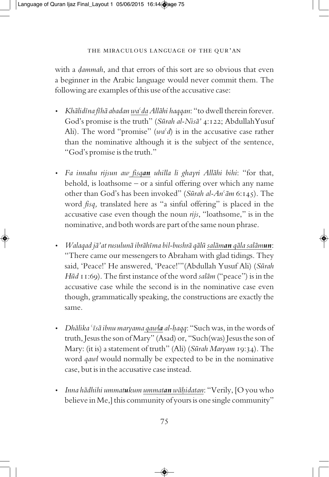#### THE MIRACULOUS LANGUAGE OF THE OUR'AN

with a *dammah*, and that errors of this sort are so obvious that even a beginner in the Arabic language would never commit them. The following are examples of this use of the accusative case:

- Khālidīna fīhā abadan waʿda Allāhi haggan: "to dwell therein forever. God's promise is the truth" (Sūrah al-Nisā' 4:122; AbdullahYusuf Ali). The word "promise" ( $wa<sup>c</sup>d$ ) is in the accusative case rather than the nominative although it is the subject of the sentence, "God's promise is the truth."
- Fa innahu rijsun aw fisqan uhilla li ghayri Allāhi bihi: "for that, behold, is loathsome – or a sinful offering over which any name other than God's has been invoked" (Sūrah al-An'ām 6:145). The word *fisg*, translated here as "a sinful offering" is placed in the accusative case even though the noun rijs, "loathsome," is in the nominative, and both words are part of the same noun phrase.
- $W$ alaqad jā'at rusulunā ibrāhīma bil-bushrā qālū salām**an** qāla salām**un**:  $\bullet$ "There came our messengers to Abraham with glad tidings. They said, 'Peace!' He answered, 'Peace!'"(Abdullah Yusuf Ali) (Sūrah Hūd 11:69). The first instance of the word salām ("peace") is in the accusative case while the second is in the nominative case even though, grammatically speaking, the constructions are exactly the same.
- Dhālika 'īsā ibnu maryama qawla al-haqq: "Such was, in the words of truth, Jesus the son of Mary" (Asad) or, "Such(was) Jesus the son of Mary: (it is) a statement of truth" (Ali) (Sūrah Maryam 19:34). The word *qawl* would normally be expected to be in the nominative case, but is in the accusative case instead.
- Inna hādhihi ummatukum ummatan wāḥidatan: "Verily, [O you who believe in Me,] this community of yours is one single community"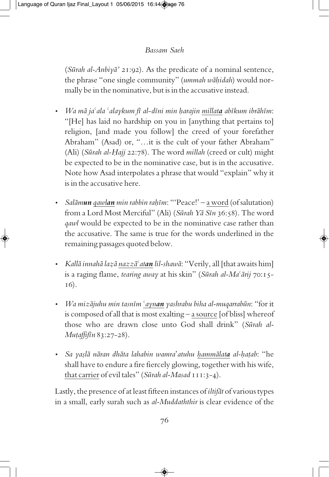(Sūrah al-Anbiyā' 21:92). As the predicate of a nominal sentence, the phrase "one single community" (ummah wāḥidah) would normally be in the nominative, but is in the accusative instead.

- Wa mā ja $\alpha$ ala  $\alpha$ alaykum fī al-dīni min harajin millata abīkum ibrāhīm: "[He] has laid no hardship on you in [anything that pertains to] religion, [and made you follow] the creed of your forefather Abraham" (Asad) or, "...it is the cult of your father Abraham" (Ali) (Sūrah al-Hajj 22:78). The word millah (creed or cult) might be expected to be in the nominative case, but is in the accusative. Note how Asad interpolates a phrase that would "explain" why it is in the accusative here
- Salāmun gawlan min rabbin rahīm: "'Peace!'  $-$  a word (of salutation) from a Lord Most Merciful" (Ali) (Sūrah Yā Sīn 36:58). The word *qawl* would be expected to be in the nominative case rather than the accusative. The same is true for the words underlined in the remaining passages quoted below.
- Kallā innahā lazā nazzā<sup>c</sup>atan lil-shawā: "Verily, all [that awaits him] is a raging flame, tearing away at his skin" (Sūrah al-Ma<sup>c</sup>ārij 70:15-16).
- *Wa mizājuhu min tasnīm*  $\Omega$ *aynan yashrabu biha al-muqarrabūn*: "for it  $\bullet$ is composed of all that is most exalting - a source [of bliss] whereof those who are drawn close unto God shall drink" (Sūrah al- $Mutaffifin 83:27-28$ ).
- Sa yaslā nāran dhāta lahabin wamra'atuhu hammālata al-hatab: "he shall have to endure a fire fiercely glowing, together with his wife, that carrier of evil tales" (Sūrah al-Masad 111:3-4).

Lastly, the presence of at least fifteen instances of *iltifat* of various types in a small, early surah such as al-Muddaththir is clear evidence of the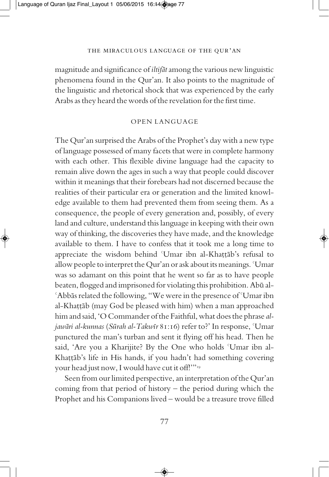magnitude and significance of *iltifat* among the various new linguistic phenomena found in the Qur'an. It also points to the magnitude of the linguistic and rhetorical shock that was experienced by the early Arabs as they heard the words of the revelation for the first time.

#### OPEN LANGUAGE

The Qur'an surprised the Arabs of the Prophet's day with a new type of language possessed of many facets that were in complete harmony with each other. This flexible divine language had the capacity to remain alive down the ages in such a way that people could discover within it meanings that their forebears had not discerned because the realities of their particular era or generation and the limited knowledge available to them had prevented them from seeing them. As a consequence, the people of every generation and, possibly, of every land and culture, understand this language in keeping with their own way of thinking, the discoveries they have made, and the knowledge available to them. I have to confess that it took me a long time to appreciate the wisdom behind 'Umar ibn al-Khaṭṭāb's refusal to allow people to interpret the Qur'an or ask about its meanings. 'Umar was so adamant on this point that he went so far as to have people beaten, flogged and imprisoned for violating this prohibition. Abū al- $\Delta$ bb $\bar{a}$ s related the following, "We were in the presence of  $\Delta$ Umar ibn al-Khaṭṭāb (may God be pleased with him) when a man approached him and said, 'O Commander of the Faithful, what does the phrase *aljawāri al-kunnas* (*Sūrah al-Takwīr* 81:16) refer to?' In response, 'Umar punctured the man's turban and sent it flying off his head. Then he said, 'Are you a Kharijite? By the One who holds 'Umar ibn al-Khattāb's life in His hands, if you hadn't had something covering your head just now, I would have cut it off!""<sup>19</sup>

Seen from our limited perspective, an interpretation of the Qur'an coming from that period of history – the period during which the Prophet and his Companions lived – would be a treasure trove filled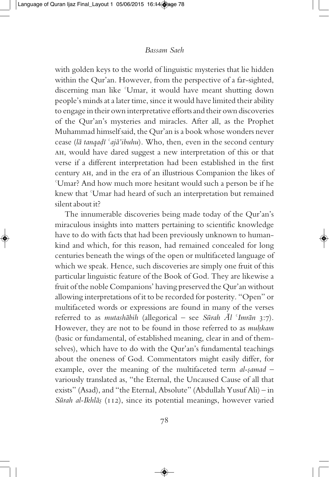with golden keys to the world of linguistic mysteries that lie hidden within the Qur'an. However, from the perspective of a far-sighted, discerning man like ¢Umar, it would have meant shutting down people's mindsatalater time, since it would have limited theirability to engage in their own interpretative efforts and their own discoveries of the Qur'an's mysteries and miracles. After all, as the Prophet Muhammad himself said, the Qur'an isa book whose wonders never cease (*lā tanqadī* '*ajā'ibuhu*). Who, then, even in the second century , would have dared suggest a new interpretation of this or that verse if a different interpretation had been established in the first century AH, and in the era of an illustrious Companion the likes of ¢Umar? And how much more hesitant would such a person be if he knew that 'Umar had heard of such an interpretation but remained silentabout it?

The innumerable discoveries being made today of the Qur'an's miraculous insights into matters pertaining to scientific knowledge have to do with facts that had been previously unknown to humankind and which, for this reason, had remained concealed for long centuries beneath the wings of the open or multifaceted language of which we speak. Hence, such discoveries are simply one fruit of this particular linguistic feature of the Book of God. They are likewise a fruit of the noble Companions' having preserved the Qur'an without allowing interpretations of it to be recorded for posterity. "Open" or multifaceted words or expressions are found in many of the verses referred to as *mutashābih* (allegorical – see *Sūrah Āl 'Imrān* 3:7). However, they are not to be found in those referred to as *muhkam* (basic or fundamental, of established meaning, clear in and of themselves), which have to do with the Qur'an's fundamental teachings about the oneness of God. Commentators might easily differ, for example, over the meaning of the multifaceted term *al-samad* – variously translated as, "the Eternal, the Uncaused Cause of all that exists" (Asad), and "the Eternal, Absolute" (Abdullah Yusuf Ali) – in *Sūrah al-Ikhlāṣ* (112), since its potential meanings, however varied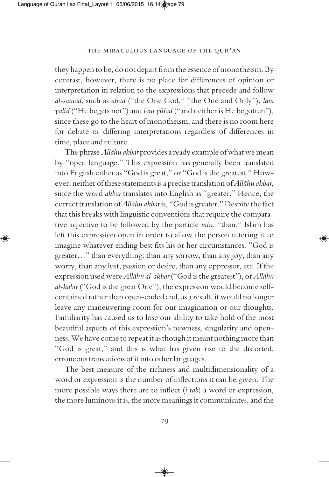they happen to be, do not depart from the essence of monotheism. By contrast, however, there is no place for differences of opinion or interpretation in relation to the expressions that precede and follow *al-|amad*, such as *a^ad* ("the One God," "the One and Only"), *lam yalid* ("He begets not") and *lam yūlad* ("and neither is He begotten"), since these go to the heart of monotheism, and there is no room here for debate or differing interpretations regardless of differences in time, place and culture.

The phrase *Allāhu akbar* provides a ready example of what we mean by "open language." This expression has generally been translated into English either as "God is great," or "God is the greatest." However, neither of these statements is a precise translation of Allāhu akbar, since the word *akbar* translates into English as "greater." Hence, the correct translation of *Allāhu akbar* is, "God is greater." Despite the fact that this breaks with linguistic conventions that require the comparative adjective to be followed by the particle *min*, "than," Islam has left this expression open in order to allow the person uttering it to imagine whatever ending best fits his or her circumstances. "God is greater…" than everything: than any sorrow, than any joy, than any worry, than any lust, passion or desire, than any oppressor, etc. If the expression used were *Allāhu al-akbar* ("God is the greatest"), or *Allāhu al-kabir* ("God is the great One"), the expression would become selfcontained rather than open-ended and, as a result, it would no longer leave any maneuvering room for our imagination or our thoughts. Familiarity has caused us to lose our ability to take hold of the most beautiful aspects of this expression's newness, singularity and openness. We have come to repeat it as though it meant nothing more than "God is great," and this is what has given rise to the distorted, erroneous translations of it into otherlanguages.

The best measure of the richness and multidimensionality of a word or expression is the number of inflections it can be given. The more possible ways there are to inflect  $(i<sup>c</sup> r\bar{a}b)$  a word or expression, the more luminous it is, the more meanings it communicates, and the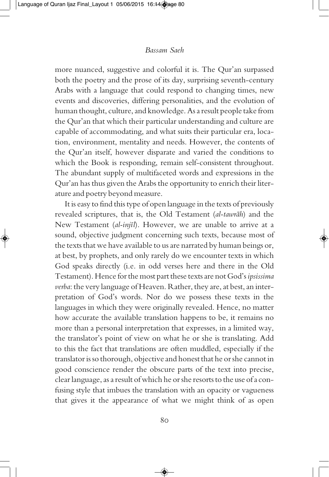more nuanced, suggestive and colorful it is. The Qur'an surpassed both the poetry and the prose of its day, surprising seventh-century Arabs with a language that could respond to changing times, new events and discoveries, differing personalities, and the evolution of human thought, culture, and knowledge. As a result people take from the Qur'an that which their particular understanding and culture are capable of accommodating, and what suits their particular era, location, environment, mentality and needs. However, the contents of the Qur'an itself, however disparate and varied the conditions to which the Book is responding, remain self-consistent throughout. The abundant supply of multifaceted words and expressions in the Qur'an has thus given the Arabs the opportunity to enrich their literature and poetry beyond measure.

It is easy to find this type of open language in the texts of previously revealed scriptures, that is, the Old Testament (*al-tawrāh*) and the New Testament (*al-injÏl*). However, we are unable to arrive at a sound, objective judgment concerning such texts, because most of the texts that we have available to us are narrated by human beings or, at best, by prophets, and only rarely do we encounter texts in which God speaks directly (i.e. in odd verses here and there in the Old Testament).Hence forthe most part these textsare not God's *ipsissima verba*: the very language of Heaven. Rather, they are, at best, an interpretation of God's words. Nor do we possess these texts in the languages in which they were originally revealed. Hence, no matter how accurate the available translation happens to be, it remains no more than a personal interpretation that expresses, in a limited way, the translator's point of view on what he or she is translating. Add to this the fact that translations are often muddled, especially if the translator is so thorough, objective and honest that he or she cannot in good conscience render the obscure parts of the text into precise, clear language, as a result of which he or she resorts to the use of a confusing style that imbues the translation with an opacity or vagueness that gives it the appearance of what we might think of as open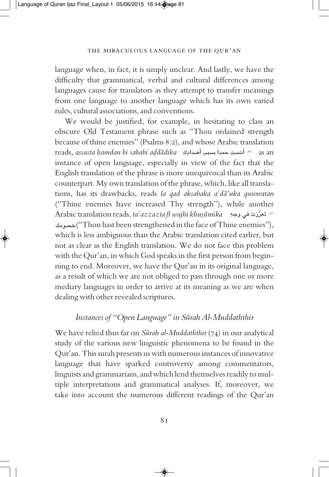language when, in fact, it is simply unclear. And lastly, we have the difficulty that grammatical, verbal and cultural differences among languages cause for translators as they attempt to transfer meanings from one language to another language which has its own varied rules, cultural associations, and conventions.

We would be justified, for example, in hesitating to class an obscure Old Testament phrase such as "Thou ordained strength because of thine enemies" (Psalms 8:2), and whose Arabic translation reads, *assasta ^amdan bi sababi a\d¥dika* as an <√ Ò "Ó œ «b{√ V§fi!Î «bL4 Xfi instance of open language, especially in view of the fact that the English translation of the phrase is more unequivocal than its Arabic counterpart. My own translation of the phrase, which, like all translations, has its drawbacks, reads *la qad aksabaka a'dā'uka quwwatan* ("Thine enemies have increased Thy strength"), while another t anounci translation reads, *ta°azzazta fī wajhi khuṣūmika* مجمع Arabic translation reads, *ta°azzazta fī wajhi khuṣūmika* نحصومك^{\text{"Thou hast been strengthened in the face of Thine enemies} ), which is less ambiguous than the Arabic translation cited earlier, but not as clear as the English translation. We do not face this problem with the Qur'an, in which God speaks in the first person from beginning to end. Moreover, we have the Qur'an in its original language, as a result of which we are not obliged to pass through one or more mediary languages in order to arrive at its meaning as we are when dealing with other revealed scriptures.

## *Instancesof "Open Language" in S‰rahAl-Muddaththir*

We have relied thus far on *Sūrah al-Muddaththir* (74) in our analytical study of the various new linguistic phenomena to be found in the Qur'an.This surah presents us with numerous instances of innovative language that have sparked controversy among commentators, linguists and grammarians, and which lend themselves readily to multiple interpretations and grammatical analyses. If, moreover, we take into account the numerous different readings of the Qur'an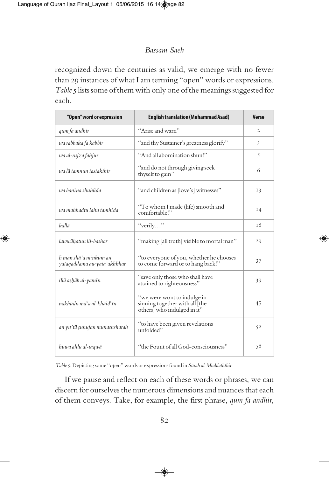recognized down the centuries as valid, we emerge with no fewer than 29 instances of what I am terming "open" words or expressions. Table 5 lists some of them with only one of the meanings suggested for each.

| "Open" word or expression                             | <b>English translation (Muhammad Asad)</b>                                                   | <b>Verse</b>   |
|-------------------------------------------------------|----------------------------------------------------------------------------------------------|----------------|
| qum fa andhir                                         | "Arise and warn"                                                                             | $\mathfrak{D}$ |
| wa rabbaka fa kabbir                                  | "and thy Sustainer's greatness glorify"                                                      | $\mathcal{E}$  |
| wa al-rujza fahjur                                    | "And all abomination shun!"                                                                  | 5              |
| wa lā tamnun tastakthir                               | "and do not through giving seek<br>thyself to gain"                                          | 6              |
| wa banīna shuhūda                                     | "and children as [love's] witnesses"                                                         | 13             |
| wa mahhadtu lahu tamhīda                              | "To whom I made (life) smooth and<br>comfortable!"                                           | 14             |
| kallā                                                 | "verily"                                                                                     | т6             |
| lawwāhatun lil-bashar                                 | "making [all truth] visible to mortal man"                                                   | 29             |
| li man shā'a minkum an<br>yataqaddama aw yata'akhkhar | "to everyone of you, whether he chooses<br>to come forward or to hang back!"                 | 37             |
| illā aṣḥāb al-yamīn                                   | "save only those who shall have<br>attained to righteousness"                                | 39             |
| nakhūdu maʿa al-khāidʿīn                              | "we were wont to indulge in<br>sinning together with all [the<br>others] who indulged in it" | 45             |
| an yu'tā şuḥufan munashsharah                         | "to have been given revelations<br>unfolded"                                                 | 52             |
| huwa ahlu al-taqwā                                    | "the Fount of all God-consciousness"                                                         | 56             |

*Table* : Depicting some "open" words or expressions found in *S‰rah al-Muddaththir*

If we pause and reflect on each of these words or phrases, we can discern for ourselves the numerous dimensionsand nuances that each of them conveys. Take, for example, the first phrase, *qum fa andhir*,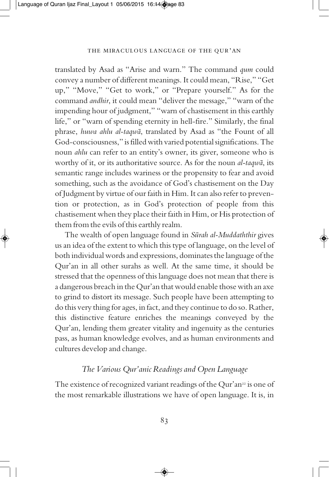translated by Asad as "Arise and warn." The command *qum* could convey a number of different meanings. It could mean, "Rise," "Get up," "Move," "Get to work," or "Prepare yourself." As for the command *andhir*, it could mean "deliver the message," "warn of the impending hour of judgment," "warn of chastisement in this earthly life," or "warn of spending eternity in hell-fire." Similarly, the final phrase, *huwa ahlu al-taqwā*, translated by Asad as "the Fount of all God-consciousness," is filled with varied potential significations.The noun *ahlu* can refer to an entity's owner, its giver, someone who is worthy of it, or its authoritative source. As for the noun *al-taqwa*, its semantic range includes wariness or the propensity to fear and avoid something, such as the avoidance of God's chastisement on the Day of Judgment by virtue of our faith in Him. It can also refer to prevention or protection, as in God's protection of people from this chastisement when they place their faith in Him, or His protection of them from the evils of this earthly realm.

The wealth of open language found in *Sūrah al-Muddaththir* gives usan idea of the extent to which this type of language, on the level of both individual words and expressions, dominates the language of the Qur'an in all other surahs as well. At the same time, it should be stressed that the openness of this language does not mean that there is a dangerous breach in the Qur'an that would enable those with an axe to grind to distort its message. Such people have been attempting to do this very thing forages, in fact,and they continue to do so. Rather, this distinctive feature enriches the meanings conveyed by the Qur'an, lending them greater vitality and ingenuity as the centuries pass, as human knowledge evolves, and as human environments and cultures develop and change.

# *TheVarious Qur'anicReadings and Open Language*

The existence of recognized variant readings of the Qur'an<sup>22</sup> is one of the most remarkable illustrations we have of open language. It is, in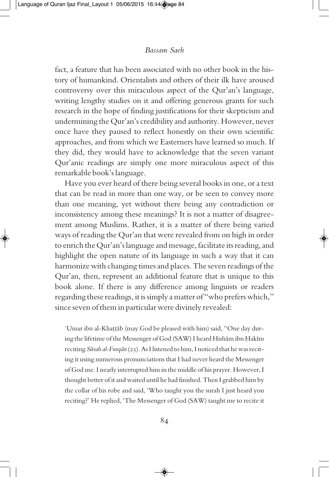fact, a feature that has been associated with no other book in the history of humankind. Orientalists and others of their ilk have aroused controversy over this miraculous aspect of the Qur'an's language, writing lengthy studies on it and offering generous grants for such research in the hope of finding justifications for their skepticism and undermining the Qur'an's credibility and authority. However, never once have they paused to reflect honestly on their own scientific approaches, and from which we Easterners have learned so much. If they did, they would have to acknowledge that the seven variant Qur'anic readings are simply one more miraculous aspect of this remarkable book's language.

Have you ever heard of there being several books in one, or a text that can be read in more than one way, or be seen to convey more than one meaning, yet without there being any contradiction or inconsistency among these meanings? It is not a matter of disagreement among Muslims. Rather, it is a matter of there being varied ways of reading the Qur'an that were revealed from on high in order to enrich the Qur'an's language and message, facilitate its reading, and highlight the open nature of its language in such a way that it can harmonize with changing times and places. The seven readings of the Qur'an, then, represent an additional feature that is unique to this book alone. If there is any difference among linguists or readers regarding these readings, it is simply a matter of "who prefers which," since seven of them in particular were divinely revealed:

'Umar ibn al-Khaṭṭāb (may God be pleased with him) said, "One day during the lifetime of the Messenger of God (SAW) I heard Hisham ibn Hakim reciting *Sūrah al-Furqān* (25). As I listened to him, I noticed that he was reciting it using numerous pronunciations that I had never heard the Messenger of God use. I nearly interrupted him in the middle of his prayer. However, I thought better of it and waited until he had finished. Then I grabbed him by the collar of his robe and said, 'Who taught you the surah I just heard you reciting?' He replied, 'The Messenger of God (SAW) taught me to recite it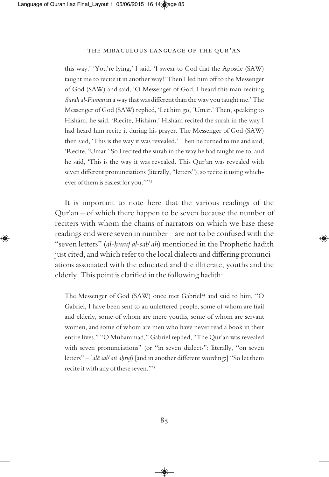this way.' 'You're lying,' I said. 'I swear to God that the Apostle (SAW) taught me to recite it in another way!' Then I led him off to the Messenger of God (SAW) and said, 'O Messenger of God, I heard this man reciting *Sūrah al-Furqān* in a way that was different than the way you taught me.' The Messenger of God (SAW) replied, 'Let him go, 'Umar.' Then, speaking to Hishām, he said. 'Recite, Hishām.' Hishām recited the surah in the way I had heard him recite it during his prayer. The Messenger of God (SAW) then said, 'This is the way it was revealed.' Then he turned to me and said, 'Recite, ¢Umar.' So I recited the surah in the way he had taught me to, and he said, 'This is the way it was revealed. This Qur'an was revealed with seven different pronunciations (literally, "letters"), so recite it using whichever of them is easiest for you."<sup>23</sup>

It is important to note here that the various readings of the Qur'an – of which there happen to be seven because the number of reciters with whom the chains of narrators on which we base these readings end were seven in number – are not to be confused with the "seven letters" (*al-hurūf al-sab*<sup>*c*</sup>ah) mentioned in the Prophetic hadith just cited, and which refer to the local dialects and differing pronunciations associated with the educated and the illiterate, youths and the elderly.This point is clarified in the following hadith:

The Messenger of God (SAW) once met Gabriel<sup>24</sup> and said to him, "O Gabriel, I have been sent to an unlettered people, some of whom are frail and elderly, some of whom are mere youths, some of whom are servant women, and some of whom are men who have never read a book in their entire lives." "O Muhammad," Gabriel replied, "The Qur'an was revealed with seven pronunciations" (or "in seven dialects": literally, "on seven letters" – *'alā sab' ati aḥruf*) [and in another different wording:] "So let them recite it with any of these seven."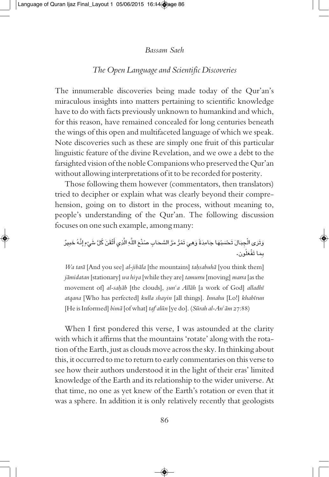# The Open Language and Scientific Discoveries

The innumerable discoveries being made today of the Qur'an's miraculous insights into matters pertaining to scientific knowledge have to do with facts previously unknown to humankind and which, for this reason, have remained concealed for long centuries beneath the wings of this open and multifaceted language of which we speak. Note discoveries such as these are simply one fruit of this particular linguistic feature of the divine Revelation, and we owe a debt to the farsighted vision of the noble Companions who preserved the Qur'an without allowing interpretations of it to be recorded for posterity.

Those following them however (commentators, then translators) tried to decipher or explain what was clearly beyond their comprehension, going on to distort in the process, without meaning to, people's understanding of the Qur'an. The following discussion focuses on one such example, among many:

وَتَرَى الْجِبَالَ تَحْسَبُهَا جَامِدَةً وَهِيَ تَمُرُّ مَرَّ السَّحَابِ صُنْعَ اللَّهِ الَّذِي أَتَّقَنَ كُلَّ شَيْءٍ إِنَّهُ خَبِيرٌ ىمَا تَفْعَلُون.

Wa tarā [And you see] al-jibāla [the mountains] taḥsabuhā [you think them] jāmidatan [stationary] wa hiya [while they are] tamurru [moving] marra [as the movement of al-sahab [the clouds], sun'a Allah [a work of God] alladhī atgana [Who has perfected] kulla shayin [all things]. Innahu [Lo!] khabīrun [He is Informed] bimā [of what] taf alūn [ye do]. (Sūrah al-An ām 27:88)

When I first pondered this verse, I was astounded at the clarity with which it affirms that the mountains 'rotate' along with the rotation of the Earth, just as clouds move across the sky. In thinking about this, it occurred to me to return to early commentaries on this verse to see how their authors understood it in the light of their eras' limited knowledge of the Earth and its relationship to the wider universe. At that time, no one as yet knew of the Earth's rotation or even that it was a sphere. In addition it is only relatively recently that geologists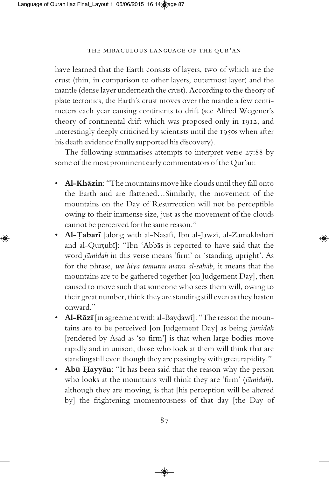have learned that the Earth consists of layers, two of which are the crust (thin, in comparison to other layers, outermost layer) and the mantle (dense layer underneath the crust). According to the theory of plate tectonics, the Earth's crust moves over the mantle a few centimeters each year causing continents to drift (see Alfred Wegener's theory of continental drift which was proposed only in 1912, and interestingly deeply criticised by scientists until the 1950s when after his death evidence finally supported his discovery).

The following summarises attempts to interpret verse  $27:88$  by some of the most prominent early commentators of the Qur'an:

- Al-Khazin: "The mountains move like clouds until they fall onto the Earth and are flattened…Similarly, the movement of the mountains on the Day of Resurrection will not be perceptible owing to their immense size, just as the movement of the clouds cannot be perceived for the same reason."
- **Al-Tabarī** [along with al-Nasafi, Ibn al-Jawzī, al-Zamakhsharī and al-Qurțubī]: "Ibn 'Abbās is reported to have said that the word *jāmidah* in this verse means 'firm' or 'standing upright'. As for the phrase, *wa hiya tamurru marra al-sahāb*, it means that the mountains are to be gathered together [on Judgement Day], then caused to move such that someone who sees them will, owing to their great number, think they are standing still even as they hasten onward."
- **Al-Rāzī** [in agreement with al-Baydawī]: "The reason the mountains are to be perceived [on Judgement Day] as being *jāmidah* [rendered by Asad as 'so firm'] is that when large bodies move rapidly and in unison, those who look at them will think that are standing still even though they are passing by with great rapidity."
- **Abū Hayyān**: "It has been said that the reason why the person who looks at the mountains will think they are 'firm' (*jāmidah*), although they are moving, is that [his perception will be altered by] the frightening momentousness of that day [the Day of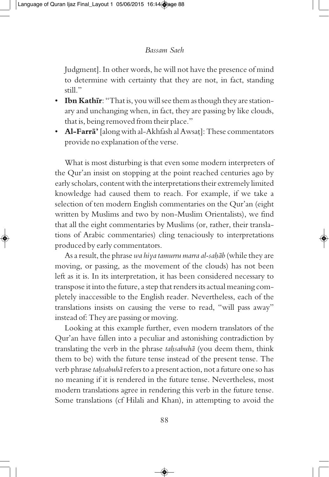Judgment]. In other words, he will not have the presence of mind to determine with certainty that they are not, in fact, standing still<sup>"</sup>

- **Ibn Kathīr**: "That is, you will see them as though they are stationary and unchanging when, in fact, they are passing by like clouds, that is, being removed from their place."
- **Al-Farrā'** [along with al-Akhfash al Awsat]: These commentators provide no explanation of the verse.

What is most disturbing is that even some modern interpreters of the Qur'an insist on stopping at the point reached centuries ago by early scholars, content with the interpretations their extremely limited knowledge had caused them to reach. For example, if we take a selection of ten modern English commentaries on the Qur'an (eight written by Muslims and two by non-Muslim Orientalists), we find that all the eight commentaries by Muslims (or, rather, their translations of Arabic commentaries) cling tenaciously to interpretations produced by early commentators.

As a result, the phrase *wa hiya tamurru marra al-sahāb* (while they are moving, or passing, as the movement of the clouds) has not been left as it is. In its interpretation, it has been considered necessary to transpose it into the future, a step that renders its actual meaning completely inaccessible to the English reader. Nevertheless, each of the translations insists on causing the verse to read, "will pass away" instead of:They are passing or moving.

Looking at this example further, even modern translators of the Qur'an have fallen into a peculiar and astonishing contradiction by translating the verb in the phrase *tahsabuhā* (you deem them, think them to be) with the future tense instead of the present tense. The verb phrase *tahsabuhā* refers to a present action, not a future one so has no meaning if it is rendered in the future tense. Nevertheless, most modern translations agree in rendering this verb in the future tense. Some translations (cf Hilali and Khan), in attempting to avoid the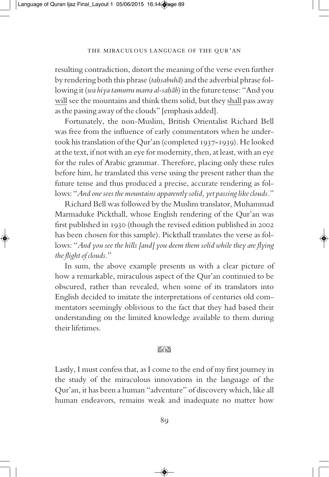resulting contradiction, distort the meaning of the verse even further by rendering both this phrase (*tahsabuha*) and the adverbial phrase following it (*wa hiya tamurru marra al-sahāb*) in the future tense: "And you will see the mountains and think them solid, but they shall pass away as the passing away of the clouds" [emphasisadded].

Fortunately, the non-Muslim, British Orientalist Richard Bell was free from the influence of early commentators when he undertook his translation of the Qur'an (completed 1937-1939). He looked at the text, if not with an eye for modernity, then, at least, with an eye for the rules of Arabic grammar. Therefore, placing only these rules before him, he translated this verse using the present rather than the future tense and thus produced a precise, accurate rendering as follows: "*And one sees the mountains apparently solid, yet passing like clouds.*"

Richard Bell was followed by the Muslim translator, Muhammad Marmaduke Pickthall, whose English rendering of the Qur'an was first published in  $1930$  (though the revised edition published in  $2002$ has been chosen for this sample). Pickthall translates the verse as follows: "*And you see the hills [and] you deem them solid while they are flying the flight of clouds.*"

In sum, the above example presents us with a clear picture of how a remarkable, miraculous aspect of the Qur'an continued to be obscured, rather than revealed, when some of its translators into English decided to imitate the interpretations of centuries old commentators seemingly oblivious to the fact that they had based their understanding on the limited knowledge available to them during theirlifetimes.

#### 恐残

Lastly, I must confess that, as I come to the end of my first journey in the study of the miraculous innovations in the language of the Qur'an, it has been a human "adventure" of discovery which, like all human endeavors, remains weak and inadequate no matter how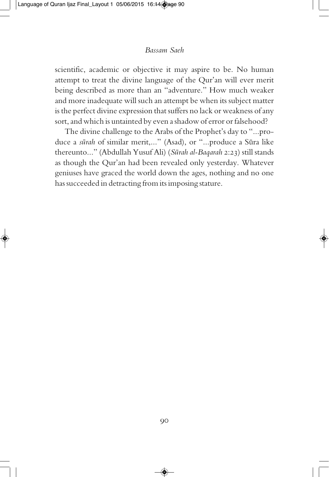scientific, academic or objective it may aspire to be. No human attempt to treat the divine language of the Qur'an will ever merit being described as more than an "adventure." How much weaker and more inadequate will such an attempt be when its subject matter is the perfect divine expression that suffers no lack or weakness of any sort, and which is untainted by even a shadow of error or falsehood?

The divine challenge to the Arabs of the Prophet's day to "...produce a *sūrah* of similar merit,..." (Asad), or "...produce a Sūra like thereunto..." (Abdullah Yusuf Ali) (*Sūrah al-Baqarah* 2:23) still stands as though the Qur'an had been revealed only yesterday. Whatever geniuses have graced the world down the ages, nothing and no one has succeeded in detracting from its imposing stature.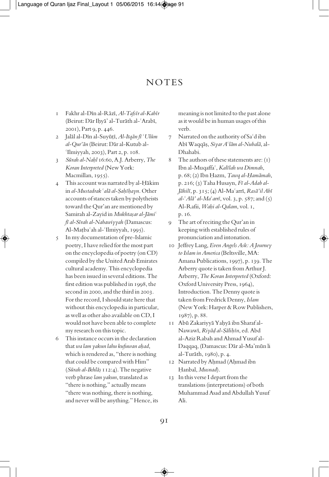# **NOTES**

- $\mathbf{r}$ Fakhr al-Dīn al-Rāzī, Al-Tafsīr al-Kabīr (Beirut: Dār Ihyā' al-Turāth al-'Arabī, 2001), Part 9, p. 446.
- 2 Jalāl al-Dīn al-Suyūțī, Al-Itgān fī °Ulūm al-Qur'ān (Beirut: Dār al-Kutub al-'Ilmiyyah, 2003), Part 2, p. 108.
- Sūrah al-Nahl 16:60, A.J. Arberry, The  $\overline{\mathbf{3}}$ Koran Interpreted (New York: Macmillan, 1955).
- This account was narrated by al-Hākim  $\mathbf{\Lambda}$ in al-Mustadrak 'alā al-Şahīhayn. Other accounts of stances taken by polytheists toward the Our'an are mentioned by Samirah al-Zavid in Mukhtasar al-Jāmi<sup>c</sup> fī al-Sīrah al-Nabawiyyah (Damascus: Al-Matba'ah al-'Ilmiyyah, 1995).
- In my documentation of pre-Islamic  $\zeta$ poetry, I have relied for the most part on the encyclopedia of poetry (on CD) compiled by the United Arab Emirates cultural academy. This encyclopedia has been issued in several editions. The first edition was published in 1998, the second in 2000, and the third in 2003. For the record, I should state here that without this encyclopedia in particular, as well as other also available on CD, I would not have been able to complete my research on this topic.
- This instance occurs in the declaration 6 that wa lam yakun lahu kufuwan ahad, which is rendered as, "there is nothing that could be compared with Him" (Sūrah al-Ikhlāṣ 112:4). The negative verb phrase lam yakun, translated as "there is nothing," actually means "there was nothing, there is nothing, and never will be anything." Hence, its

meaning is not limited to the past alone as it would be in human usages of this verb

- Narrated on the authority of Sa'd ibn  $\overline{7}$ Abī Waqqāṣ, Siyar A'lām al-Nubalā, al-Dhahabi.
- The authors of these statements are:  $(I)$  $\mathbf{8}$ Ibn al-Muqaffa<sup>c</sup>, Kalilah wa Dimnah, p. 68; (2) Ibn Hazm, Tawq al-Hamāmah, p. 216; (3) Taha Husayn, Fī al-Adab al-Jāhilī, p. 315; (4) Al-Ma<sup>c</sup>arrī, Rasā'il Abī al-'Alā' al-Ma'arrī, vol. 3, p. 587; and  $(5)$ Al-Rafii, Wahi al-Qalam, vol. 1, p. 16.
- The art of reciting the Qur'an in  $\Omega$ keeping with established rules of pronunciation and intonation.
- 10 Jeffrey Lang, Even Angels Ask: A Journey to Islam in America (Beltsville, MA: Amana Publications, 1997), p. 139. The Arberry quote is taken from Arthur J. Arberry, The Koran Interpreted (Oxford: Oxford University Press, 1964), Introduction. The Denny quote is taken from Fredrick Denny, Islam (New York: Harper & Row Publishers, 1987), p. 88.
- 11 Abū Zakariyyā Yaḥyā ibn Sharaf al-Nawawī, Riyād al-Şālihīn, ed. Abd al-Aziz Rabah and Ahmad Yusuf al-Daqqaq, (Damascus: Dār al-Ma'mūn li al-Turāth, 1980), p. 4.
- 12 Narrated by Ahmad (Ahmad ibn Hanbal, Musnad).
- 13 In this verse I depart from the translations (interpretations) of both Muhammad Asad and Abdullah Yusuf  $Al<sub>i</sub>$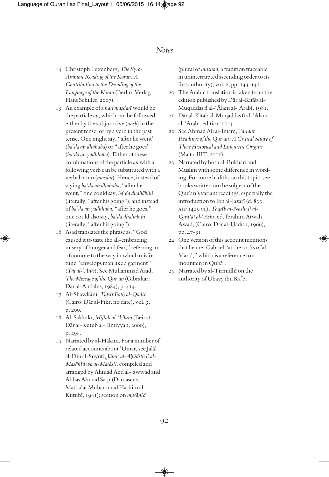- Christoph Luxenberg, *The Syro-AramaicReadingof the Koran:A Contribution tothe Decodingof the Languageof the Koran* (Berlin:Verlag Hans Schiller, 2007).
- 15 An example of a *harf masdarī* would be the particle *an*, which can be followed either by the subjunctive (*nasb*) in the present tense, or by a verb in the past tense. One might say, "after he went" (*ba¢da an dhahaba*) or "after he goes" (*ba¢da an yadhhaba*). Either of these combinations of the particle *an* with a following verb can be substituted with a verbal noun (*masdar*). Hence, instead of saying *ba¢da an dhahaba*, "after he went," one could say, *ba<sup>c</sup>da dhahābihi* (literally, "after his going"), and instead of *ba¢da an yadhhaba*, "after he goes," one could also say, *ba¢da dhah¥bihi* (literally, "after his going").
- Asad translates the phrase as, "God caused it to taste the all-embracing misery of hunger and fear," referring in afootnote to the way in which misfortune "envelops man like a garment" (*Tāj al-ʿArūs*). See Muhammad Asad, *The Message of the Qur'an* (Gibraltar: Dar al-Andalus, 1984), p. 414.
- 17 Al-Shawkānī, *Tafsīr Fath al-Qadīr* (Cairo: Dār al-Fikr, no date), vol. 3, p. 200.
- 18 Al-Sakkākī, Miftāh al-<sup>c</sup>Ulūm (Beirut: Dār al-Kutub al-'Ilmiyyah, 2000), p. 298.
- 19 Narrated by al-Hākim. For a number of related accounts about 'Umar, see Jalāl al-Dīn al-Suyūțī, *Jāmi<sup>c</sup> al-Ahādīth li al-* $Mas\$ anīd wa al-Marāsīl, compiled and arranged byAhmadAbd al-Jawwad and AbbasAhmad Saqr(Damascus: Matba<sup>c</sup>at Muhammad Hāshim al-Kutubī, 1981); section on *masānīd*

(plural of*musnad*,atradition traceable in uninterrupted ascending order to its first authority), vol. 2, pp.  $143-145$ .

- TheArabic translation is taken from the edition published by Dār al-Kitāb al-Muqaddas fī al-ʿĀlam al-ʿArabī, 1981.
- 21 Dār al-Kitāb al-Muqaddas fī al-ʿĀlam al-'Arabī, edition 2004.
- SeeAhmadAlial-Imam,*Variant Readingsof the Qur'an:A Critical Study of Their Historical and Linguistic Origins* (Malta: IIIT, 2011).
- 23 Narrated by both al-Bukhārī and Muslim with some difference in wording. For more hadiths on this topic, see books written on the subject of the Qur'an's variant readings, especially the introduction to Ibn al-Jazarī (d. 833 / ), *TaqrÏb al-Nashr fÏ al-Qir¥'¥t al-¢Ashr*, ed.Ibrahim Atwah Awad, (Cairo: Dār al-Hadīth, 1966),  $pp.47 - 5I.$
- One version of thisaccount mentions that he met Gabriel "at the rocks ofal-Mara'," which is a reference to a mountain in Qubā'.
- 25 Narrated by al-Tirmidhī on the authority of Ubayy ibn Ka'b.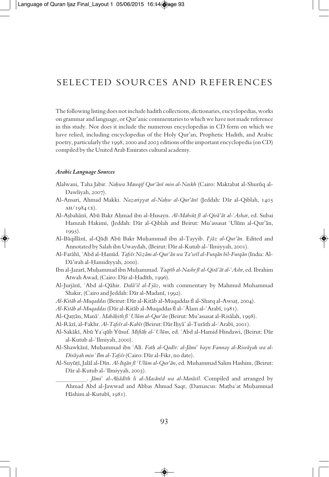# SELECTED SOURCES AND REFERENCES

The following listing does not include hadith collections, dictionaries, encyclopedias, works on grammarand language, or Qur'anic commentaries to which we have not made reference in this study. Nor does it include the numerous encyclopedias in CD form on which we have relied, including encyclopedias of the Holy Qur'an, Prophetic Hadith, and Arabic poetry, particularly the 1998, 2000 and 2003 editions of the important encyclopedia (on CD) compiled by the United Arab Emirates cultural academy.

#### *Arabic Language Sources*

- Alalwani, Taha Jabir. *Na^wa Mawqif Qur'¥nÏ min al-Naskh* (Cairo: Maktabat al-Shur‰q al-Dawliyah, 2007).
- Al-Ansari, Ahmad Makki. *Nazariyyat al-Nahw al-Qur'ānī* (Jeddah: Dār al-Qiblah, 1405 AH/1984 CE).
- Al-Așbahānī, Abū Bakr Aḥmad ibn al-Ḥusayn. *Al-Mabsūț fī al-Qirā'āt al-ʿAshar*, ed. Subai Hamzah Hakimi, (Jeddah: Dār al-Qiblah and Beirut: Mu'assasat 'Ulūm al-Qur'ān, 1995).
- Al-Bāqillānī, al-Qādī Abū Bakr Muḥammad ibn al-Țayyib. *I'jāz al-Qur'ān*. Edited and Annotated by Salah ibn Uwaydah, (Beirut: Dār al-Kutub al-'Ilmiyyah, 2001).
- Al-Far¥hÏ, ¢Abd al-¤amÏd. *TafsÏr Ni·¥m al-Qur'¥n wa Ta'wÏl al-Furq¥n bil-Furq¥n* (India:Al-Dā'irah al-Hamidiyyah, 2000).
- Ibn al-JazarÏ, Mu^ammad ibn Mu^ammad.*TaqrÏb al-Nashr fÏ al-Qir¥'¥t al-¢Ashr*, ed.Ibrahim Atwah Awad, (Cairo: Dār al-Ḥadīth, 1996).
- Al-Jurjānī, 'Abd al-Qāhir. *Dalā'il al-I<sup>t</sup>jāz*, with commentary by Mahmud Muhammad Shakir, (Cairo and Jeddah: Dār al-Madanī, 1992).
- *Al-Kitāb al-Muqaddas* (Beirut: Dār al-Kitāb al-Muqaddas fī al-Sharq al-Awsat, 2004).
- *Al-Kitāb al-Muqaddas* (Dār al-Kitāb al-Muqaddas fī al-ʿĀlam al-ʿArabī, 1981).
- Al-Qattān, Manā<sup>c</sup>. *Mabāḥith fī* <sup>*¢Ulūm al-Qur'ān* (Beirut: Mu'assasat al-Risālah, 1998).</sup>
- Al-Rāzī, al-Fakhr. Al-Tafsīr al-Kabīr (Beirut: Dār Ihyā' al-Turāth al-ʿArabī, 2001).
- Al-Sakākī, Abū Yaʿqūb Yūsuf. *Miftāḥ al-ʿUlūm*, ed. ʿAbd al-Hamid Hindawi, (Beirut: Dār al-Kutub al-'Ilmiyah, 2000).
- Al-Shawkānī, Muḥammad ibn ʿAlī. *Fatḥ al-Qadīr: al-Jāmiʿ bayn Fannay al-Riwāyah wa al-*Dirāyah min <sup>*fIlm al-Tafsīr* (Cairo: Dār al-Fikr, no date).</sup>
- Al-Suy‰~Ï, Jal¥lal-DÏn. *Al-Itq¥n fÏ ¢Ul‰m al-Qur'¥n*, ed. Muhammad Salim Hashim, (Beirut: Dār al-Kutub al-'Ilmiyyah, 2003).

\_\_\_\_\_\_\_\_\_\_. *J¥mi¢ al-A^¥dÏth li al-Mas¥nÏd wa al-Mar¥sÏl*. Compiled and arranged by Ahmad Abd al-Jawwad and Abbas Ahmad Saqr, (Damascus: Mațba<sup>c</sup>at Muḥammad Hāshim al-Kutubī, 1981).